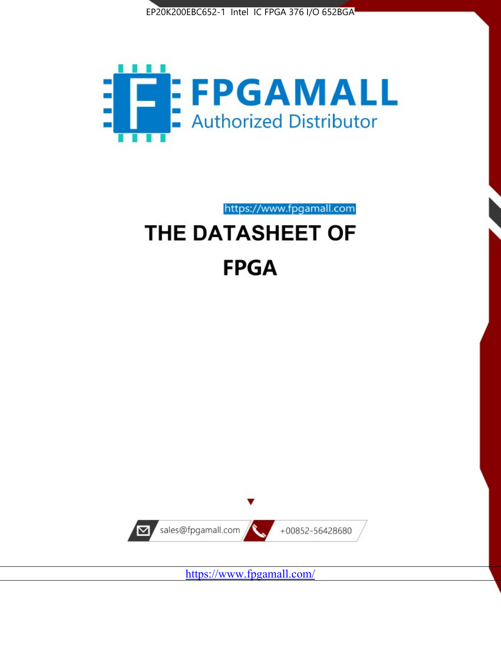



https://www.fpgamall.com

# THE DATASHEET OF **FPGA**



<https://www.fpgamall.com/>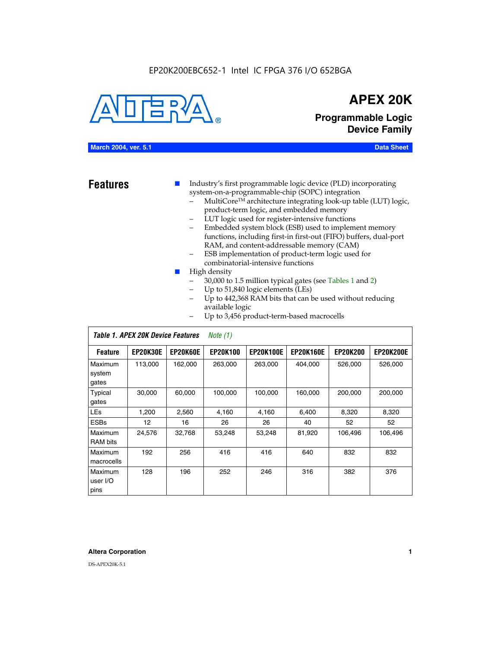# EP20K200EBC652-1 Intel IC FPGA 376 I/O 652BGA



# **APEX 20K**

**Programmable Logic Device Family**

# **March 2004, ver. 5.1 Data Sheet**

- **Features ■** Industry's first programmable logic device (PLD) incorporating system-on-a-programmable-chip (SOPC) integration
	- MultiCore™ architecture integrating look-up table (LUT) logic, product-term logic, and embedded memory
	- LUT logic used for register-intensive functions
	- Embedded system block (ESB) used to implement memory functions, including first-in first-out (FIFO) buffers, dual-port RAM, and content-addressable memory (CAM)
	- ESB implementation of product-term logic used for combinatorial-intensive functions
	- High density
		- 30,000 to 1.5 million typical gates (see Tables 1 and 2)
		- Up to 51,840 logic elements (LEs)
		- Up to 442,368 RAM bits that can be used without reducing available logic
		- Up to 3,456 product-term-based macrocells

|                             | Table 1. APEX 20K Device Features<br>Note $(1)$ |                 |                 |                  |                  |                 |                  |  |  |
|-----------------------------|-------------------------------------------------|-----------------|-----------------|------------------|------------------|-----------------|------------------|--|--|
| <b>Feature</b>              | <b>EP20K30E</b>                                 | <b>EP20K60E</b> | <b>EP20K100</b> | <b>EP20K100E</b> | <b>EP20K160E</b> | <b>EP20K200</b> | <b>EP20K200E</b> |  |  |
| Maximum<br>system<br>gates  | 113,000                                         | 162,000         | 263.000         | 263,000          | 404.000          | 526,000         | 526,000          |  |  |
| Typical<br>gates            | 30,000                                          | 60,000          | 100,000         | 100,000          | 160,000          | 200,000         | 200,000          |  |  |
| <b>LEs</b>                  | 1,200                                           | 2,560           | 4,160           | 4,160            | 6.400            | 8,320           | 8,320            |  |  |
| <b>ESBs</b>                 | $12 \overline{ }$                               | 16              | 26              | 26               | 40               | 52              | 52               |  |  |
| Maximum<br><b>RAM</b> bits  | 24,576                                          | 32,768          | 53,248          | 53,248           | 81,920           | 106,496         | 106,496          |  |  |
| Maximum<br>macrocells       | 192                                             | 256             | 416             | 416              | 640              | 832             | 832              |  |  |
| Maximum<br>user I/O<br>pins | 128                                             | 196             | 252             | 246              | 316              | 382             | 376              |  |  |

#### **Altera Corporation 1**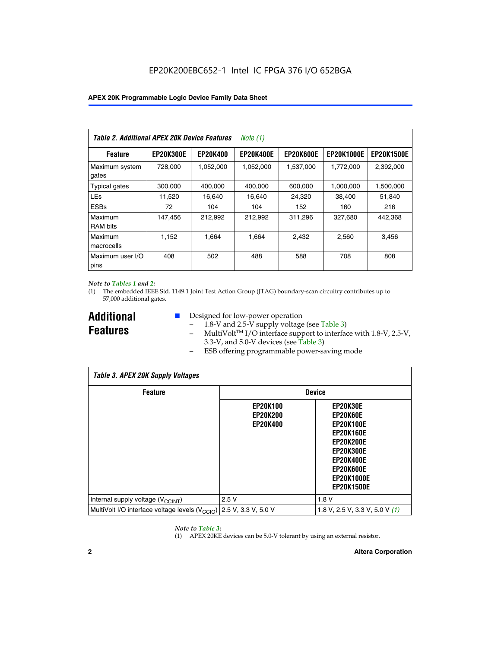| Table 2. Additional APEX 20K Device Features |                  |                 | <i>Note</i> $(1)$ |                  |                   |                   |
|----------------------------------------------|------------------|-----------------|-------------------|------------------|-------------------|-------------------|
| <b>Feature</b>                               | <b>EP20K300E</b> | <b>EP20K400</b> | <b>EP20K400E</b>  | <b>EP20K600E</b> | <b>EP20K1000E</b> | <b>EP20K1500E</b> |
| Maximum system<br>gates                      | 728,000          | 1,052,000       | 1,052,000         | 1,537,000        | 1,772,000         | 2,392,000         |
| <b>Typical gates</b>                         | 300,000          | 400,000         | 400,000           | 600,000          | 1,000,000         | 1,500,000         |
| <b>LEs</b>                                   | 11,520           | 16.640          | 16,640            | 24,320           | 38,400            | 51,840            |
| <b>ESBs</b>                                  | 72               | 104             | 104               | 152              | 160               | 216               |
| Maximum<br><b>RAM bits</b>                   | 147,456          | 212,992         | 212.992           | 311,296          | 327,680           | 442.368           |
| Maximum<br>macrocells                        | 1,152            | 1,664           | 1,664             | 2.432            | 2,560             | 3,456             |
| Maximum user I/O<br>pins                     | 408              | 502             | 488               | 588              | 708               | 808               |

#### *Note to Tables 1 and 2:*

*Table 3. APEX 20K Supply Voltages*

(1) The embedded IEEE Std. 1149.1 Joint Test Action Group (JTAG) boundary-scan circuitry contributes up to 57,000 additional gates.

**Additional Features**

 $\mathbf{I}$ 

- Designed for low-power operation
	- $-$  1.8-V and 2.5-V supply voltage (see Table 3)
	- $-$  MultiVolt<sup>TM</sup> I/O interface support to interface with 1.8-V, 2.5-V, 3.3-V, and 5.0-V devices (see Table 3)
	- ESB offering programmable power-saving mode

| Tadie 3. Apex zuk Supply voltages                                               |                                                       |                                                                                                                                                                                 |  |  |  |  |  |  |
|---------------------------------------------------------------------------------|-------------------------------------------------------|---------------------------------------------------------------------------------------------------------------------------------------------------------------------------------|--|--|--|--|--|--|
| <b>Feature</b>                                                                  | <b>Device</b>                                         |                                                                                                                                                                                 |  |  |  |  |  |  |
|                                                                                 | <b>EP20K100</b><br><b>EP20K200</b><br><b>EP20K400</b> | EP20K30E<br>EP20K60E<br><b>EP20K100E</b><br><b>EP20K160E</b><br><b>EP20K200E</b><br><b>EP20K300E</b><br><b>EP20K400E</b><br>EP20K600E<br><b>EP20K1000E</b><br><b>EP20K1500E</b> |  |  |  |  |  |  |
| Internal supply voltage (V <sub>CCINT</sub> )                                   | 2.5V                                                  | 1.8V                                                                                                                                                                            |  |  |  |  |  |  |
| MultiVolt I/O interface voltage levels (V <sub>CCIO</sub> ) 2.5 V, 3.3 V, 5.0 V |                                                       | 1.8 V, 2.5 V, 3.3 V, 5.0 V (1)                                                                                                                                                  |  |  |  |  |  |  |

#### *Note to Table 3:*

(1) APEX 20KE devices can be 5.0-V tolerant by using an external resistor.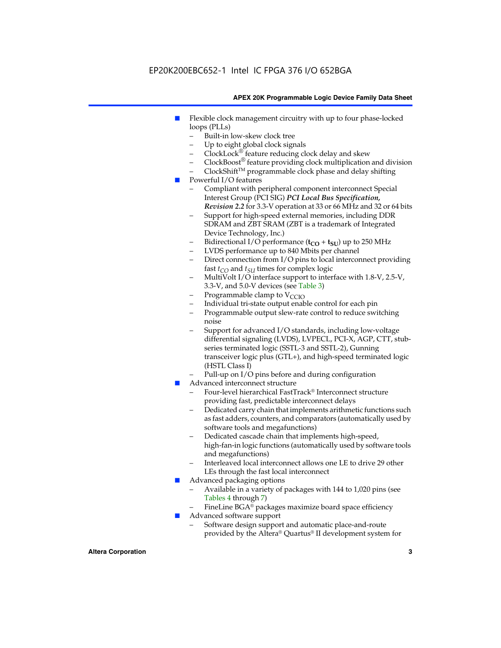# EP20K200EBC652-1 Intel IC FPGA 376 I/O 652BGA

#### **APEX 20K Programmable Logic Device Family Data Sheet**

- Flexible clock management circuitry with up to four phase-locked loops (PLLs)
	- Built-in low-skew clock tree
	- Up to eight global clock signals
	- $ClockLock^{\circledR}$  feature reducing clock delay and skew
	- $ClockBoost^{\circledR}$  feature providing clock multiplication and division
	- ClockShiftTM programmable clock phase and delay shifting
- Powerful I/O features
	- Compliant with peripheral component interconnect Special Interest Group (PCI SIG) *PCI Local Bus Specification, Revision 2.2* for 3.3-V operation at 33 or 66 MHz and 32 or 64 bits
	- Support for high-speed external memories, including DDR SDRAM and ZBT SRAM (ZBT is a trademark of Integrated Device Technology, Inc.)
	- Bidirectional I/O performance  $(t_{CO} + t_{SU})$  up to 250 MHz
	- LVDS performance up to 840 Mbits per channel
	- Direct connection from I/O pins to local interconnect providing fast  $t_{CO}$  and  $t_{SU}$  times for complex logic
	- MultiVolt I/O interface support to interface with 1.8-V, 2.5-V, 3.3-V, and 5.0-V devices (see Table 3)
	- Programmable clamp to  $V_{\text{C}CD}$
	- Individual tri-state output enable control for each pin
	- Programmable output slew-rate control to reduce switching noise
	- Support for advanced I/O standards, including low-voltage differential signaling (LVDS), LVPECL, PCI-X, AGP, CTT, stubseries terminated logic (SSTL-3 and SSTL-2), Gunning transceiver logic plus (GTL+), and high-speed terminated logic (HSTL Class I)
	- Pull-up on I/O pins before and during configuration
- Advanced interconnect structure
	- Four-level hierarchical FastTrack® Interconnect structure providing fast, predictable interconnect delays
	- Dedicated carry chain that implements arithmetic functions such as fast adders, counters, and comparators (automatically used by software tools and megafunctions)
	- Dedicated cascade chain that implements high-speed, high-fan-in logic functions (automatically used by software tools and megafunctions)
	- Interleaved local interconnect allows one LE to drive 29 other LEs through the fast local interconnect
- Advanced packaging options
	- Available in a variety of packages with 144 to 1,020 pins (see Tables 4 through 7)
	- FineLine BGA® packages maximize board space efficiency
- Advanced software support
	- Software design support and automatic place-and-route provided by the Altera® Quartus® II development system for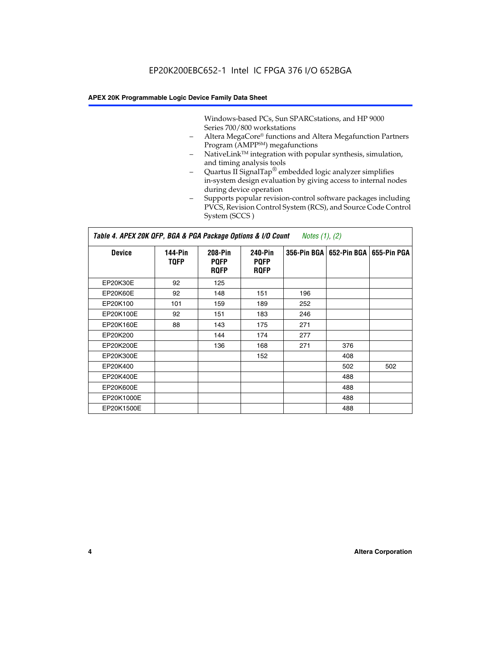Windows-based PCs, Sun SPARCstations, and HP 9000 Series 700/800 workstations

- Altera MegaCore® functions and Altera Megafunction Partners Program (AMPP<sup>SM</sup>) megafunctions
- NativeLink™ integration with popular synthesis, simulation, and timing analysis tools
- Quartus II SignalTap® embedded logic analyzer simplifies in-system design evaluation by giving access to internal nodes during device operation
- Supports popular revision-control software packages including PVCS, Revision Control System (RCS), and Source Code Control System (SCCS )

## *Table 4. APEX 20K QFP, BGA & PGA Package Options & I/O Count Notes (1), (2)*

| <b>Device</b>   | 144-Pin<br><b>TQFP</b> | 208-Pin<br><b>PQFP</b><br><b>ROFP</b> | 240-Pin<br><b>PQFP</b><br><b>ROFP</b> |     | 356-Pin BGA   652-Pin BGA | 655-Pin PGA |
|-----------------|------------------------|---------------------------------------|---------------------------------------|-----|---------------------------|-------------|
| EP20K30E        | 92                     | 125                                   |                                       |     |                           |             |
| <b>EP20K60E</b> | 92                     | 148                                   | 151                                   | 196 |                           |             |
| EP20K100        | 101                    | 159                                   | 189                                   | 252 |                           |             |
| EP20K100E       | 92                     | 151                                   | 183                                   | 246 |                           |             |
| EP20K160E       | 88                     | 143                                   | 175                                   | 271 |                           |             |
| EP20K200        |                        | 144                                   | 174                                   | 277 |                           |             |
| EP20K200E       |                        | 136                                   | 168                                   | 271 | 376                       |             |
| EP20K300E       |                        |                                       | 152                                   |     | 408                       |             |
| EP20K400        |                        |                                       |                                       |     | 502                       | 502         |
| EP20K400E       |                        |                                       |                                       |     | 488                       |             |
| EP20K600E       |                        |                                       |                                       |     | 488                       |             |
| EP20K1000E      |                        |                                       |                                       |     | 488                       |             |
| EP20K1500E      |                        |                                       |                                       |     | 488                       |             |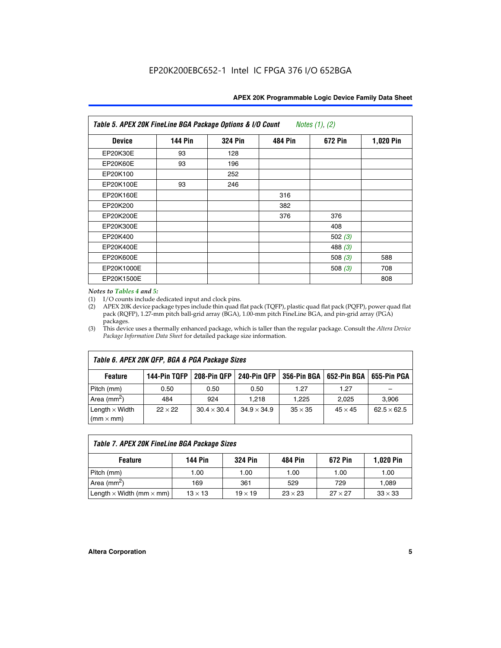| Table 5. APEX 20K FineLine BGA Package Options & I/O Count<br>Notes $(1)$ , $(2)$ |                |                |                |           |           |  |  |  |
|-----------------------------------------------------------------------------------|----------------|----------------|----------------|-----------|-----------|--|--|--|
| <b>Device</b>                                                                     | <b>144 Pin</b> | <b>324 Pin</b> | <b>484 Pin</b> | 672 Pin   | 1,020 Pin |  |  |  |
| EP20K30E                                                                          | 93             | 128            |                |           |           |  |  |  |
| <b>EP20K60E</b>                                                                   | 93             | 196            |                |           |           |  |  |  |
| EP20K100                                                                          |                | 252            |                |           |           |  |  |  |
| EP20K100E                                                                         | 93             | 246            |                |           |           |  |  |  |
| EP20K160E                                                                         |                |                | 316            |           |           |  |  |  |
| EP20K200                                                                          |                |                | 382            |           |           |  |  |  |
| EP20K200E                                                                         |                |                | 376            | 376       |           |  |  |  |
| EP20K300E                                                                         |                |                |                | 408       |           |  |  |  |
| EP20K400                                                                          |                |                |                | 502 $(3)$ |           |  |  |  |
| EP20K400E                                                                         |                |                |                | 488 $(3)$ |           |  |  |  |
| EP20K600E                                                                         |                |                |                | 508 $(3)$ | 588       |  |  |  |
| EP20K1000E                                                                        |                |                |                | 508 $(3)$ | 708       |  |  |  |
| EP20K1500E                                                                        |                |                |                |           | 808       |  |  |  |

#### *Notes to Tables 4 and 5:*

 $\Gamma$ 

(1) I/O counts include dedicated input and clock pins.

(2) APEX 20K device package types include thin quad flat pack (TQFP), plastic quad flat pack (PQFP), power quad flat pack (RQFP), 1.27-mm pitch ball-grid array (BGA), 1.00-mm pitch FineLine BGA, and pin-grid array (PGA) packages.

(3) This device uses a thermally enhanced package, which is taller than the regular package. Consult the *Altera Device Package Information Data Sheet* for detailed package size information.

| Table 6. APEX 20K QFP, BGA & PGA Package Sizes |                |                    |                    |                |                           |                    |  |  |  |
|------------------------------------------------|----------------|--------------------|--------------------|----------------|---------------------------|--------------------|--|--|--|
| <b>Feature</b>                                 | 144-Pin TQFP   | 208-Pin OFP        | <b>240-Pin OFP</b> |                | 356-Pin BGA   652-Pin BGA | 655-Pin PGA        |  |  |  |
| Pitch (mm)                                     | 0.50           | 0.50               | 0.50               | 1.27           | 1.27                      |                    |  |  |  |
| Area ( $mm2$ )                                 | 484            | 924                | 1.218              | 1,225          | 2,025                     | 3,906              |  |  |  |
| Length $\times$ Width<br>$(mm \times mm)$      | $22 \times 22$ | $30.4 \times 30.4$ | $34.9 \times 34.9$ | $35 \times 35$ | $45 \times 45$            | $62.5 \times 62.5$ |  |  |  |

| Table 7. APEX 20K FineLine BGA Package Sizes                                                                                     |      |      |      |      |       |  |  |  |
|----------------------------------------------------------------------------------------------------------------------------------|------|------|------|------|-------|--|--|--|
| <b>324 Pin</b><br><b>1,020 Pin</b><br>144 Pin<br>672 Pin<br>484 Pin<br><b>Feature</b>                                            |      |      |      |      |       |  |  |  |
| Pitch (mm)                                                                                                                       | 1.00 | 1.00 | 1.00 | 1.00 | 1.00  |  |  |  |
| Area ( $mm2$ )                                                                                                                   | 169  | 361  | 529  | 729  | 1,089 |  |  |  |
| $33 \times 33$<br>Length $\times$ Width (mm $\times$ mm)<br>$27 \times 27$<br>$13 \times 13$<br>$23 \times 23$<br>$19 \times 19$ |      |      |      |      |       |  |  |  |

٦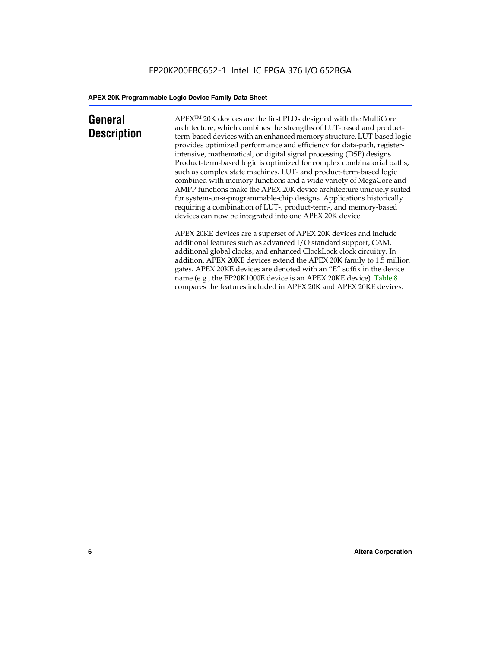# **General Description**

APEXTM 20K devices are the first PLDs designed with the MultiCore architecture, which combines the strengths of LUT-based and productterm-based devices with an enhanced memory structure. LUT-based logic provides optimized performance and efficiency for data-path, registerintensive, mathematical, or digital signal processing (DSP) designs. Product-term-based logic is optimized for complex combinatorial paths, such as complex state machines. LUT- and product-term-based logic combined with memory functions and a wide variety of MegaCore and AMPP functions make the APEX 20K device architecture uniquely suited for system-on-a-programmable-chip designs. Applications historically requiring a combination of LUT-, product-term-, and memory-based devices can now be integrated into one APEX 20K device.

APEX 20KE devices are a superset of APEX 20K devices and include additional features such as advanced I/O standard support, CAM, additional global clocks, and enhanced ClockLock clock circuitry. In addition, APEX 20KE devices extend the APEX 20K family to 1.5 million gates. APEX 20KE devices are denoted with an "E" suffix in the device name (e.g., the EP20K1000E device is an APEX 20KE device). Table 8 compares the features included in APEX 20K and APEX 20KE devices.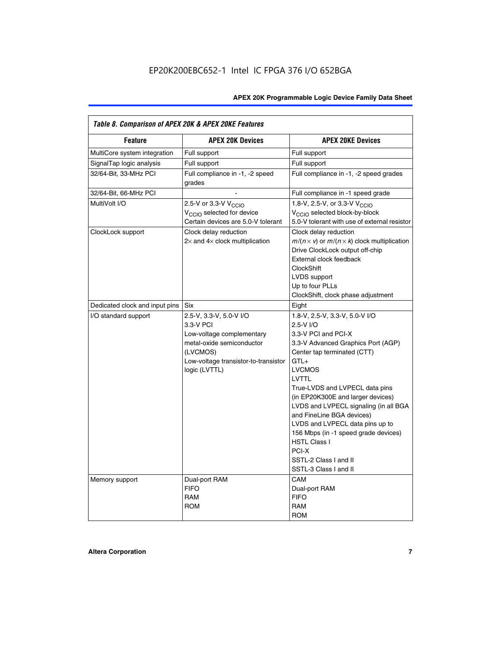| Table 8. Comparison of APEX 20K & APEX 20KE Features |                                                                                                                                                                     |                                                                                                                                                                                                                                                                                                                                                                                                                                                                                       |
|------------------------------------------------------|---------------------------------------------------------------------------------------------------------------------------------------------------------------------|---------------------------------------------------------------------------------------------------------------------------------------------------------------------------------------------------------------------------------------------------------------------------------------------------------------------------------------------------------------------------------------------------------------------------------------------------------------------------------------|
| <b>Feature</b>                                       | <b>APEX 20K Devices</b>                                                                                                                                             | <b>APEX 20KE Devices</b>                                                                                                                                                                                                                                                                                                                                                                                                                                                              |
| MultiCore system integration                         | Full support                                                                                                                                                        | Full support                                                                                                                                                                                                                                                                                                                                                                                                                                                                          |
| SignalTap logic analysis                             | Full support                                                                                                                                                        | Full support                                                                                                                                                                                                                                                                                                                                                                                                                                                                          |
| 32/64-Bit, 33-MHz PCI                                | Full compliance in -1, -2 speed<br>grades                                                                                                                           | Full compliance in -1, -2 speed grades                                                                                                                                                                                                                                                                                                                                                                                                                                                |
| 32/64-Bit, 66-MHz PCI                                |                                                                                                                                                                     | Full compliance in -1 speed grade                                                                                                                                                                                                                                                                                                                                                                                                                                                     |
| MultiVolt I/O                                        | 2.5-V or 3.3-V V <sub>CCIO</sub><br>V <sub>CCIO</sub> selected for device<br>Certain devices are 5.0-V tolerant                                                     | 1.8-V, 2.5-V, or 3.3-V V <sub>CCIO</sub><br>V <sub>CCIO</sub> selected block-by-block<br>5.0-V tolerant with use of external resistor                                                                                                                                                                                                                                                                                                                                                 |
| ClockLock support                                    | Clock delay reduction<br>$2\times$ and $4\times$ clock multiplication                                                                                               | Clock delay reduction<br>$m/(n \times v)$ or $m/(n \times k)$ clock multiplication<br>Drive ClockLock output off-chip<br>External clock feedback<br>ClockShift<br>LVDS support<br>Up to four PLLs<br>ClockShift, clock phase adjustment                                                                                                                                                                                                                                               |
| Dedicated clock and input pins                       | Six                                                                                                                                                                 | Eight                                                                                                                                                                                                                                                                                                                                                                                                                                                                                 |
| I/O standard support                                 | 2.5-V, 3.3-V, 5.0-V I/O<br>3.3-V PCI<br>Low-voltage complementary<br>metal-oxide semiconductor<br>(LVCMOS)<br>Low-voltage transistor-to-transistor<br>logic (LVTTL) | 1.8-V, 2.5-V, 3.3-V, 5.0-V I/O<br>2.5-V I/O<br>3.3-V PCI and PCI-X<br>3.3-V Advanced Graphics Port (AGP)<br>Center tap terminated (CTT)<br>$GTL+$<br><b>LVCMOS</b><br>LVTTL<br>True-LVDS and LVPECL data pins<br>(in EP20K300E and larger devices)<br>LVDS and LVPECL signaling (in all BGA<br>and FineLine BGA devices)<br>LVDS and LVPECL data pins up to<br>156 Mbps (in -1 speed grade devices)<br><b>HSTL Class I</b><br>PCI-X<br>SSTL-2 Class I and II<br>SSTL-3 Class I and II |
| Memory support                                       | Dual-port RAM<br><b>FIFO</b><br><b>RAM</b><br><b>ROM</b>                                                                                                            | CAM<br>Dual-port RAM<br><b>FIFO</b><br><b>RAM</b><br><b>ROM</b>                                                                                                                                                                                                                                                                                                                                                                                                                       |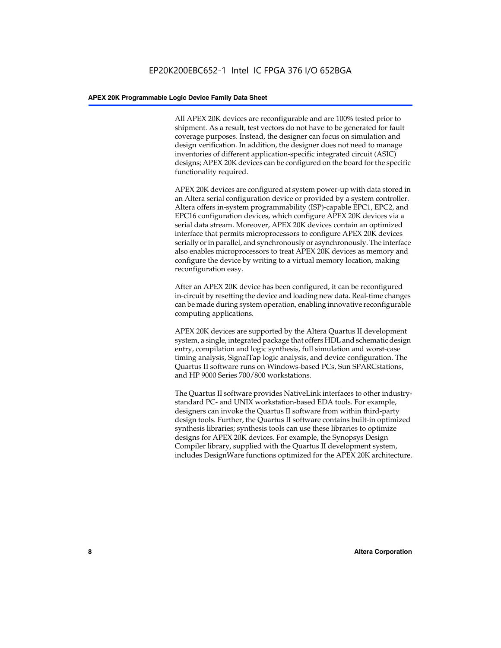All APEX 20K devices are reconfigurable and are 100% tested prior to shipment. As a result, test vectors do not have to be generated for fault coverage purposes. Instead, the designer can focus on simulation and design verification. In addition, the designer does not need to manage inventories of different application-specific integrated circuit (ASIC) designs; APEX 20K devices can be configured on the board for the specific functionality required.

APEX 20K devices are configured at system power-up with data stored in an Altera serial configuration device or provided by a system controller. Altera offers in-system programmability (ISP)-capable EPC1, EPC2, and EPC16 configuration devices, which configure APEX 20K devices via a serial data stream. Moreover, APEX 20K devices contain an optimized interface that permits microprocessors to configure APEX 20K devices serially or in parallel, and synchronously or asynchronously. The interface also enables microprocessors to treat APEX 20K devices as memory and configure the device by writing to a virtual memory location, making reconfiguration easy.

After an APEX 20K device has been configured, it can be reconfigured in-circuit by resetting the device and loading new data. Real-time changes can be made during system operation, enabling innovative reconfigurable computing applications.

APEX 20K devices are supported by the Altera Quartus II development system, a single, integrated package that offers HDL and schematic design entry, compilation and logic synthesis, full simulation and worst-case timing analysis, SignalTap logic analysis, and device configuration. The Quartus II software runs on Windows-based PCs, Sun SPARCstations, and HP 9000 Series 700/800 workstations.

The Quartus II software provides NativeLink interfaces to other industrystandard PC- and UNIX workstation-based EDA tools. For example, designers can invoke the Quartus II software from within third-party design tools. Further, the Quartus II software contains built-in optimized synthesis libraries; synthesis tools can use these libraries to optimize designs for APEX 20K devices. For example, the Synopsys Design Compiler library, supplied with the Quartus II development system, includes DesignWare functions optimized for the APEX 20K architecture.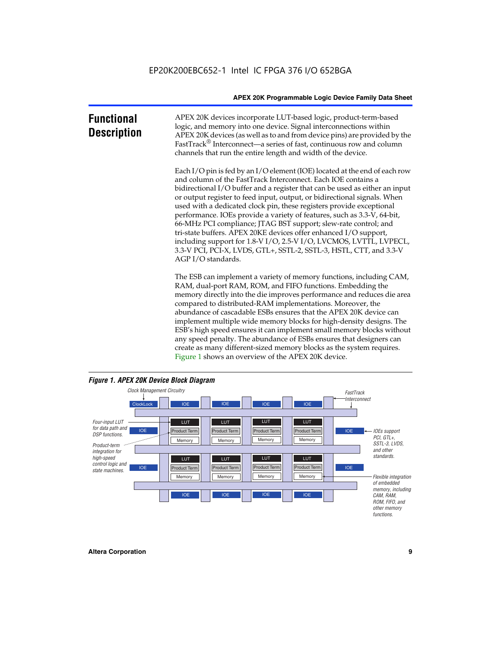| <b>Functional</b><br><b>Description</b> | APEX 20K devices incorporate LUT-based logic, product-term-based<br>logic, and memory into one device. Signal interconnections within<br>APEX 20K devices (as well as to and from device pins) are provided by the<br>FastTrack <sup>®</sup> Interconnect—a series of fast, continuous row and column<br>channels that run the entire length and width of the device.                                                                                                                                                                                                                                                                                                                                                                                              |
|-----------------------------------------|--------------------------------------------------------------------------------------------------------------------------------------------------------------------------------------------------------------------------------------------------------------------------------------------------------------------------------------------------------------------------------------------------------------------------------------------------------------------------------------------------------------------------------------------------------------------------------------------------------------------------------------------------------------------------------------------------------------------------------------------------------------------|
|                                         | Each I/O pin is fed by an I/O element (IOE) located at the end of each row<br>and column of the FastTrack Interconnect. Each IOE contains a<br>bidirectional I/O buffer and a register that can be used as either an input<br>or output register to feed input, output, or bidirectional signals. When<br>used with a dedicated clock pin, these registers provide exceptional<br>performance. IOEs provide a variety of features, such as 3.3-V, 64-bit,<br>66-MHz PCI compliance; JTAG BST support; slew-rate control; and<br>tri-state buffers. APEX 20KE devices offer enhanced I/O support,<br>including support for 1.8-V I/O, 2.5-V I/O, LVCMOS, LVTTL, LVPECL,<br>3.3-V PCI, PCI-X, LVDS, GTL+, SSTL-2, SSTL-3, HSTL, CTT, and 3.3-V<br>AGP I/O standards. |
|                                         | The ESB can implement a variety of memory functions, including CAM,<br>RAM, dual-port RAM, ROM, and FIFO functions. Embedding the<br>memory directly into the die improves performance and reduces die area<br>compared to distributed-RAM implementations. Moreover, the<br>abundance of cascadable ESBs ensures that the APEX 20K device can<br>implement multiple wide memory blocks for high-density designs. The<br>ESB's high speed ensures it can implement small memory blocks without<br>any speed penalty. The abundance of ESBs ensures that designers can<br>create as many different-sized memory blocks as the system requires.                                                                                                                      |



Figure 1 shows an overview of the APEX 20K device.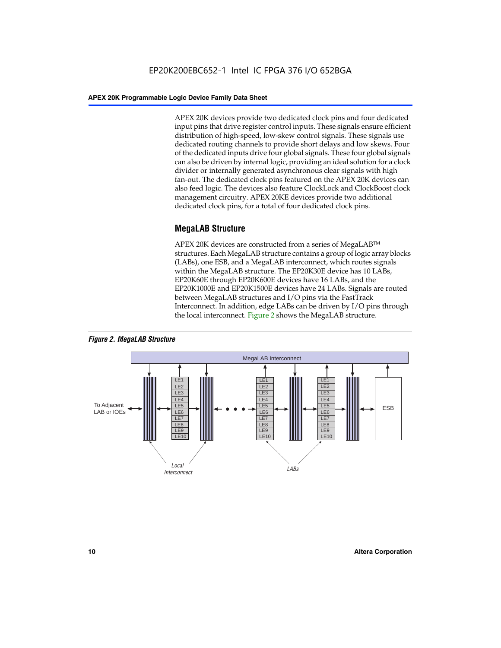APEX 20K devices provide two dedicated clock pins and four dedicated input pins that drive register control inputs. These signals ensure efficient distribution of high-speed, low-skew control signals. These signals use dedicated routing channels to provide short delays and low skews. Four of the dedicated inputs drive four global signals. These four global signals can also be driven by internal logic, providing an ideal solution for a clock divider or internally generated asynchronous clear signals with high fan-out. The dedicated clock pins featured on the APEX 20K devices can also feed logic. The devices also feature ClockLock and ClockBoost clock management circuitry. APEX 20KE devices provide two additional dedicated clock pins, for a total of four dedicated clock pins.

# **MegaLAB Structure**

APEX 20K devices are constructed from a series of MegaLAB<sup>™</sup> structures. Each MegaLAB structure contains a group of logic array blocks (LABs), one ESB, and a MegaLAB interconnect, which routes signals within the MegaLAB structure. The EP20K30E device has 10 LABs, EP20K60E through EP20K600E devices have 16 LABs, and the EP20K1000E and EP20K1500E devices have 24 LABs. Signals are routed between MegaLAB structures and I/O pins via the FastTrack Interconnect. In addition, edge LABs can be driven by I/O pins through the local interconnect. Figure 2 shows the MegaLAB structure.



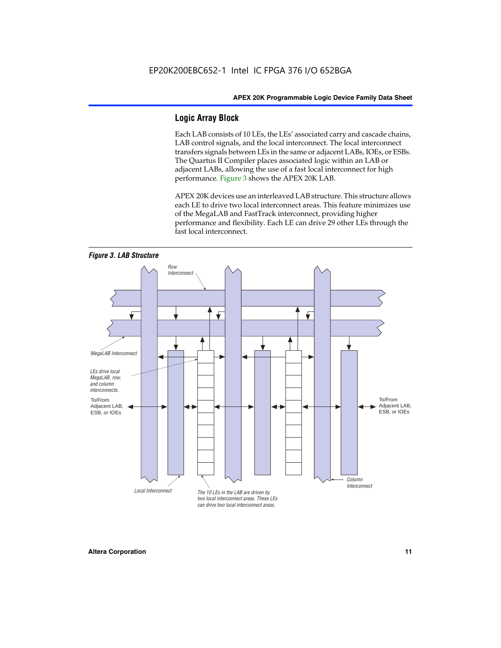# **Logic Array Block**

Each LAB consists of 10 LEs, the LEs' associated carry and cascade chains, LAB control signals, and the local interconnect. The local interconnect transfers signals between LEs in the same or adjacent LABs, IOEs, or ESBs. The Quartus II Compiler places associated logic within an LAB or adjacent LABs, allowing the use of a fast local interconnect for high performance. Figure 3 shows the APEX 20K LAB.

APEX 20K devices use an interleaved LAB structure. This structure allows each LE to drive two local interconnect areas. This feature minimizes use of the MegaLAB and FastTrack interconnect, providing higher performance and flexibility. Each LE can drive 29 other LEs through the fast local interconnect.

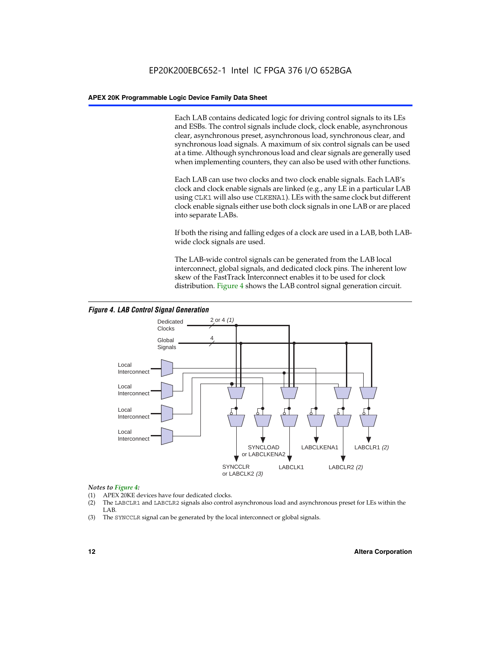Each LAB contains dedicated logic for driving control signals to its LEs and ESBs. The control signals include clock, clock enable, asynchronous clear, asynchronous preset, asynchronous load, synchronous clear, and synchronous load signals. A maximum of six control signals can be used at a time. Although synchronous load and clear signals are generally used when implementing counters, they can also be used with other functions.

Each LAB can use two clocks and two clock enable signals. Each LAB's clock and clock enable signals are linked (e.g., any LE in a particular LAB using CLK1 will also use CLKENA1). LEs with the same clock but different clock enable signals either use both clock signals in one LAB or are placed into separate LABs.

If both the rising and falling edges of a clock are used in a LAB, both LABwide clock signals are used.

The LAB-wide control signals can be generated from the LAB local interconnect, global signals, and dedicated clock pins. The inherent low skew of the FastTrack Interconnect enables it to be used for clock distribution. Figure 4 shows the LAB control signal generation circuit.



#### *Figure 4. LAB Control Signal Generation*

#### *Notes to Figure 4:*

- (1) APEX 20KE devices have four dedicated clocks.
- (2) The LABCLR1 and LABCLR2 signals also control asynchronous load and asynchronous preset for LEs within the LAB.
- (3) The SYNCCLR signal can be generated by the local interconnect or global signals.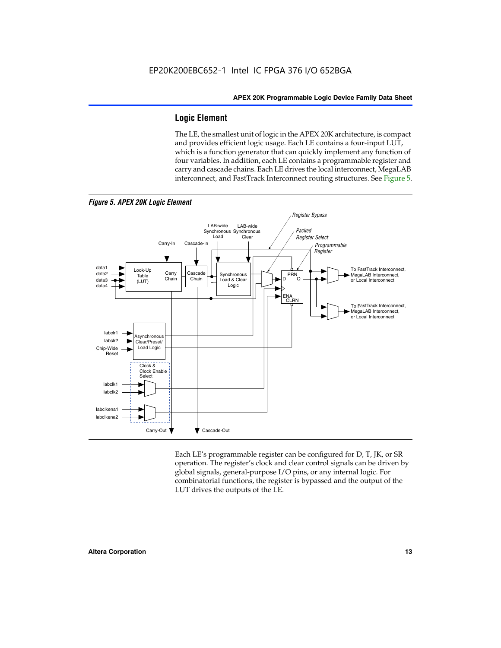# **Logic Element**

The LE, the smallest unit of logic in the APEX 20K architecture, is compact and provides efficient logic usage. Each LE contains a four-input LUT, which is a function generator that can quickly implement any function of four variables. In addition, each LE contains a programmable register and carry and cascade chains. Each LE drives the local interconnect, MegaLAB interconnect, and FastTrack Interconnect routing structures. See Figure 5.



Each LE's programmable register can be configured for D, T, JK, or SR operation. The register's clock and clear control signals can be driven by global signals, general-purpose I/O pins, or any internal logic. For combinatorial functions, the register is bypassed and the output of the LUT drives the outputs of the LE.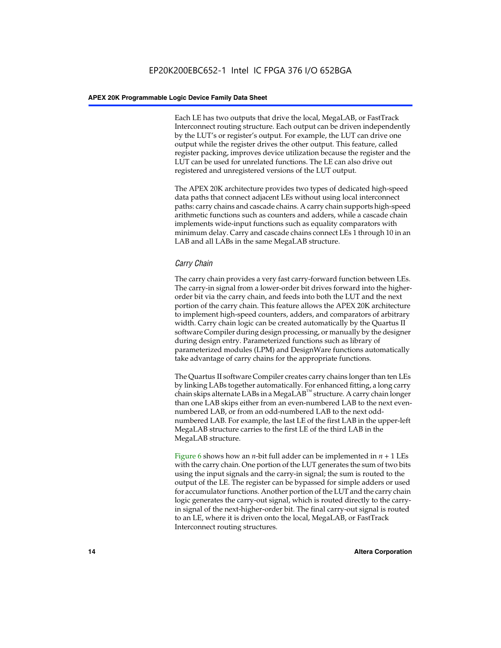Each LE has two outputs that drive the local, MegaLAB, or FastTrack Interconnect routing structure. Each output can be driven independently by the LUT's or register's output. For example, the LUT can drive one output while the register drives the other output. This feature, called register packing, improves device utilization because the register and the LUT can be used for unrelated functions. The LE can also drive out registered and unregistered versions of the LUT output.

The APEX 20K architecture provides two types of dedicated high-speed data paths that connect adjacent LEs without using local interconnect paths: carry chains and cascade chains. A carry chain supports high-speed arithmetic functions such as counters and adders, while a cascade chain implements wide-input functions such as equality comparators with minimum delay. Carry and cascade chains connect LEs 1 through 10 in an LAB and all LABs in the same MegaLAB structure.

# *Carry Chain*

The carry chain provides a very fast carry-forward function between LEs. The carry-in signal from a lower-order bit drives forward into the higherorder bit via the carry chain, and feeds into both the LUT and the next portion of the carry chain. This feature allows the APEX 20K architecture to implement high-speed counters, adders, and comparators of arbitrary width. Carry chain logic can be created automatically by the Quartus II software Compiler during design processing, or manually by the designer during design entry. Parameterized functions such as library of parameterized modules (LPM) and DesignWare functions automatically take advantage of carry chains for the appropriate functions.

The Quartus II software Compiler creates carry chains longer than ten LEs by linking LABs together automatically. For enhanced fitting, a long carry chain skips alternate LABs in a MegaLAB<sup>™</sup> structure. A carry chain longer than one LAB skips either from an even-numbered LAB to the next evennumbered LAB, or from an odd-numbered LAB to the next oddnumbered LAB. For example, the last LE of the first LAB in the upper-left MegaLAB structure carries to the first LE of the third LAB in the MegaLAB structure.

Figure 6 shows how an *n*-bit full adder can be implemented in *n* + 1 LEs with the carry chain. One portion of the LUT generates the sum of two bits using the input signals and the carry-in signal; the sum is routed to the output of the LE. The register can be bypassed for simple adders or used for accumulator functions. Another portion of the LUT and the carry chain logic generates the carry-out signal, which is routed directly to the carryin signal of the next-higher-order bit. The final carry-out signal is routed to an LE, where it is driven onto the local, MegaLAB, or FastTrack Interconnect routing structures.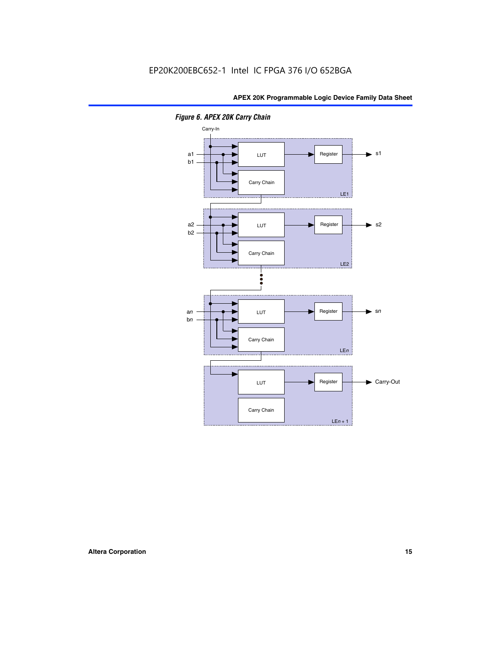

*Figure 6. APEX 20K Carry Chain*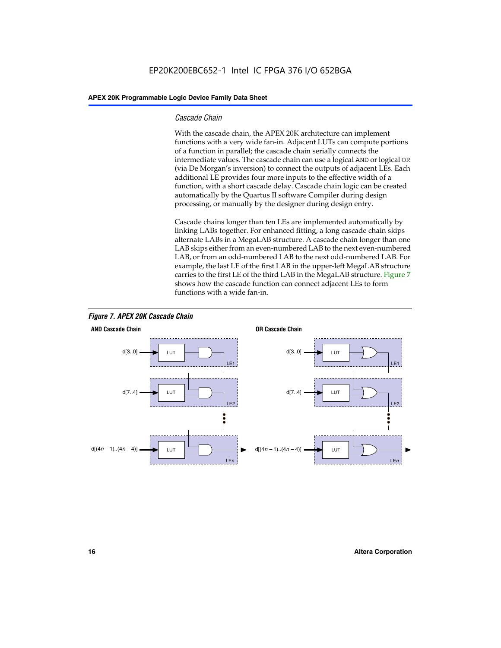## *Cascade Chain*

With the cascade chain, the APEX 20K architecture can implement functions with a very wide fan-in. Adjacent LUTs can compute portions of a function in parallel; the cascade chain serially connects the intermediate values. The cascade chain can use a logical AND or logical OR (via De Morgan's inversion) to connect the outputs of adjacent LEs. Each additional LE provides four more inputs to the effective width of a function, with a short cascade delay. Cascade chain logic can be created automatically by the Quartus II software Compiler during design processing, or manually by the designer during design entry.

Cascade chains longer than ten LEs are implemented automatically by linking LABs together. For enhanced fitting, a long cascade chain skips alternate LABs in a MegaLAB structure. A cascade chain longer than one LAB skips either from an even-numbered LAB to the next even-numbered LAB, or from an odd-numbered LAB to the next odd-numbered LAB. For example, the last LE of the first LAB in the upper-left MegaLAB structure carries to the first LE of the third LAB in the MegaLAB structure. Figure 7 shows how the cascade function can connect adjacent LEs to form functions with a wide fan-in.



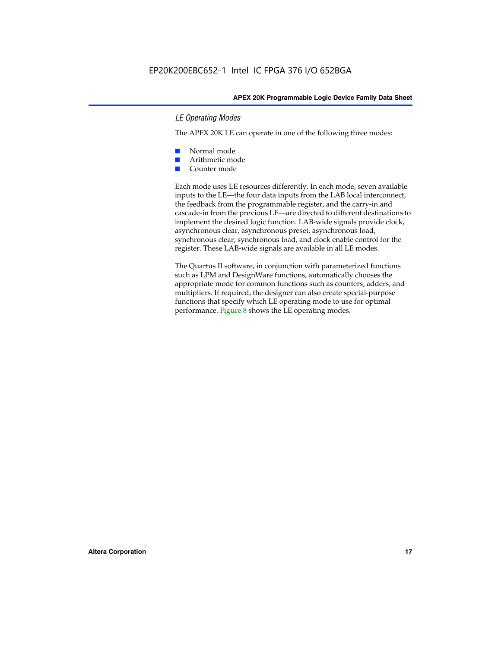# *LE Operating Modes*

The APEX 20K LE can operate in one of the following three modes:

- Normal mode
- Arithmetic mode
- Counter mode

Each mode uses LE resources differently. In each mode, seven available inputs to the LE—the four data inputs from the LAB local interconnect, the feedback from the programmable register, and the carry-in and cascade-in from the previous LE—are directed to different destinations to implement the desired logic function. LAB-wide signals provide clock, asynchronous clear, asynchronous preset, asynchronous load, synchronous clear, synchronous load, and clock enable control for the register. These LAB-wide signals are available in all LE modes.

The Quartus II software, in conjunction with parameterized functions such as LPM and DesignWare functions, automatically chooses the appropriate mode for common functions such as counters, adders, and multipliers. If required, the designer can also create special-purpose functions that specify which LE operating mode to use for optimal performance. Figure 8 shows the LE operating modes.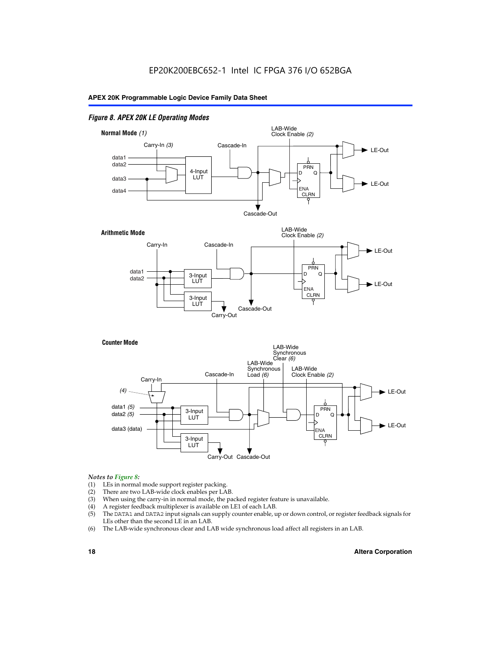# *Figure 8. APEX 20K LE Operating Modes*



#### *Notes to Figure 8:*

- (1) LEs in normal mode support register packing.
- (2) There are two LAB-wide clock enables per LAB.
- (3) When using the carry-in in normal mode, the packed register feature is unavailable.
- (4) A register feedback multiplexer is available on LE1 of each LAB.
- (5) The DATA1 and DATA2 input signals can supply counter enable, up or down control, or register feedback signals for LEs other than the second LE in an LAB.
- (6) The LAB-wide synchronous clear and LAB wide synchronous load affect all registers in an LAB.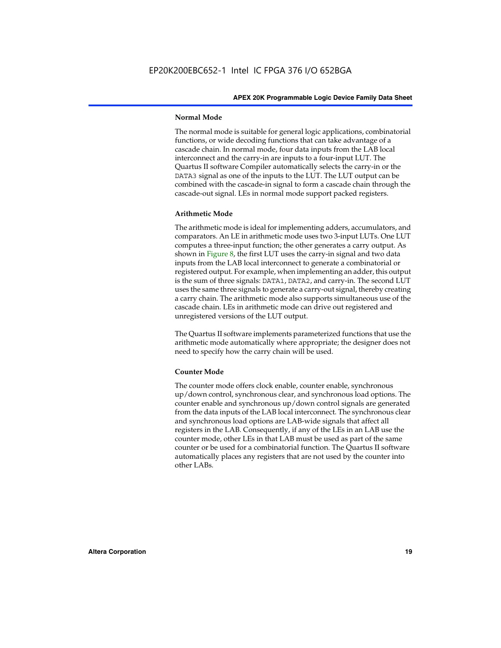#### **Normal Mode**

The normal mode is suitable for general logic applications, combinatorial functions, or wide decoding functions that can take advantage of a cascade chain. In normal mode, four data inputs from the LAB local interconnect and the carry-in are inputs to a four-input LUT. The Quartus II software Compiler automatically selects the carry-in or the DATA3 signal as one of the inputs to the LUT. The LUT output can be combined with the cascade-in signal to form a cascade chain through the cascade-out signal. LEs in normal mode support packed registers.

#### **Arithmetic Mode**

The arithmetic mode is ideal for implementing adders, accumulators, and comparators. An LE in arithmetic mode uses two 3-input LUTs. One LUT computes a three-input function; the other generates a carry output. As shown in Figure 8, the first LUT uses the carry-in signal and two data inputs from the LAB local interconnect to generate a combinatorial or registered output. For example, when implementing an adder, this output is the sum of three signals: DATA1, DATA2, and carry-in. The second LUT uses the same three signals to generate a carry-out signal, thereby creating a carry chain. The arithmetic mode also supports simultaneous use of the cascade chain. LEs in arithmetic mode can drive out registered and unregistered versions of the LUT output.

The Quartus II software implements parameterized functions that use the arithmetic mode automatically where appropriate; the designer does not need to specify how the carry chain will be used.

#### **Counter Mode**

The counter mode offers clock enable, counter enable, synchronous up/down control, synchronous clear, and synchronous load options. The counter enable and synchronous up/down control signals are generated from the data inputs of the LAB local interconnect. The synchronous clear and synchronous load options are LAB-wide signals that affect all registers in the LAB. Consequently, if any of the LEs in an LAB use the counter mode, other LEs in that LAB must be used as part of the same counter or be used for a combinatorial function. The Quartus II software automatically places any registers that are not used by the counter into other LABs.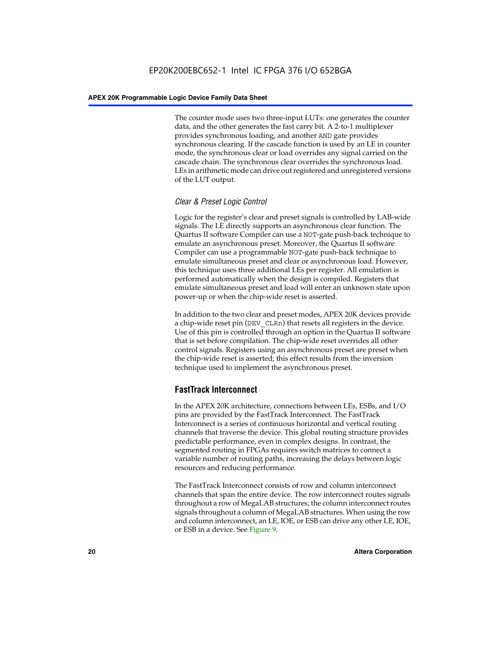The counter mode uses two three-input LUTs: one generates the counter data, and the other generates the fast carry bit. A 2-to-1 multiplexer provides synchronous loading, and another AND gate provides synchronous clearing. If the cascade function is used by an LE in counter mode, the synchronous clear or load overrides any signal carried on the cascade chain. The synchronous clear overrides the synchronous load. LEs in arithmetic mode can drive out registered and unregistered versions of the LUT output.

# *Clear & Preset Logic Control*

Logic for the register's clear and preset signals is controlled by LAB-wide signals. The LE directly supports an asynchronous clear function. The Quartus II software Compiler can use a NOT-gate push-back technique to emulate an asynchronous preset. Moreover, the Quartus II software Compiler can use a programmable NOT-gate push-back technique to emulate simultaneous preset and clear or asynchronous load. However, this technique uses three additional LEs per register. All emulation is performed automatically when the design is compiled. Registers that emulate simultaneous preset and load will enter an unknown state upon power-up or when the chip-wide reset is asserted.

In addition to the two clear and preset modes, APEX 20K devices provide a chip-wide reset pin (DEV\_CLRn) that resets all registers in the device. Use of this pin is controlled through an option in the Quartus II software that is set before compilation. The chip-wide reset overrides all other control signals. Registers using an asynchronous preset are preset when the chip-wide reset is asserted; this effect results from the inversion technique used to implement the asynchronous preset.

# **FastTrack Interconnect**

In the APEX 20K architecture, connections between LEs, ESBs, and I/O pins are provided by the FastTrack Interconnect. The FastTrack Interconnect is a series of continuous horizontal and vertical routing channels that traverse the device. This global routing structure provides predictable performance, even in complex designs. In contrast, the segmented routing in FPGAs requires switch matrices to connect a variable number of routing paths, increasing the delays between logic resources and reducing performance.

The FastTrack Interconnect consists of row and column interconnect channels that span the entire device. The row interconnect routes signals throughout a row of MegaLAB structures; the column interconnect routes signals throughout a column of MegaLAB structures. When using the row and column interconnect, an LE, IOE, or ESB can drive any other LE, IOE, or ESB in a device. See Figure 9.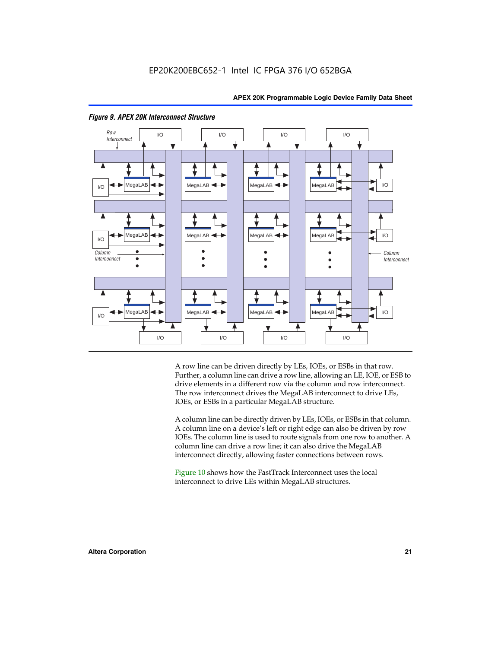

#### *Figure 9. APEX 20K Interconnect Structure*

A row line can be driven directly by LEs, IOEs, or ESBs in that row. Further, a column line can drive a row line, allowing an LE, IOE, or ESB to drive elements in a different row via the column and row interconnect. The row interconnect drives the MegaLAB interconnect to drive LEs, IOEs, or ESBs in a particular MegaLAB structure.

A column line can be directly driven by LEs, IOEs, or ESBs in that column. A column line on a device's left or right edge can also be driven by row IOEs. The column line is used to route signals from one row to another. A column line can drive a row line; it can also drive the MegaLAB interconnect directly, allowing faster connections between rows.

Figure 10 shows how the FastTrack Interconnect uses the local interconnect to drive LEs within MegaLAB structures.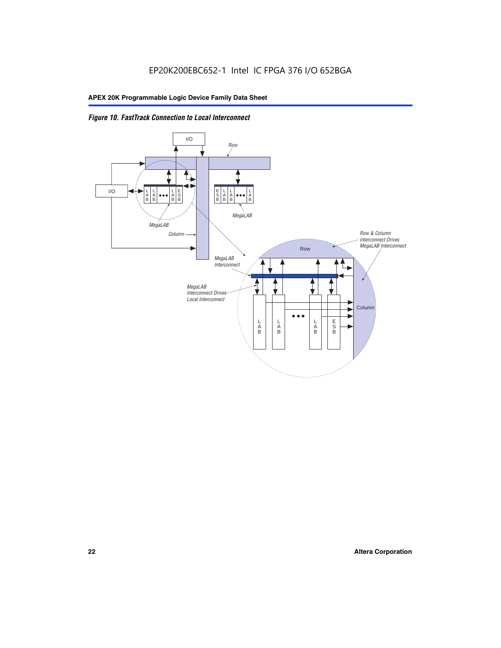

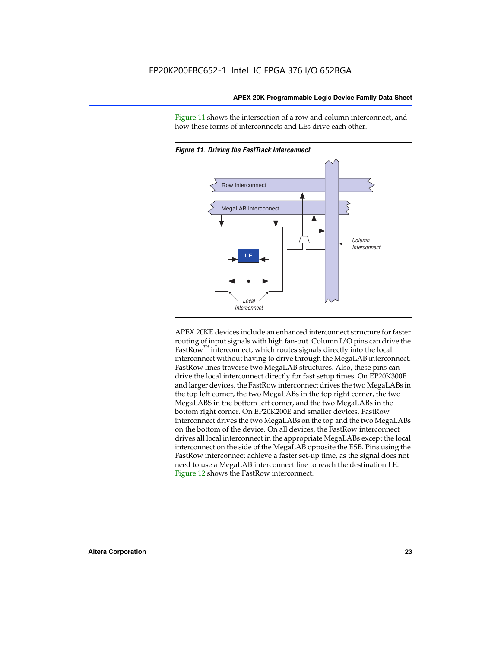Figure 11 shows the intersection of a row and column interconnect, and how these forms of interconnects and LEs drive each other.



*Figure 11. Driving the FastTrack Interconnect*

APEX 20KE devices include an enhanced interconnect structure for faster routing of input signals with high fan-out. Column I/O pins can drive the FastRow<sup>™</sup> interconnect, which routes signals directly into the local interconnect without having to drive through the MegaLAB interconnect. FastRow lines traverse two MegaLAB structures. Also, these pins can drive the local interconnect directly for fast setup times. On EP20K300E and larger devices, the FastRow interconnect drives the two MegaLABs in the top left corner, the two MegaLABs in the top right corner, the two MegaLABS in the bottom left corner, and the two MegaLABs in the bottom right corner. On EP20K200E and smaller devices, FastRow interconnect drives the two MegaLABs on the top and the two MegaLABs on the bottom of the device. On all devices, the FastRow interconnect drives all local interconnect in the appropriate MegaLABs except the local interconnect on the side of the MegaLAB opposite the ESB. Pins using the FastRow interconnect achieve a faster set-up time, as the signal does not need to use a MegaLAB interconnect line to reach the destination LE. Figure 12 shows the FastRow interconnect.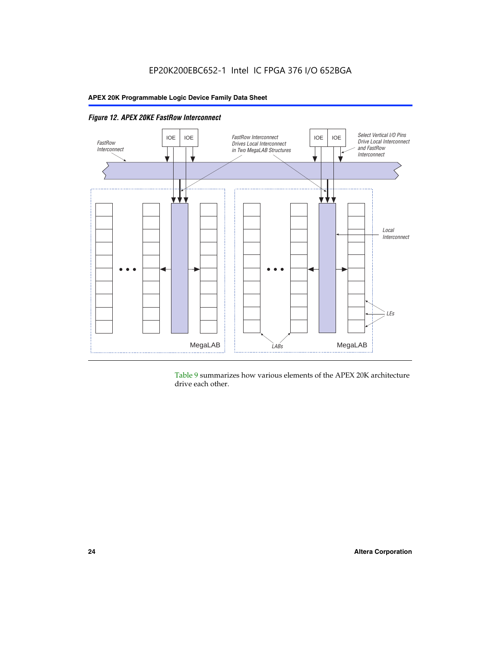

*Figure 12. APEX 20KE FastRow Interconnect*

Table 9 summarizes how various elements of the APEX 20K architecture drive each other.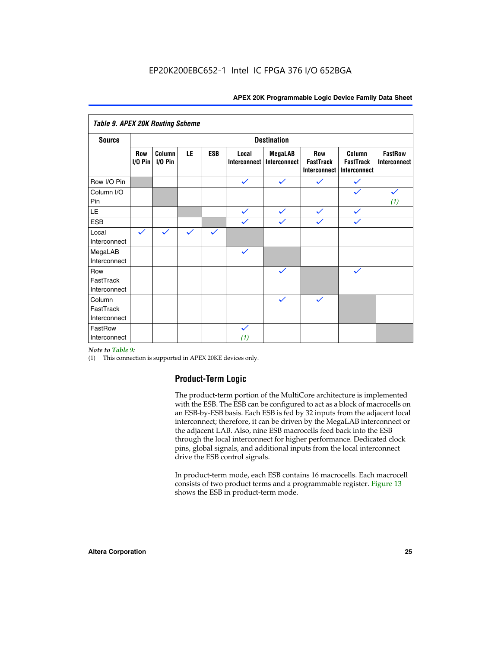| <b>Table 9. APEX 20K Routing Scheme</b> |                    |                      |              |              |                       |                                |                                                       |                                            |                                |
|-----------------------------------------|--------------------|----------------------|--------------|--------------|-----------------------|--------------------------------|-------------------------------------------------------|--------------------------------------------|--------------------------------|
| <b>Source</b>                           | <b>Destination</b> |                      |              |              |                       |                                |                                                       |                                            |                                |
|                                         | Row<br>$I/O P$ in  | Column<br>$I/O P$ in | LE           | <b>ESB</b>   | Local<br>Interconnect | <b>MegaLAB</b><br>Interconnect | <b>Row</b><br><b>FastTrack</b><br><b>Interconnect</b> | Column<br><b>FastTrack</b><br>Interconnect | <b>FastRow</b><br>Interconnect |
| Row I/O Pin                             |                    |                      |              |              | $\checkmark$          | $\checkmark$                   | $\checkmark$                                          | $\checkmark$                               |                                |
| Column I/O<br>Pin                       |                    |                      |              |              |                       |                                |                                                       |                                            | $\checkmark$<br>(1)            |
| LE                                      |                    |                      |              |              | $\checkmark$          | $\checkmark$                   | $\checkmark$                                          | $\checkmark$                               |                                |
| <b>ESB</b>                              |                    |                      |              |              | $\checkmark$          | $\checkmark$                   | $\checkmark$                                          | $\checkmark$                               |                                |
| Local<br>Interconnect                   | $\checkmark$       | $\checkmark$         | $\checkmark$ | $\checkmark$ |                       |                                |                                                       |                                            |                                |
| MegaLAB<br>Interconnect                 |                    |                      |              |              | $\checkmark$          |                                |                                                       |                                            |                                |
| Row<br>FastTrack<br>Interconnect        |                    |                      |              |              |                       | $\checkmark$                   |                                                       | $\checkmark$                               |                                |
| Column<br>FastTrack<br>Interconnect     |                    |                      |              |              |                       | $\checkmark$                   | $\checkmark$                                          |                                            |                                |
| FastRow<br>Interconnect                 |                    |                      |              |              | $\checkmark$<br>(1)   |                                |                                                       |                                            |                                |

#### *Note to Table 9:*

(1) This connection is supported in APEX 20KE devices only.

# **Product-Term Logic**

The product-term portion of the MultiCore architecture is implemented with the ESB. The ESB can be configured to act as a block of macrocells on an ESB-by-ESB basis. Each ESB is fed by 32 inputs from the adjacent local interconnect; therefore, it can be driven by the MegaLAB interconnect or the adjacent LAB. Also, nine ESB macrocells feed back into the ESB through the local interconnect for higher performance. Dedicated clock pins, global signals, and additional inputs from the local interconnect drive the ESB control signals.

In product-term mode, each ESB contains 16 macrocells. Each macrocell consists of two product terms and a programmable register. Figure 13 shows the ESB in product-term mode.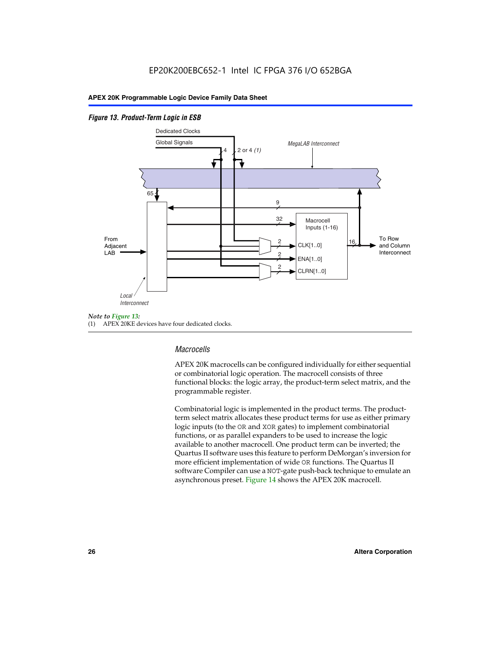### *Figure 13. Product-Term Logic in ESB*



(1) APEX 20KE devices have four dedicated clocks.

# *Macrocells*

APEX 20K macrocells can be configured individually for either sequential or combinatorial logic operation. The macrocell consists of three functional blocks: the logic array, the product-term select matrix, and the programmable register.

Combinatorial logic is implemented in the product terms. The productterm select matrix allocates these product terms for use as either primary logic inputs (to the OR and XOR gates) to implement combinatorial functions, or as parallel expanders to be used to increase the logic available to another macrocell. One product term can be inverted; the Quartus II software uses this feature to perform DeMorgan's inversion for more efficient implementation of wide OR functions. The Quartus II software Compiler can use a NOT-gate push-back technique to emulate an asynchronous preset. Figure 14 shows the APEX 20K macrocell.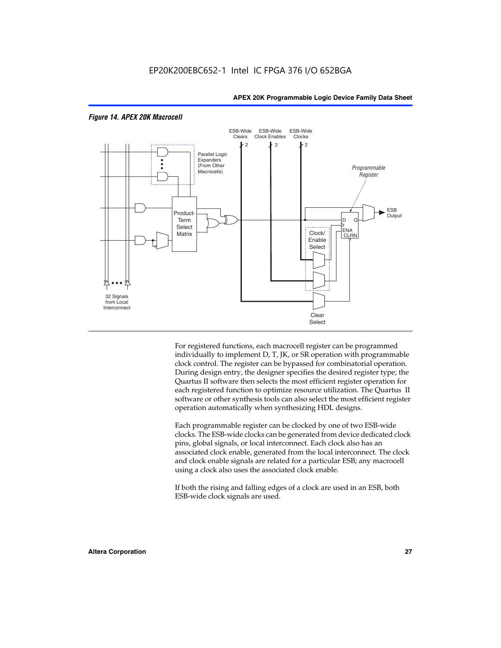

#### *Figure 14. APEX 20K Macrocell*

For registered functions, each macrocell register can be programmed individually to implement D, T, JK, or SR operation with programmable clock control. The register can be bypassed for combinatorial operation. During design entry, the designer specifies the desired register type; the Quartus II software then selects the most efficient register operation for each registered function to optimize resource utilization. The Quartus II software or other synthesis tools can also select the most efficient register operation automatically when synthesizing HDL designs.

Each programmable register can be clocked by one of two ESB-wide clocks. The ESB-wide clocks can be generated from device dedicated clock pins, global signals, or local interconnect. Each clock also has an associated clock enable, generated from the local interconnect. The clock and clock enable signals are related for a particular ESB; any macrocell using a clock also uses the associated clock enable.

If both the rising and falling edges of a clock are used in an ESB, both ESB-wide clock signals are used.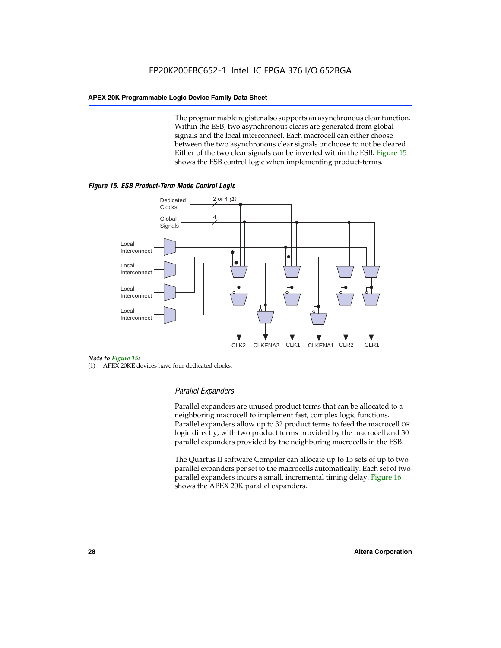The programmable register also supports an asynchronous clear function. Within the ESB, two asynchronous clears are generated from global signals and the local interconnect. Each macrocell can either choose between the two asynchronous clear signals or choose to not be cleared. Either of the two clear signals can be inverted within the ESB. Figure 15 shows the ESB control logic when implementing product-terms.





(1) APEX 20KE devices have four dedicated clocks.

# *Parallel Expanders*

Parallel expanders are unused product terms that can be allocated to a neighboring macrocell to implement fast, complex logic functions. Parallel expanders allow up to 32 product terms to feed the macrocell OR logic directly, with two product terms provided by the macrocell and 30 parallel expanders provided by the neighboring macrocells in the ESB.

The Quartus II software Compiler can allocate up to 15 sets of up to two parallel expanders per set to the macrocells automatically. Each set of two parallel expanders incurs a small, incremental timing delay. Figure 16 shows the APEX 20K parallel expanders.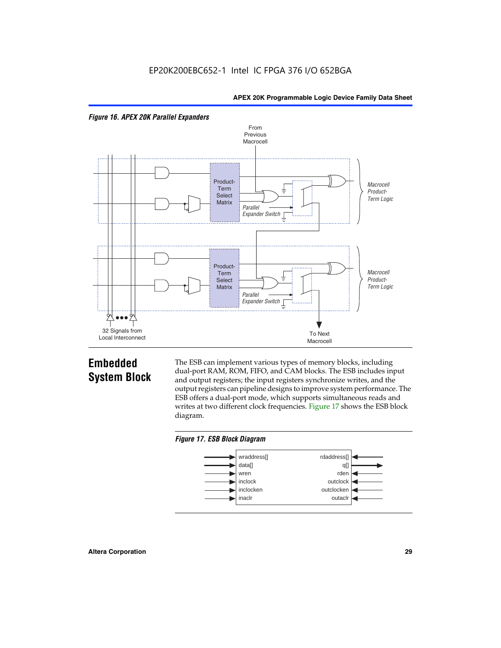



# **Embedded System Block**

The ESB can implement various types of memory blocks, including dual-port RAM, ROM, FIFO, and CAM blocks. The ESB includes input and output registers; the input registers synchronize writes, and the output registers can pipeline designs to improve system performance. The ESB offers a dual-port mode, which supports simultaneous reads and writes at two different clock frequencies. Figure 17 shows the ESB block diagram.



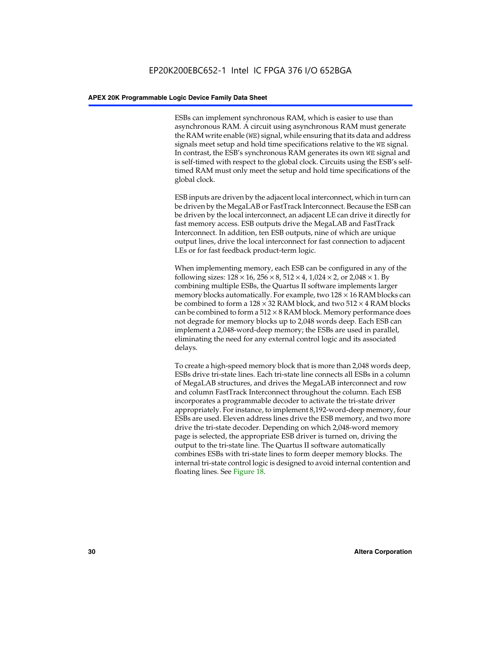ESBs can implement synchronous RAM, which is easier to use than asynchronous RAM. A circuit using asynchronous RAM must generate the RAM write enable (WE) signal, while ensuring that its data and address signals meet setup and hold time specifications relative to the WE signal. In contrast, the ESB's synchronous RAM generates its own WE signal and is self-timed with respect to the global clock. Circuits using the ESB's selftimed RAM must only meet the setup and hold time specifications of the global clock.

ESB inputs are driven by the adjacent local interconnect, which in turn can be driven by the MegaLAB or FastTrack Interconnect. Because the ESB can be driven by the local interconnect, an adjacent LE can drive it directly for fast memory access. ESB outputs drive the MegaLAB and FastTrack Interconnect. In addition, ten ESB outputs, nine of which are unique output lines, drive the local interconnect for fast connection to adjacent LEs or for fast feedback product-term logic.

When implementing memory, each ESB can be configured in any of the following sizes:  $128 \times 16$ ,  $256 \times 8$ ,  $512 \times 4$ ,  $1,024 \times 2$ , or  $2,048 \times 1$ . By combining multiple ESBs, the Quartus II software implements larger memory blocks automatically. For example, two  $128 \times 16$  RAM blocks can be combined to form a  $128 \times 32$  RAM block, and two  $512 \times 4$  RAM blocks can be combined to form a  $512 \times 8$  RAM block. Memory performance does not degrade for memory blocks up to 2,048 words deep. Each ESB can implement a 2,048-word-deep memory; the ESBs are used in parallel, eliminating the need for any external control logic and its associated delays.

To create a high-speed memory block that is more than 2,048 words deep, ESBs drive tri-state lines. Each tri-state line connects all ESBs in a column of MegaLAB structures, and drives the MegaLAB interconnect and row and column FastTrack Interconnect throughout the column. Each ESB incorporates a programmable decoder to activate the tri-state driver appropriately. For instance, to implement 8,192-word-deep memory, four ESBs are used. Eleven address lines drive the ESB memory, and two more drive the tri-state decoder. Depending on which 2,048-word memory page is selected, the appropriate ESB driver is turned on, driving the output to the tri-state line. The Quartus II software automatically combines ESBs with tri-state lines to form deeper memory blocks. The internal tri-state control logic is designed to avoid internal contention and floating lines. See Figure 18.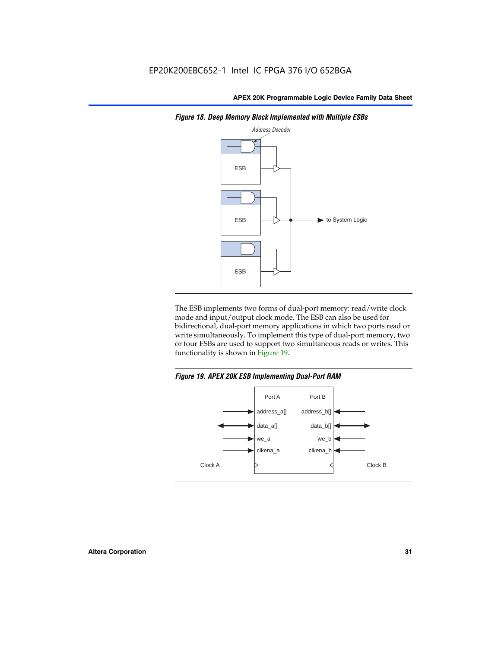

*Figure 18. Deep Memory Block Implemented with Multiple ESBs*

The ESB implements two forms of dual-port memory: read/write clock mode and input/output clock mode. The ESB can also be used for bidirectional, dual-port memory applications in which two ports read or write simultaneously. To implement this type of dual-port memory, two or four ESBs are used to support two simultaneous reads or writes. This functionality is shown in Figure 19.

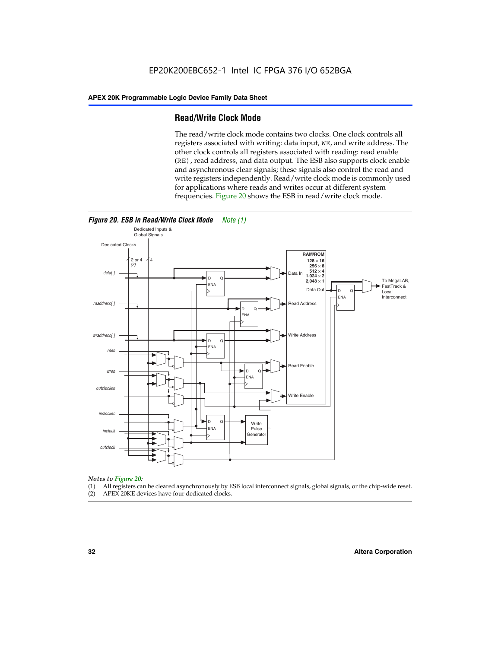# **Read/Write Clock Mode**

The read/write clock mode contains two clocks. One clock controls all registers associated with writing: data input, WE, and write address. The other clock controls all registers associated with reading: read enable (RE), read address, and data output. The ESB also supports clock enable and asynchronous clear signals; these signals also control the read and write registers independently. Read/write clock mode is commonly used for applications where reads and writes occur at different system frequencies. Figure 20 shows the ESB in read/write clock mode.



# *Notes to Figure 20:*

- (1) All registers can be cleared asynchronously by ESB local interconnect signals, global signals, or the chip-wide reset.
- (2) APEX 20KE devices have four dedicated clocks.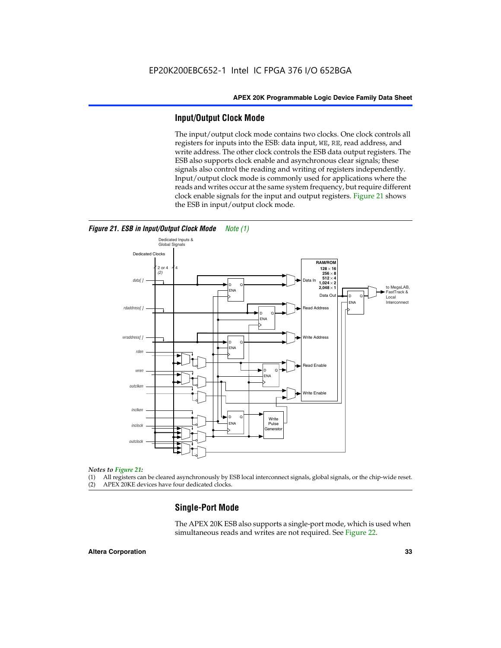# **Input/Output Clock Mode**

The input/output clock mode contains two clocks. One clock controls all registers for inputs into the ESB: data input, WE, RE, read address, and write address. The other clock controls the ESB data output registers. The ESB also supports clock enable and asynchronous clear signals; these signals also control the reading and writing of registers independently. Input/output clock mode is commonly used for applications where the reads and writes occur at the same system frequency, but require different clock enable signals for the input and output registers. Figure 21 shows the ESB in input/output clock mode.



#### *Figure 21. ESB in Input/Output Clock Mode Note (1)*

#### *Notes to Figure 21:*

(1) All registers can be cleared asynchronously by ESB local interconnect signals, global signals, or the chip-wide reset.

(2) APEX 20KE devices have four dedicated clocks.

# **Single-Port Mode**

The APEX 20K ESB also supports a single-port mode, which is used when simultaneous reads and writes are not required. See Figure 22.

#### **Altera Corporation 33**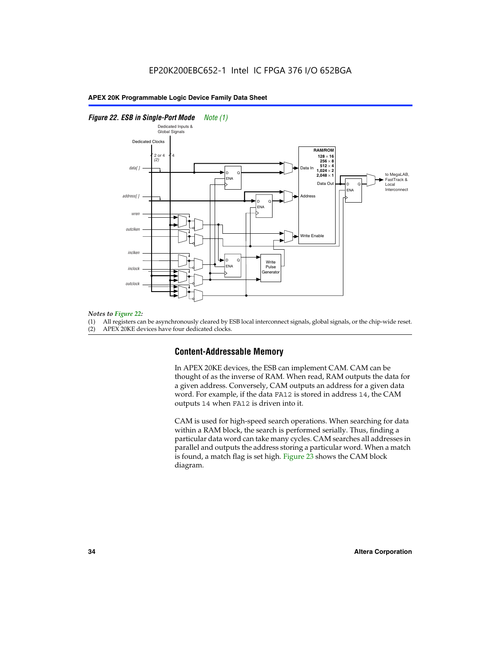### *Figure 22. ESB in Single-Port Mode Note (1)*



#### *Notes to Figure 22:*

(1) All registers can be asynchronously cleared by ESB local interconnect signals, global signals, or the chip-wide reset.

(2) APEX 20KE devices have four dedicated clocks.

# **Content-Addressable Memory**

In APEX 20KE devices, the ESB can implement CAM. CAM can be thought of as the inverse of RAM. When read, RAM outputs the data for a given address. Conversely, CAM outputs an address for a given data word. For example, if the data FA12 is stored in address 14, the CAM outputs 14 when FA12 is driven into it.

CAM is used for high-speed search operations. When searching for data within a RAM block, the search is performed serially. Thus, finding a particular data word can take many cycles. CAM searches all addresses in parallel and outputs the address storing a particular word. When a match is found, a match flag is set high. Figure 23 shows the CAM block diagram.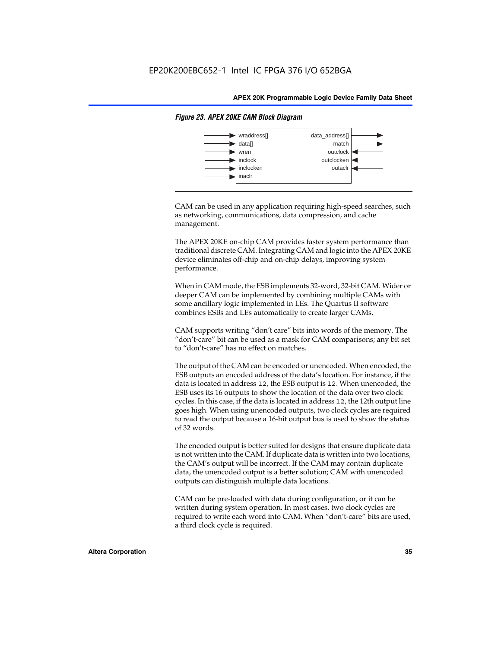

#### *Figure 23. APEX 20KE CAM Block Diagram*

CAM can be used in any application requiring high-speed searches, such as networking, communications, data compression, and cache management.

The APEX 20KE on-chip CAM provides faster system performance than traditional discrete CAM. Integrating CAM and logic into the APEX 20KE device eliminates off-chip and on-chip delays, improving system performance.

When in CAM mode, the ESB implements 32-word, 32-bit CAM. Wider or deeper CAM can be implemented by combining multiple CAMs with some ancillary logic implemented in LEs. The Quartus II software combines ESBs and LEs automatically to create larger CAMs.

CAM supports writing "don't care" bits into words of the memory. The "don't-care" bit can be used as a mask for CAM comparisons; any bit set to "don't-care" has no effect on matches.

The output of the CAM can be encoded or unencoded. When encoded, the ESB outputs an encoded address of the data's location. For instance, if the data is located in address 12, the ESB output is 12. When unencoded, the ESB uses its 16 outputs to show the location of the data over two clock cycles. In this case, if the data is located in address 12, the 12th output line goes high. When using unencoded outputs, two clock cycles are required to read the output because a 16-bit output bus is used to show the status of 32 words.

The encoded output is better suited for designs that ensure duplicate data is not written into the CAM. If duplicate data is written into two locations, the CAM's output will be incorrect. If the CAM may contain duplicate data, the unencoded output is a better solution; CAM with unencoded outputs can distinguish multiple data locations.

CAM can be pre-loaded with data during configuration, or it can be written during system operation. In most cases, two clock cycles are required to write each word into CAM. When "don't-care" bits are used, a third clock cycle is required.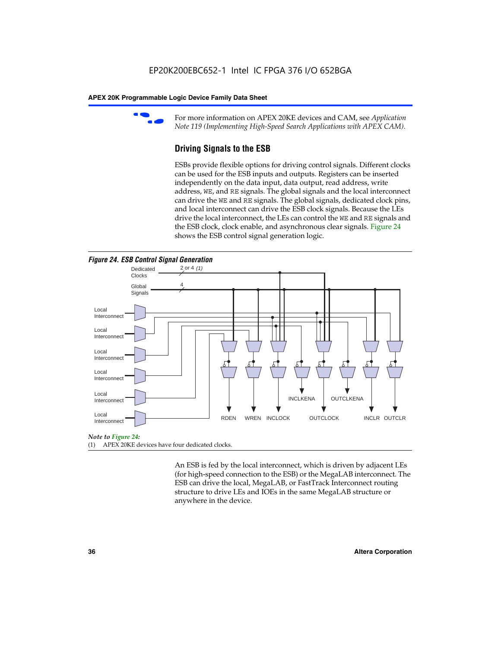

For more information on APEX 20KE devices and CAM, see *Application Note 119 (Implementing High-Speed Search Applications with APEX CAM).*

# **Driving Signals to the ESB**

ESBs provide flexible options for driving control signals. Different clocks can be used for the ESB inputs and outputs. Registers can be inserted independently on the data input, data output, read address, write address, WE, and RE signals. The global signals and the local interconnect can drive the WE and RE signals. The global signals, dedicated clock pins, and local interconnect can drive the ESB clock signals. Because the LEs drive the local interconnect, the LEs can control the WE and RE signals and the ESB clock, clock enable, and asynchronous clear signals. Figure 24 shows the ESB control signal generation logic.





#### *Note to Figure 24:*

(1) APEX 20KE devices have four dedicated clocks.

An ESB is fed by the local interconnect, which is driven by adjacent LEs (for high-speed connection to the ESB) or the MegaLAB interconnect. The ESB can drive the local, MegaLAB, or FastTrack Interconnect routing structure to drive LEs and IOEs in the same MegaLAB structure or anywhere in the device.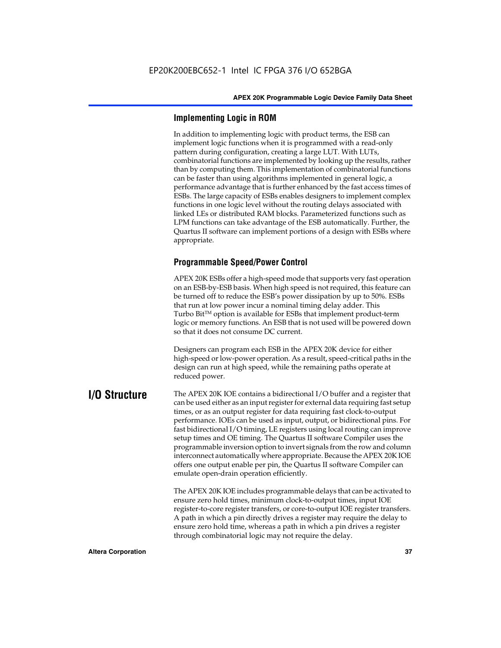# **Implementing Logic in ROM**

In addition to implementing logic with product terms, the ESB can implement logic functions when it is programmed with a read-only pattern during configuration, creating a large LUT. With LUTs, combinatorial functions are implemented by looking up the results, rather than by computing them. This implementation of combinatorial functions can be faster than using algorithms implemented in general logic, a performance advantage that is further enhanced by the fast access times of ESBs. The large capacity of ESBs enables designers to implement complex functions in one logic level without the routing delays associated with linked LEs or distributed RAM blocks. Parameterized functions such as LPM functions can take advantage of the ESB automatically. Further, the Quartus II software can implement portions of a design with ESBs where appropriate.

# **Programmable Speed/Power Control**

APEX 20K ESBs offer a high-speed mode that supports very fast operation on an ESB-by-ESB basis. When high speed is not required, this feature can be turned off to reduce the ESB's power dissipation by up to 50%. ESBs that run at low power incur a nominal timing delay adder. This Turbo  $Bit^{TM}$  option is available for ESBs that implement product-term logic or memory functions. An ESB that is not used will be powered down so that it does not consume DC current.

Designers can program each ESB in the APEX 20K device for either high-speed or low-power operation. As a result, speed-critical paths in the design can run at high speed, while the remaining paths operate at reduced power.

**I/O Structure** The APEX 20K IOE contains a bidirectional I/O buffer and a register that can be used either as an input register for external data requiring fast setup times, or as an output register for data requiring fast clock-to-output performance. IOEs can be used as input, output, or bidirectional pins. For fast bidirectional I/O timing, LE registers using local routing can improve setup times and OE timing. The Quartus II software Compiler uses the programmable inversion option to invert signals from the row and column interconnect automatically where appropriate. Because the APEX 20K IOE offers one output enable per pin, the Quartus II software Compiler can emulate open-drain operation efficiently.

> The APEX 20K IOE includes programmable delays that can be activated to ensure zero hold times, minimum clock-to-output times, input IOE register-to-core register transfers, or core-to-output IOE register transfers. A path in which a pin directly drives a register may require the delay to ensure zero hold time, whereas a path in which a pin drives a register through combinatorial logic may not require the delay.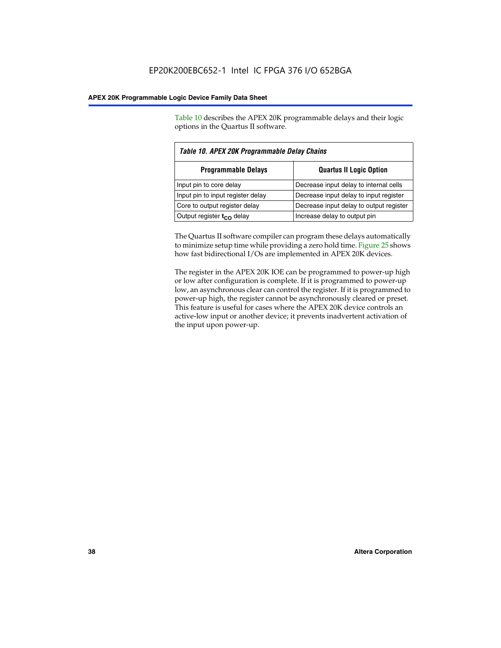Table 10 describes the APEX 20K programmable delays and their logic options in the Quartus II software.

| Table 10. APEX 20K Programmable Delay Chains |                                         |  |  |
|----------------------------------------------|-----------------------------------------|--|--|
| <b>Programmable Delays</b>                   | <b>Quartus II Logic Option</b>          |  |  |
| Input pin to core delay                      | Decrease input delay to internal cells  |  |  |
| Input pin to input register delay            | Decrease input delay to input register  |  |  |
| Core to output register delay                | Decrease input delay to output register |  |  |
| Output register $t_{\rm CO}$ delay           | Increase delay to output pin            |  |  |

The Quartus II software compiler can program these delays automatically to minimize setup time while providing a zero hold time. Figure 25 shows how fast bidirectional I/Os are implemented in APEX 20K devices.

The register in the APEX 20K IOE can be programmed to power-up high or low after configuration is complete. If it is programmed to power-up low, an asynchronous clear can control the register. If it is programmed to power-up high, the register cannot be asynchronously cleared or preset. This feature is useful for cases where the APEX 20K device controls an active-low input or another device; it prevents inadvertent activation of the input upon power-up.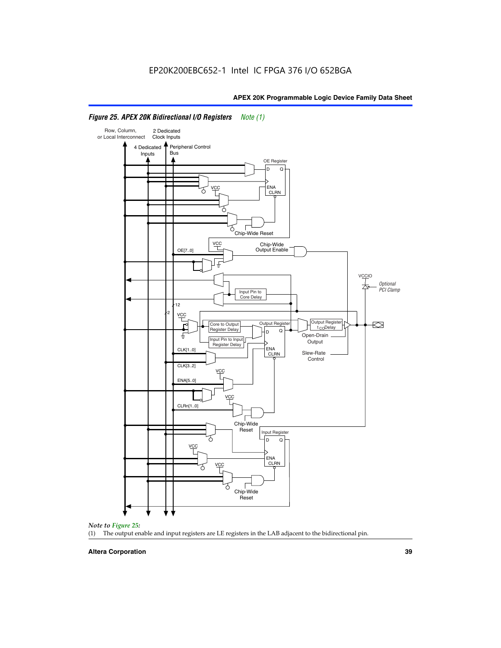

# *Figure 25. APEX 20K Bidirectional I/O Registers Note (1)*



#### **Altera Corporation 39**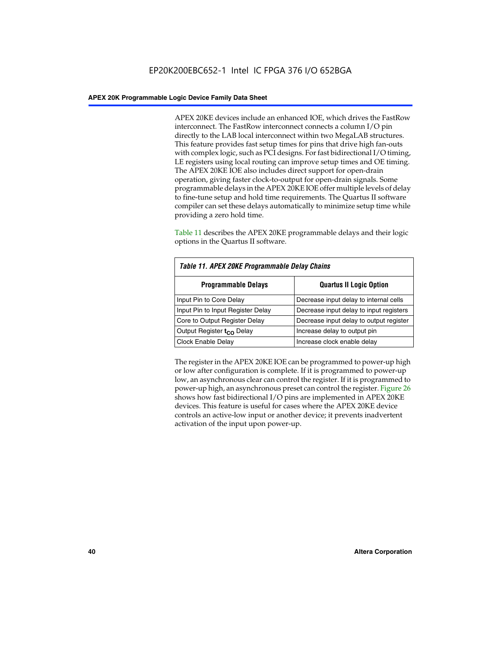APEX 20KE devices include an enhanced IOE, which drives the FastRow interconnect. The FastRow interconnect connects a column I/O pin directly to the LAB local interconnect within two MegaLAB structures. This feature provides fast setup times for pins that drive high fan-outs with complex logic, such as PCI designs. For fast bidirectional I/O timing, LE registers using local routing can improve setup times and OE timing. The APEX 20KE IOE also includes direct support for open-drain operation, giving faster clock-to-output for open-drain signals. Some programmable delays in the APEX 20KE IOE offer multiple levels of delay to fine-tune setup and hold time requirements. The Quartus II software compiler can set these delays automatically to minimize setup time while providing a zero hold time.

Table 11 describes the APEX 20KE programmable delays and their logic options in the Quartus II software.

| Table 11. APEX 20KE Programmable Delay Chains |                                         |  |  |  |
|-----------------------------------------------|-----------------------------------------|--|--|--|
| <b>Programmable Delays</b>                    | <b>Quartus II Logic Option</b>          |  |  |  |
| Input Pin to Core Delay                       | Decrease input delay to internal cells  |  |  |  |
| Input Pin to Input Register Delay             | Decrease input delay to input registers |  |  |  |
| Core to Output Register Delay                 | Decrease input delay to output register |  |  |  |
| Output Register t <sub>CO</sub> Delay         | Increase delay to output pin            |  |  |  |
| <b>Clock Enable Delay</b>                     | Increase clock enable delay             |  |  |  |

The register in the APEX 20KE IOE can be programmed to power-up high or low after configuration is complete. If it is programmed to power-up low, an asynchronous clear can control the register. If it is programmed to power-up high, an asynchronous preset can control the register. Figure 26 shows how fast bidirectional I/O pins are implemented in APEX 20KE devices. This feature is useful for cases where the APEX 20KE device controls an active-low input or another device; it prevents inadvertent activation of the input upon power-up.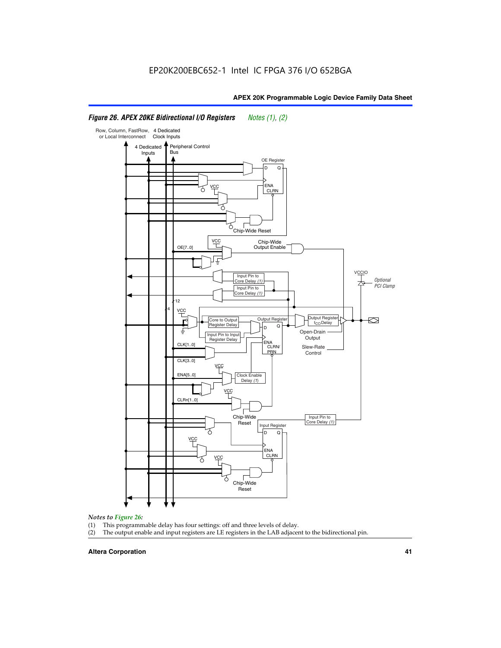#### Row, Column, FastRow, 4 Dedicated or Local Interconnect Clock Inputs Peripheral Control 4 Dedicated **Bus** Inputs OE Register D Q ENA VCC CLRN 7 Chip-Wide Reset YCC Chip-Wide Output Enable OE[7..0] VC Input Pin to **Optional** Core Delay (1) PCI Clamp Input Pin to Core Delay (1) 12 4 **VCC** Output Register **Output Registe**  $\approx$ Core to Output | Output Hegister | Durbut Tropieding | Contput Tropieding | Durbut Tropieding | Output Tropied<br>Register Delay | Durbut Tropieding | Contput Tropieding | Contput Tropieding | O t<sub>CO</sub>Delay  $D$  Q ŧ Open-Drain Input Pin to Input **Output** Register Delay ENA CLK[1..0] CLRN/ Slew-Rate PR<sub>N</sub> Control CLK[3..0] VCC ENA[5..0] Clock Enable Delay (1) VCC CLRn[1..0] Chip-Wide Input Pin to Core Delay (1) Reset Input Register D Q <u>vcc</u> .<br>ENA CLRN **VCC** Chip-Wide Reset

# *Figure 26. APEX 20KE Bidirectional I/O Registers Notes (1), (2)*

#### *Notes to Figure 26:*

- (1) This programmable delay has four settings: off and three levels of delay.<br>(2) The output enable and input registers are LE registers in the LAB adjacer
- The output enable and input registers are LE registers in the LAB adjacent to the bidirectional pin.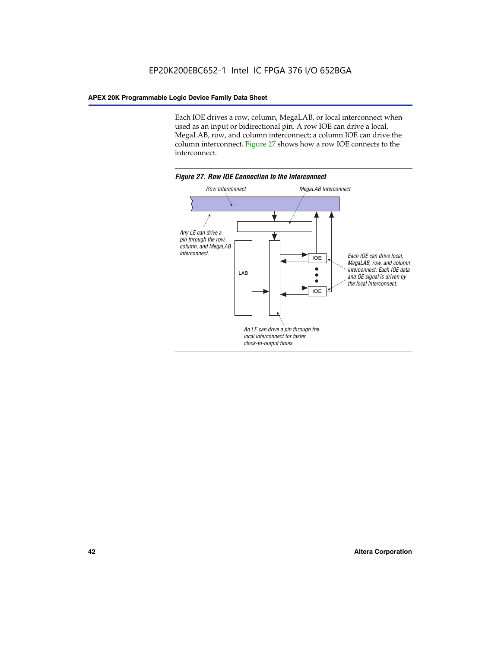Each IOE drives a row, column, MegaLAB, or local interconnect when used as an input or bidirectional pin. A row IOE can drive a local, MegaLAB, row, and column interconnect; a column IOE can drive the column interconnect. Figure 27 shows how a row IOE connects to the interconnect.

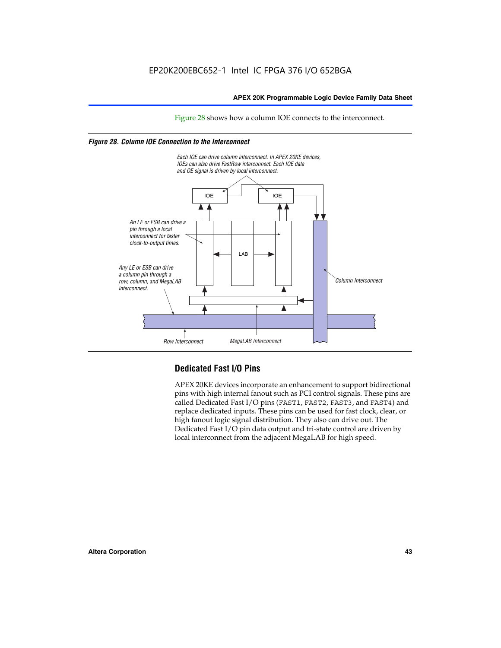Figure 28 shows how a column IOE connects to the interconnect.

# *Figure 28. Column IOE Connection to the Interconnect*



# **Dedicated Fast I/O Pins**

APEX 20KE devices incorporate an enhancement to support bidirectional pins with high internal fanout such as PCI control signals. These pins are called Dedicated Fast I/O pins (FAST1, FAST2, FAST3, and FAST4) and replace dedicated inputs. These pins can be used for fast clock, clear, or high fanout logic signal distribution. They also can drive out. The Dedicated Fast I/O pin data output and tri-state control are driven by local interconnect from the adjacent MegaLAB for high speed.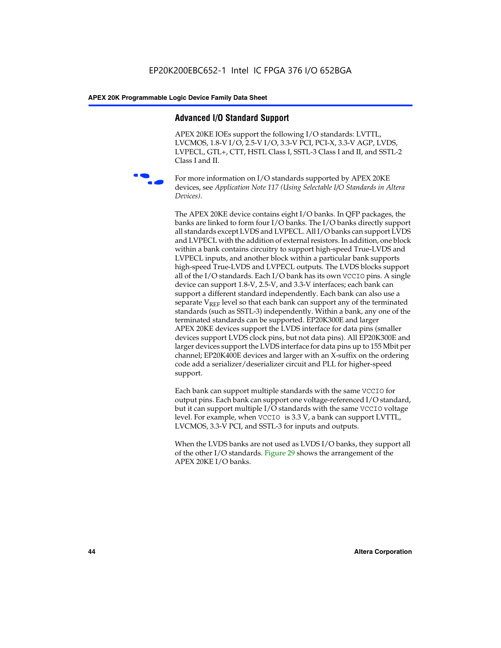# **Advanced I/O Standard Support**

APEX 20KE IOEs support the following I/O standards: LVTTL, LVCMOS, 1.8-V I/O, 2.5-V I/O, 3.3-V PCI, PCI-X, 3.3-V AGP, LVDS, LVPECL, GTL+, CTT, HSTL Class I, SSTL-3 Class I and II, and SSTL-2 Class I and II.



For more information on I/O standards supported by APEX 20KE devices, see *Application Note 117 (Using Selectable I/O Standards in Altera Devices)*.

The APEX 20KE device contains eight I/O banks. In QFP packages, the banks are linked to form four I/O banks. The I/O banks directly support all standards except LVDS and LVPECL. All I/O banks can support LVDS and LVPECL with the addition of external resistors. In addition, one block within a bank contains circuitry to support high-speed True-LVDS and LVPECL inputs, and another block within a particular bank supports high-speed True-LVDS and LVPECL outputs. The LVDS blocks support all of the I/O standards. Each I/O bank has its own VCCIO pins. A single device can support 1.8-V, 2.5-V, and 3.3-V interfaces; each bank can support a different standard independently. Each bank can also use a separate  $V_{\text{REF}}$  level so that each bank can support any of the terminated standards (such as SSTL-3) independently. Within a bank, any one of the terminated standards can be supported. EP20K300E and larger APEX 20KE devices support the LVDS interface for data pins (smaller devices support LVDS clock pins, but not data pins). All EP20K300E and larger devices support the LVDS interface for data pins up to 155 Mbit per channel; EP20K400E devices and larger with an X-suffix on the ordering code add a serializer/deserializer circuit and PLL for higher-speed support.

Each bank can support multiple standards with the same VCCIO for output pins. Each bank can support one voltage-referenced I/O standard, but it can support multiple I/O standards with the same VCCIO voltage level. For example, when VCCIO is 3.3 V, a bank can support LVTTL, LVCMOS, 3.3-V PCI, and SSTL-3 for inputs and outputs.

When the LVDS banks are not used as LVDS I/O banks, they support all of the other I/O standards. Figure 29 shows the arrangement of the APEX 20KE I/O banks.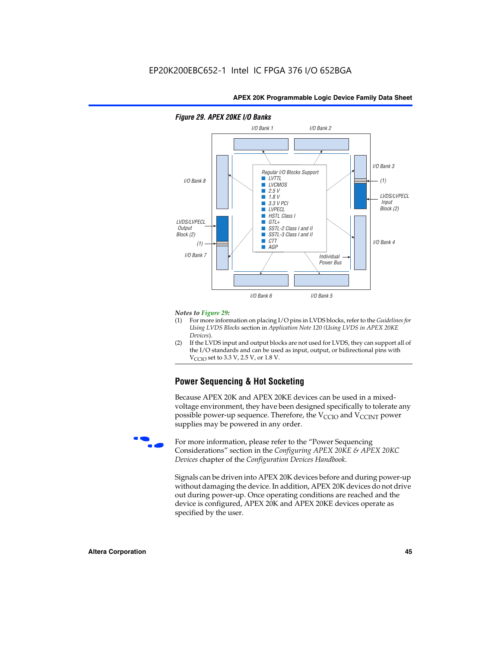

## *Figure 29. APEX 20KE I/O Banks*

#### *Notes to Figure 29:*

- (1) For more information on placing I/O pins in LVDS blocks, refer to the *Guidelines for Using LVDS Blocks* section in *Application Note 120 (Using LVDS in APEX 20KE Devices*).
- (2) If the LVDS input and output blocks are not used for LVDS, they can support all of the I/O standards and can be used as input, output, or bidirectional pins with  $V_{\text{C} \cap \text{O}}$  set to 3.3 V, 2.5 V, or 1.8 V.

# **Power Sequencing & Hot Socketing**

Because APEX 20K and APEX 20KE devices can be used in a mixedvoltage environment, they have been designed specifically to tolerate any possible power-up sequence. Therefore, the  $V_{\text{CCIO}}$  and  $V_{\text{CCINT}}$  power supplies may be powered in any order.

For more information, please refer to the "Power Sequencing Considerations" section in the *Configuring APEX 20KE & APEX 20KC Devices* chapter of the *Configuration Devices Handbook*.

Signals can be driven into APEX 20K devices before and during power-up without damaging the device. In addition, APEX 20K devices do not drive out during power-up. Once operating conditions are reached and the device is configured, APEX 20K and APEX 20KE devices operate as specified by the user.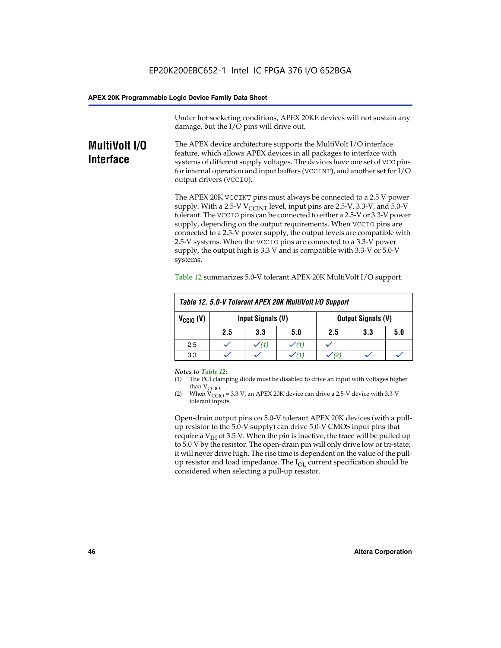Under hot socketing conditions, APEX 20KE devices will not sustain any damage, but the I/O pins will drive out.

# **MultiVolt I/O Interface**

The APEX device architecture supports the MultiVolt I/O interface feature, which allows APEX devices in all packages to interface with systems of different supply voltages. The devices have one set of VCC pins for internal operation and input buffers (VCCINT), and another set for I/O output drivers (VCCIO).

The APEX 20K VCCINT pins must always be connected to a 2.5 V power supply. With a 2.5-V  $V_{\text{CCMT}}$  level, input pins are 2.5-V, 3.3-V, and 5.0-V tolerant. The VCCIO pins can be connected to either a 2.5-V or 3.3-V power supply, depending on the output requirements. When VCCIO pins are connected to a 2.5-V power supply, the output levels are compatible with 2.5-V systems. When the VCCIO pins are connected to a 3.3-V power supply, the output high is 3.3 V and is compatible with 3.3-V or 5.0-V systems.

| Table 12. 5.0-V Tolerant APEX 20K MultiVolt I/O Support |                                                |                  |     |     |     |     |
|---------------------------------------------------------|------------------------------------------------|------------------|-----|-----|-----|-----|
| $V_{\text{CCIO}}(V)$                                    | Input Signals (V)<br><b>Output Signals (V)</b> |                  |     |     |     |     |
|                                                         | 2.5                                            | 3.3              | 5.0 | 2.5 | 3.3 | 5.0 |
| 2.5                                                     |                                                | $\checkmark$ (1) |     |     |     |     |
| 3.3                                                     |                                                |                  |     |     |     |     |

Table 12 summarizes 5.0-V tolerant APEX 20K MultiVolt I/O support.

#### *Notes to Table 12:*

- (1) The PCI clamping diode must be disabled to drive an input with voltages higher than  $V_{CCIO}$ .
- (2) When  $V_{CCIO} = 3.3 V$ , an APEX 20K device can drive a 2.5-V device with 3.3-V tolerant inputs.

Open-drain output pins on 5.0-V tolerant APEX 20K devices (with a pullup resistor to the 5.0-V supply) can drive 5.0-V CMOS input pins that require a  $V_{IH}$  of 3.5 V. When the pin is inactive, the trace will be pulled up to 5.0 V by the resistor. The open-drain pin will only drive low or tri-state; it will never drive high. The rise time is dependent on the value of the pullup resistor and load impedance. The  $I_{OI}$  current specification should be considered when selecting a pull-up resistor.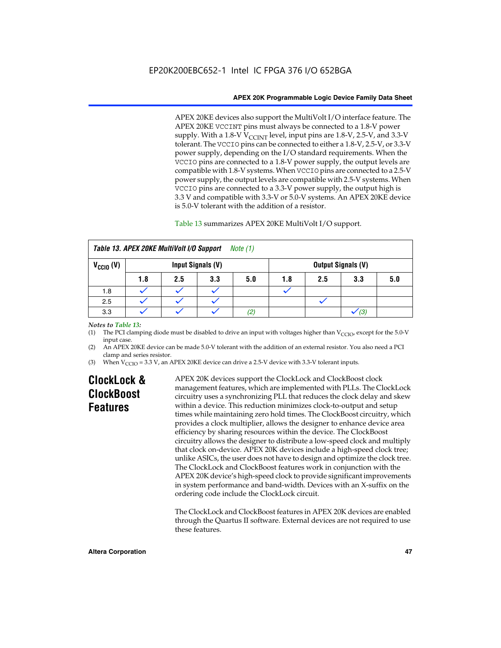APEX 20KE devices also support the MultiVolt I/O interface feature. The APEX 20KE VCCINT pins must always be connected to a 1.8-V power supply. With a 1.8-V  $V_{\text{CCINT}}$  level, input pins are 1.8-V, 2.5-V, and 3.3-V tolerant. The VCCIO pins can be connected to either a 1.8-V, 2.5-V, or 3.3-V power supply, depending on the I/O standard requirements. When the VCCIO pins are connected to a 1.8-V power supply, the output levels are compatible with 1.8-V systems. When VCCIO pins are connected to a 2.5-V power supply, the output levels are compatible with 2.5-V systems. When VCCIO pins are connected to a 3.3-V power supply, the output high is 3.3 V and compatible with 3.3-V or 5.0-V systems. An APEX 20KE device is 5.0-V tolerant with the addition of a resistor.

# Table 13 summarizes APEX 20KE MultiVolt I/O support.

|                                                  | Table 13. APEX 20KE MultiVolt I/O Support<br><i>Note</i> $(1)$ |     |     |     |     |                           |     |     |
|--------------------------------------------------|----------------------------------------------------------------|-----|-----|-----|-----|---------------------------|-----|-----|
| $V_{\text{CCIO}}(V)$<br><b>Input Signals (V)</b> |                                                                |     |     |     |     | <b>Output Signals (V)</b> |     |     |
|                                                  | 1.8                                                            | 2.5 | 3.3 | 5.0 | 1.8 | 2.5                       | 3.3 | 5.0 |
| 1.8                                              |                                                                |     |     |     |     |                           |     |     |
| 2.5                                              |                                                                |     |     |     |     |                           |     |     |
| 3.3                                              |                                                                |     |     | (2, |     |                           | (3) |     |

## *Notes to Table 13:*

(1) The PCI clamping diode must be disabled to drive an input with voltages higher than  $V_{CCIO}$ , except for the 5.0-V input case.

(2) An APEX 20KE device can be made 5.0-V tolerant with the addition of an external resistor. You also need a PCI clamp and series resistor.

(3) When  $V_{\text{CCIO}} = 3.3$  V, an APEX 20KE device can drive a 2.5-V device with 3.3-V tolerant inputs.

# **ClockLock & ClockBoost Features**

APEX 20K devices support the ClockLock and ClockBoost clock management features, which are implemented with PLLs. The ClockLock circuitry uses a synchronizing PLL that reduces the clock delay and skew within a device. This reduction minimizes clock-to-output and setup times while maintaining zero hold times. The ClockBoost circuitry, which provides a clock multiplier, allows the designer to enhance device area efficiency by sharing resources within the device. The ClockBoost circuitry allows the designer to distribute a low-speed clock and multiply that clock on-device. APEX 20K devices include a high-speed clock tree; unlike ASICs, the user does not have to design and optimize the clock tree. The ClockLock and ClockBoost features work in conjunction with the APEX 20K device's high-speed clock to provide significant improvements in system performance and band-width. Devices with an X-suffix on the ordering code include the ClockLock circuit.

The ClockLock and ClockBoost features in APEX 20K devices are enabled through the Quartus II software. External devices are not required to use these features.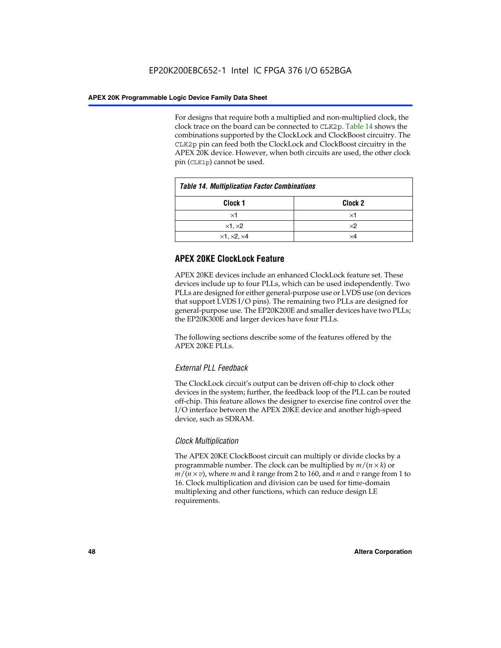For designs that require both a multiplied and non-multiplied clock, the clock trace on the board can be connected to CLK2p. Table 14 shows the combinations supported by the ClockLock and ClockBoost circuitry. The CLK2p pin can feed both the ClockLock and ClockBoost circuitry in the APEX 20K device. However, when both circuits are used, the other clock pin (CLK1p) cannot be used.

| <b>Table 14. Multiplication Factor Combinations</b> |                    |  |
|-----------------------------------------------------|--------------------|--|
| Clock 1                                             | Clock <sub>2</sub> |  |
| ×1                                                  | ×1                 |  |
| $\times$ 1, $\times$ 2                              | $\times 2$         |  |
| $\times$ 1, $\times$ 2, $\times$ 4                  | ×4                 |  |

# **APEX 20KE ClockLock Feature**

APEX 20KE devices include an enhanced ClockLock feature set. These devices include up to four PLLs, which can be used independently. Two PLLs are designed for either general-purpose use or LVDS use (on devices that support LVDS I/O pins). The remaining two PLLs are designed for general-purpose use. The EP20K200E and smaller devices have two PLLs; the EP20K300E and larger devices have four PLLs.

The following sections describe some of the features offered by the APEX 20KE PLLs.

# *External PLL Feedback*

The ClockLock circuit's output can be driven off-chip to clock other devices in the system; further, the feedback loop of the PLL can be routed off-chip. This feature allows the designer to exercise fine control over the I/O interface between the APEX 20KE device and another high-speed device, such as SDRAM.

# *Clock Multiplication*

The APEX 20KE ClockBoost circuit can multiply or divide clocks by a programmable number. The clock can be multiplied by *m*/(*n* × *k*) or  $m/(n \times v)$ , where *m* and *k* range from 2 to 160, and *n* and *v* range from 1 to 16. Clock multiplication and division can be used for time-domain multiplexing and other functions, which can reduce design LE requirements.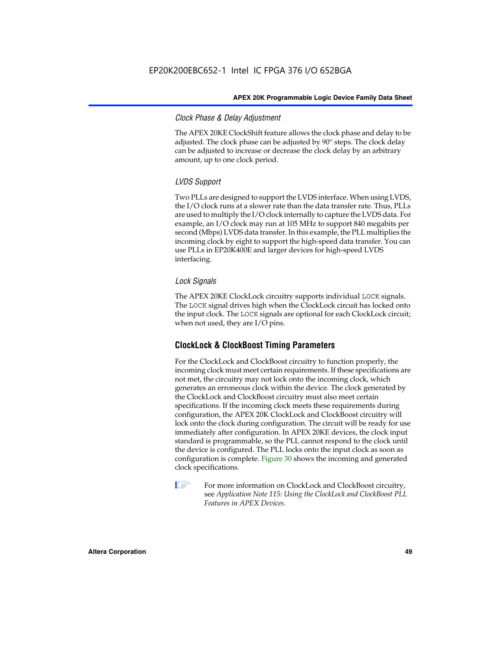# *Clock Phase & Delay Adjustment*

The APEX 20KE ClockShift feature allows the clock phase and delay to be adjusted. The clock phase can be adjusted by 90° steps. The clock delay can be adjusted to increase or decrease the clock delay by an arbitrary amount, up to one clock period.

# *LVDS Support*

Two PLLs are designed to support the LVDS interface. When using LVDS, the I/O clock runs at a slower rate than the data transfer rate. Thus, PLLs are used to multiply the I/O clock internally to capture the LVDS data. For example, an I/O clock may run at 105 MHz to support 840 megabits per second (Mbps) LVDS data transfer. In this example, the PLL multiplies the incoming clock by eight to support the high-speed data transfer. You can use PLLs in EP20K400E and larger devices for high-speed LVDS interfacing.

# *Lock Signals*

The APEX 20KE ClockLock circuitry supports individual LOCK signals. The LOCK signal drives high when the ClockLock circuit has locked onto the input clock. The LOCK signals are optional for each ClockLock circuit; when not used, they are I/O pins.

# **ClockLock & ClockBoost Timing Parameters**

For the ClockLock and ClockBoost circuitry to function properly, the incoming clock must meet certain requirements. If these specifications are not met, the circuitry may not lock onto the incoming clock, which generates an erroneous clock within the device. The clock generated by the ClockLock and ClockBoost circuitry must also meet certain specifications. If the incoming clock meets these requirements during configuration, the APEX 20K ClockLock and ClockBoost circuitry will lock onto the clock during configuration. The circuit will be ready for use immediately after configuration. In APEX 20KE devices, the clock input standard is programmable, so the PLL cannot respond to the clock until the device is configured. The PLL locks onto the input clock as soon as configuration is complete. Figure 30 shows the incoming and generated clock specifications.

 $\mathbb{I} \mathcal{F}$  For more information on ClockLock and ClockBoost circuitry, see *Application Note 115: Using the ClockLock and ClockBoost PLL Features in APEX Devices*.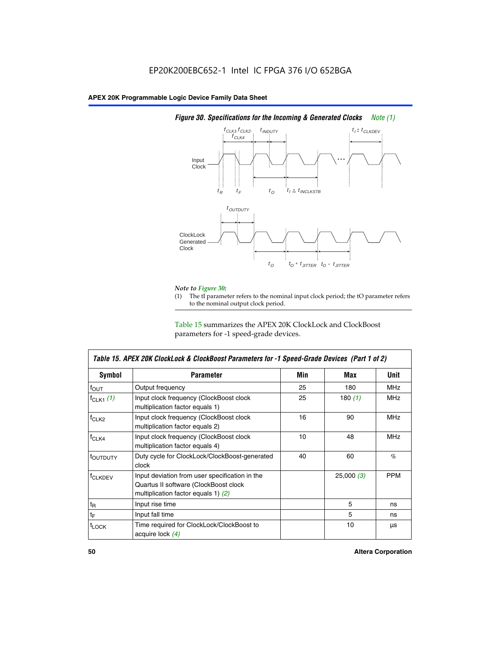

# *Figure 30. Specifications for the Incoming & Generated Clocks Note (1)*

# *Note to Figure 30:*

The tI parameter refers to the nominal input clock period; the tO parameter refers to the nominal output clock period.

Table 15 summarizes the APEX 20K ClockLock and ClockBoost parameters for -1 speed-grade devices.

| <b>Symbol</b>     | <b>Parameter</b>                                                                                                                 | Min | Max       | <b>Unit</b> |
|-------------------|----------------------------------------------------------------------------------------------------------------------------------|-----|-----------|-------------|
| $f_{OUT}$         | Output frequency                                                                                                                 | 25  | 180       | MHz         |
| $f_{CLK1}$ $(1)$  | Input clock frequency (ClockBoost clock<br>multiplication factor equals 1)                                                       | 25  | 180 $(1)$ | <b>MHz</b>  |
| $f_{CLK2}$        | Input clock frequency (ClockBoost clock<br>multiplication factor equals 2)                                                       | 16  | 90        | <b>MHz</b>  |
| $f_{CLK4}$        | Input clock frequency (ClockBoost clock<br>multiplication factor equals 4)                                                       | 10  | 48        | <b>MHz</b>  |
| toutputy          | Duty cycle for ClockLock/ClockBoost-generated<br>clock                                                                           | 40  | 60        | %           |
| <b>f</b> CLKDEV   | Input deviation from user specification in the<br>Quartus II software (ClockBoost clock<br>multiplication factor equals 1) $(2)$ |     | 25,000(3) | <b>PPM</b>  |
| $t_{\mathsf{R}}$  | Input rise time                                                                                                                  |     | 5         | ns          |
| $t_{\mathsf{F}}$  | Input fall time                                                                                                                  |     | 5         | ns          |
| <sup>t</sup> LOCK | Time required for ClockLock/ClockBoost to<br>acquire lock (4)                                                                    |     | 10        | μs          |

 $\mathsf I$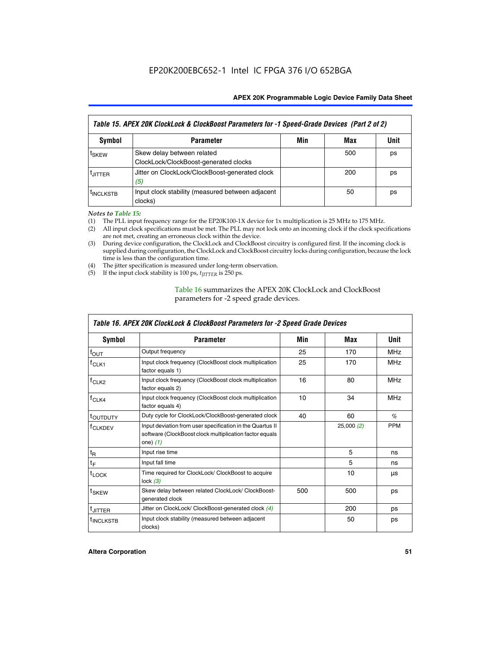| Table 15. APEX 20K ClockLock & ClockBoost Parameters for -1 Speed-Grade Devices (Part 2 of 2) |                                                                     |     |     |      |
|-----------------------------------------------------------------------------------------------|---------------------------------------------------------------------|-----|-----|------|
| <b>Symbol</b>                                                                                 | <b>Parameter</b>                                                    | Min | Max | Unit |
| t <sub>SKEW</sub>                                                                             | Skew delay between related<br>ClockLock/ClockBoost-generated clocks |     | 500 | ps   |
| <b>UITTER</b>                                                                                 | Jitter on ClockLock/ClockBoost-generated clock<br>(5)               |     | 200 | ps   |
| <b>INCLKSTB</b>                                                                               | Input clock stability (measured between adjacent<br>clocks)         |     | 50  | ps   |

*Notes to Table 15:*

- (1) The PLL input frequency range for the EP20K100-1X device for 1x multiplication is 25 MHz to 175 MHz.
- (2) All input clock specifications must be met. The PLL may not lock onto an incoming clock if the clock specifications are not met, creating an erroneous clock within the device.
- (3) During device configuration, the ClockLock and ClockBoost circuitry is configured first. If the incoming clock is supplied during configuration, the ClockLock and ClockBoost circuitry locks during configuration, because the lock time is less than the configuration time.
- (4) The jitter specification is measured under long-term observation.
- (5) If the input clock stability is 100 ps,  $t_{\text{JITTER}}$  is 250 ps.

# Table 16 summarizes the APEX 20K ClockLock and ClockBoost parameters for -2 speed grade devices.

| Symbol                                                                                   | <b>Parameter</b>                                                                                                                   | Min | Max       | Unit       |
|------------------------------------------------------------------------------------------|------------------------------------------------------------------------------------------------------------------------------------|-----|-----------|------------|
| f <sub>ouт</sub>                                                                         | Output frequency                                                                                                                   | 25  | 170       | <b>MHz</b> |
| $f_{CLK1}$                                                                               | Input clock frequency (ClockBoost clock multiplication<br>factor equals 1)                                                         | 25  | 170       | <b>MHz</b> |
| Input clock frequency (ClockBoost clock multiplication<br>$f_{CLK2}$<br>factor equals 2) |                                                                                                                                    | 16  | 80        | <b>MHz</b> |
| Input clock frequency (ClockBoost clock multiplication<br>$f_{CLK4}$<br>factor equals 4) |                                                                                                                                    | 10  | 34        | <b>MHz</b> |
| <sup>t</sup> OUTDUTY                                                                     | Duty cycle for ClockLock/ClockBoost-generated clock                                                                                | 40  | 60        | $\%$       |
| <sup>T</sup> CLKDEV                                                                      | Input deviation from user specification in the Quartus II<br>software (ClockBoost clock multiplication factor equals<br>one) $(1)$ |     | 25,000(2) | <b>PPM</b> |
| $t_{\mathsf{R}}$                                                                         | Input rise time                                                                                                                    |     | 5         | ns         |
| $t_F$                                                                                    | Input fall time                                                                                                                    |     | 5         | ns         |
| $t_{\text{LOCK}}$                                                                        | Time required for ClockLock/ ClockBoost to acquire<br>lock $(3)$                                                                   |     | 10        | μs         |
| t <sub>SKEW</sub>                                                                        | Skew delay between related ClockLock/ ClockBoost-<br>generated clock                                                               | 500 | 500       | ps         |
| t <sub>JITTER</sub>                                                                      | Jitter on ClockLock/ ClockBoost-generated clock (4)                                                                                |     | 200       | ps         |
| <sup>I</sup> INCLKSTB                                                                    | Input clock stability (measured between adjacent<br>clocks)                                                                        |     | 50        | ps         |

# *Table 16. APEX 20K ClockLock & ClockBoost Parameters for -2 Speed Grade Devices*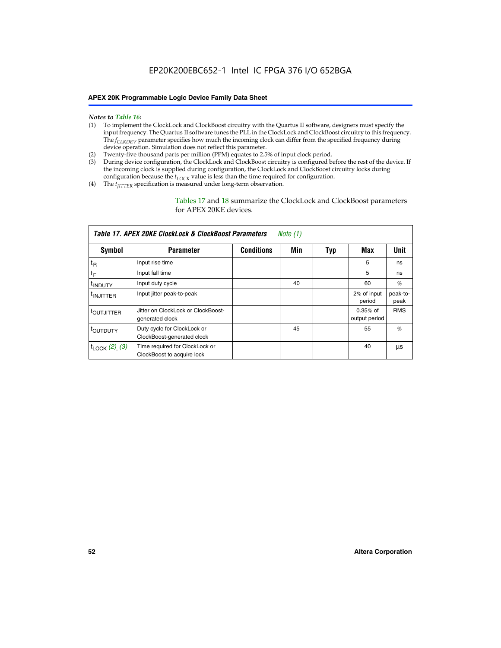- *Notes to Table 16:* (1) To implement the ClockLock and ClockBoost circuitry with the Quartus II software, designers must specify the input frequency. The Quartus II software tunes the PLL in the ClockLock and ClockBoost circuitry to this frequency. The *f<sub>CLKDEV</sub>* parameter specifies how much the incoming clock can differ from the specified frequency during device operation. Simulation does not reflect this parameter.
- (2) Twenty-five thousand parts per million (PPM) equates to 2.5% of input clock period.
- (3) During device configuration, the ClockLock and ClockBoost circuitry is configured before the rest of the device. If the incoming clock is supplied during configuration, the ClockLock and ClockBoost circuitry locks during configuration because the  $t_{LOCK}$  value is less than the time required for configuration.
- (4) The  $t_{\text{ITTTER}}$  specification is measured under long-term observation.

Tables 17 and 18 summarize the ClockLock and ClockBoost parameters for APEX 20KE devices.

|                          | Table 17. APEX 20KE ClockLock & ClockBoost Parameters        |                   | Note $(1)$ |     |                             |                  |
|--------------------------|--------------------------------------------------------------|-------------------|------------|-----|-----------------------------|------------------|
| Symbol                   | <b>Parameter</b>                                             | <b>Conditions</b> | Min        | Typ | Max                         | <b>Unit</b>      |
| $t_{R}$                  | Input rise time                                              |                   |            |     | 5                           | ns               |
| tF                       | Input fall time                                              |                   |            |     | 5                           | ns               |
| <sup>t</sup> INDUTY      | Input duty cycle                                             |                   | 40         |     | 60                          | %                |
| <sup>t</sup> INJITTER    | Input jitter peak-to-peak                                    |                   |            |     | 2% of input<br>period       | peak-to-<br>peak |
| <sup>t</sup> OUTJITTER   | Jitter on ClockLock or ClockBoost-<br>generated clock        |                   |            |     | $0.35%$ of<br>output period | <b>RMS</b>       |
| toutbuty                 | Duty cycle for ClockLock or<br>ClockBoost-generated clock    |                   | 45         |     | 55                          | $\%$             |
| $t_{\text{LOCK}}(2)$ (3) | Time required for ClockLock or<br>ClockBoost to acquire lock |                   |            |     | 40                          | μs               |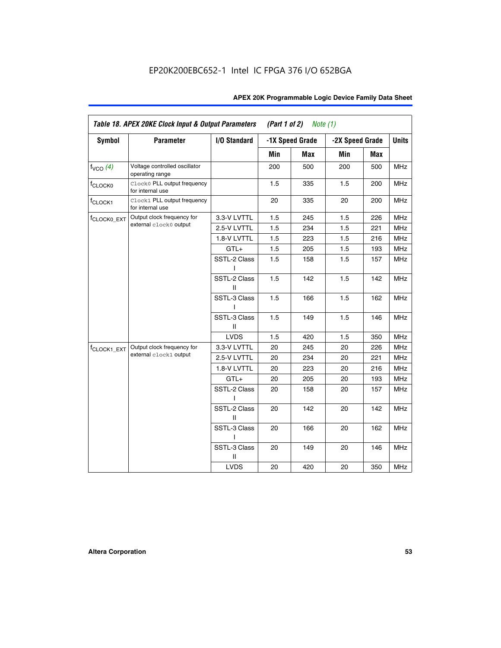| <b>Symbol</b>           | <b>Parameter</b>                                 | I/O Standard      |     | -1X Speed Grade | -2X Speed Grade |     | <b>Units</b> |
|-------------------------|--------------------------------------------------|-------------------|-----|-----------------|-----------------|-----|--------------|
|                         |                                                  |                   |     |                 |                 |     |              |
|                         |                                                  |                   | Min | Max             | Min             | Max |              |
| $f_{VCO}$ $(4)$         | Voltage controlled oscillator<br>operating range |                   | 200 | 500             | 200             | 500 | <b>MHz</b>   |
| f <sub>CLOCK0</sub>     | Clock0 PLL output frequency<br>for internal use  |                   | 1.5 | 335             | 1.5             | 200 | MHz          |
| f <sub>CLOCK1</sub>     | Clock1 PLL output frequency<br>for internal use  |                   | 20  | 335             | 20              | 200 | MHz          |
| f <sub>CLOCK0_EXT</sub> | Output clock frequency for                       | 3.3-V LVTTL       | 1.5 | 245             | 1.5             | 226 | <b>MHz</b>   |
|                         | external clock0 output                           | 2.5-V LVTTL       | 1.5 | 234             | 1.5             | 221 | <b>MHz</b>   |
|                         |                                                  | 1.8-V LVTTL       | 1.5 | 223             | 1.5             | 216 | <b>MHz</b>   |
|                         |                                                  | $GTL+$            | 1.5 | 205             | 1.5             | 193 | <b>MHz</b>   |
|                         |                                                  | SSTL-2 Class<br>L | 1.5 | 158             | 1.5             | 157 | <b>MHz</b>   |
|                         |                                                  | SSTL-2 Class<br>Ш | 1.5 | 142             | 1.5             | 142 | <b>MHz</b>   |
|                         |                                                  | SSTL-3 Class<br>I | 1.5 | 166             | 1.5             | 162 | <b>MHz</b>   |
|                         |                                                  | SSTL-3 Class<br>Ш | 1.5 | 149             | 1.5             | 146 | <b>MHz</b>   |
|                         |                                                  | <b>LVDS</b>       | 1.5 | 420             | 1.5             | 350 | <b>MHz</b>   |
| f <sub>CLOCK1_EXT</sub> | Output clock frequency for                       | 3.3-V LVTTL       | 20  | 245             | 20              | 226 | <b>MHz</b>   |
|                         | external clock1 output                           | 2.5-V LVTTL       | 20  | 234             | 20              | 221 | <b>MHz</b>   |
|                         |                                                  | 1.8-V LVTTL       | 20  | 223             | 20              | 216 | <b>MHz</b>   |
|                         |                                                  | $GTL+$            | 20  | 205             | 20              | 193 | MHz          |
|                         |                                                  | SSTL-2 Class      | 20  | 158             | 20              | 157 | <b>MHz</b>   |
|                         |                                                  | SSTL-2 Class<br>Ш | 20  | 142             | 20              | 142 | <b>MHz</b>   |
|                         |                                                  | SSTL-3 Class      | 20  | 166             | 20              | 162 | <b>MHz</b>   |
|                         |                                                  | SSTL-3 Class<br>Ш | 20  | 149             | 20              | 146 | <b>MHz</b>   |
|                         |                                                  | <b>LVDS</b>       | 20  | 420             | 20              | 350 | MHz          |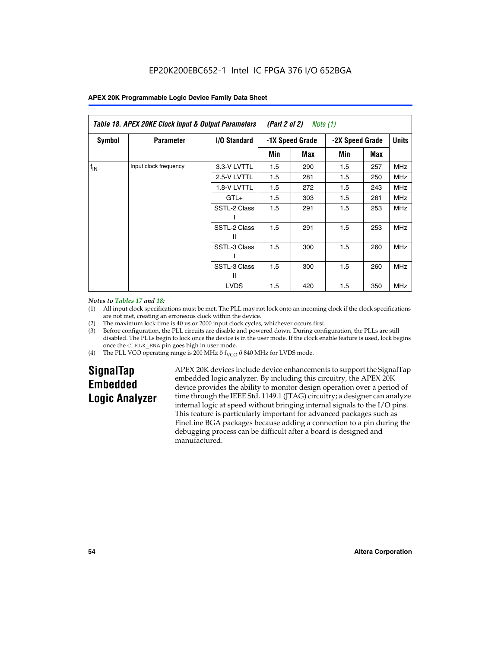| Table 18. APEX 20KE Clock Input & Output Parameters<br>(Part 2 of 2)<br>Note (1) |                       |                   |                                    |     |     |              |            |
|----------------------------------------------------------------------------------|-----------------------|-------------------|------------------------------------|-----|-----|--------------|------------|
| Symbol                                                                           | <b>Parameter</b>      | I/O Standard      | -2X Speed Grade<br>-1X Speed Grade |     |     | <b>Units</b> |            |
|                                                                                  |                       |                   | Min                                | Max | Min | Max          |            |
| $f_{IN}$                                                                         | Input clock frequency | 3.3-V LVTTL       | 1.5                                | 290 | 1.5 | 257          | <b>MHz</b> |
|                                                                                  |                       | 2.5-V LVTTL       | 1.5                                | 281 | 1.5 | 250          | <b>MHz</b> |
|                                                                                  |                       | 1.8-V LVTTL       | 1.5                                | 272 | 1.5 | 243          | <b>MHz</b> |
|                                                                                  |                       | $GTL+$            | 1.5                                | 303 | 1.5 | 261          | <b>MHz</b> |
|                                                                                  |                       | SSTL-2 Class      | 1.5                                | 291 | 1.5 | 253          | <b>MHz</b> |
|                                                                                  |                       | SSTL-2 Class<br>Ш | 1.5                                | 291 | 1.5 | 253          | <b>MHz</b> |
|                                                                                  |                       | SSTL-3 Class      | 1.5                                | 300 | 1.5 | 260          | <b>MHz</b> |
|                                                                                  |                       | SSTL-3 Class<br>Ш | 1.5                                | 300 | 1.5 | 260          | <b>MHz</b> |
|                                                                                  |                       | <b>LVDS</b>       | 1.5                                | 420 | 1.5 | 350          | <b>MHz</b> |

### *Notes to Tables 17 and 18:*

(1) All input clock specifications must be met. The PLL may not lock onto an incoming clock if the clock specifications are not met, creating an erroneous clock within the device.

- (2) The maximum lock time is 40 µs or 2000 input clock cycles, whichever occurs first.
- (3) Before configuration, the PLL circuits are disable and powered down. During configuration, the PLLs are still disabled. The PLLs begin to lock once the device is in the user mode. If the clock enable feature is used, lock begins once the CLKLK\_ENA pin goes high in user mode.
- (4) The PLL VCO operating range is 200 MHz  $\eth$  f<sub>VCO</sub>  $\eth$  840 MHz for LVDS mode.

# **SignalTap Embedded Logic Analyzer**

APEX 20K devices include device enhancements to support the SignalTap embedded logic analyzer. By including this circuitry, the APEX 20K device provides the ability to monitor design operation over a period of time through the IEEE Std. 1149.1 (JTAG) circuitry; a designer can analyze internal logic at speed without bringing internal signals to the I/O pins. This feature is particularly important for advanced packages such as FineLine BGA packages because adding a connection to a pin during the debugging process can be difficult after a board is designed and manufactured.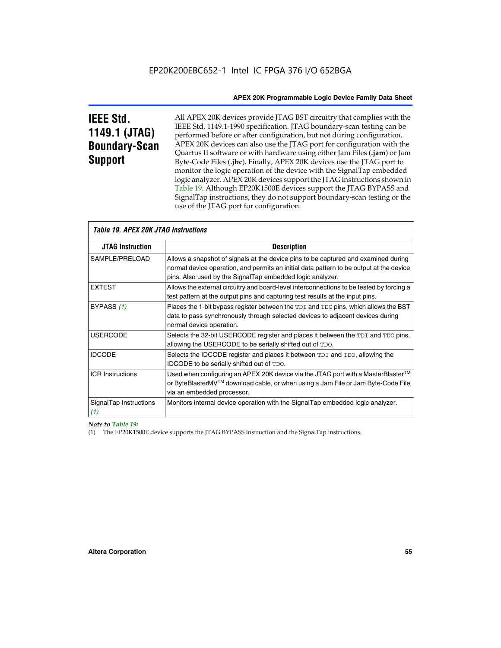# **IEEE Std. 1149.1 (JTAG) Boundary-Scan Support**

All APEX 20K devices provide JTAG BST circuitry that complies with the IEEE Std. 1149.1-1990 specification. JTAG boundary-scan testing can be performed before or after configuration, but not during configuration. APEX 20K devices can also use the JTAG port for configuration with the Quartus II software or with hardware using either Jam Files (**.jam**) or Jam Byte-Code Files (**.jbc**). Finally, APEX 20K devices use the JTAG port to monitor the logic operation of the device with the SignalTap embedded logic analyzer. APEX 20K devices support the JTAG instructions shown in Table 19. Although EP20K1500E devices support the JTAG BYPASS and SignalTap instructions, they do not support boundary-scan testing or the use of the JTAG port for configuration.

| <i><b>Table 19. APEX 20K JTAG Instructions</b></i> |                                                                                                                                                                                                                                            |  |  |  |
|----------------------------------------------------|--------------------------------------------------------------------------------------------------------------------------------------------------------------------------------------------------------------------------------------------|--|--|--|
| <b>JTAG Instruction</b>                            | <b>Description</b>                                                                                                                                                                                                                         |  |  |  |
| SAMPLE/PRELOAD                                     | Allows a snapshot of signals at the device pins to be captured and examined during<br>normal device operation, and permits an initial data pattern to be output at the device<br>pins. Also used by the SignalTap embedded logic analyzer. |  |  |  |
| <b>EXTEST</b>                                      | Allows the external circuitry and board-level interconnections to be tested by forcing a<br>test pattern at the output pins and capturing test results at the input pins.                                                                  |  |  |  |
| BYPASS (1)                                         | Places the 1-bit bypass register between the TDI and TDO pins, which allows the BST<br>data to pass synchronously through selected devices to adjacent devices during<br>normal device operation.                                          |  |  |  |
| <b>USERCODE</b>                                    | Selects the 32-bit USERCODE register and places it between the TDI and TDO pins,<br>allowing the USERCODE to be serially shifted out of TDO.                                                                                               |  |  |  |
| <b>IDCODE</b>                                      | Selects the IDCODE register and places it between TDI and TDO, allowing the<br>IDCODE to be serially shifted out of TDO.                                                                                                                   |  |  |  |
| <b>ICR Instructions</b>                            | Used when configuring an APEX 20K device via the JTAG port with a MasterBlaster™<br>or ByteBlasterMV™ download cable, or when using a Jam File or Jam Byte-Code File<br>via an embedded processor.                                         |  |  |  |
| SignalTap Instructions<br>(1)                      | Monitors internal device operation with the SignalTap embedded logic analyzer.                                                                                                                                                             |  |  |  |

 $\overline{\phantom{a}}$ 

*Note to Table 19:*

(1) The EP20K1500E device supports the JTAG BYPASS instruction and the SignalTap instructions.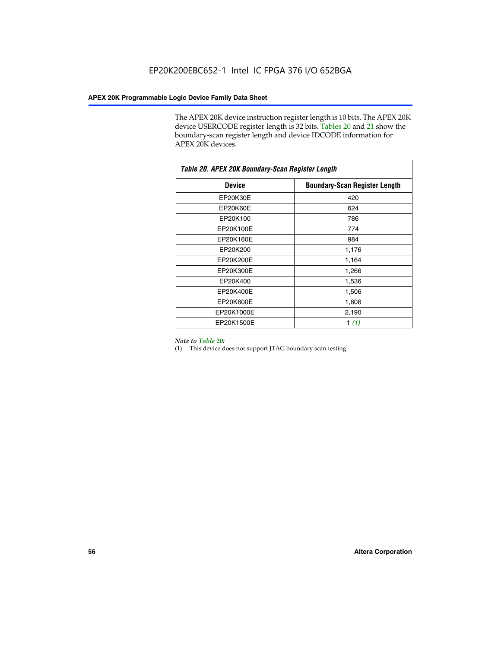The APEX 20K device instruction register length is 10 bits. The APEX 20K device USERCODE register length is 32 bits. Tables 20 and 21 show the boundary-scan register length and device IDCODE information for APEX 20K devices.

| Table 20. APEX 20K Boundary-Scan Register Length |                                      |  |  |  |
|--------------------------------------------------|--------------------------------------|--|--|--|
| <b>Device</b>                                    | <b>Boundary-Scan Register Length</b> |  |  |  |
| EP20K30E                                         | 420                                  |  |  |  |
| EP20K60E                                         | 624                                  |  |  |  |
| EP20K100                                         | 786                                  |  |  |  |
| EP20K100E                                        | 774                                  |  |  |  |
| EP20K160E                                        | 984                                  |  |  |  |
| EP20K200                                         | 1,176                                |  |  |  |
| EP20K200E                                        | 1,164                                |  |  |  |
| EP20K300E                                        | 1,266                                |  |  |  |
| EP20K400                                         | 1,536                                |  |  |  |
| EP20K400E                                        | 1,506                                |  |  |  |
| EP20K600E                                        | 1,806                                |  |  |  |
| EP20K1000E                                       | 2,190                                |  |  |  |
| EP20K1500E                                       | 1 $(1)$                              |  |  |  |

#### *Note to Table 20:*

(1) This device does not support JTAG boundary scan testing.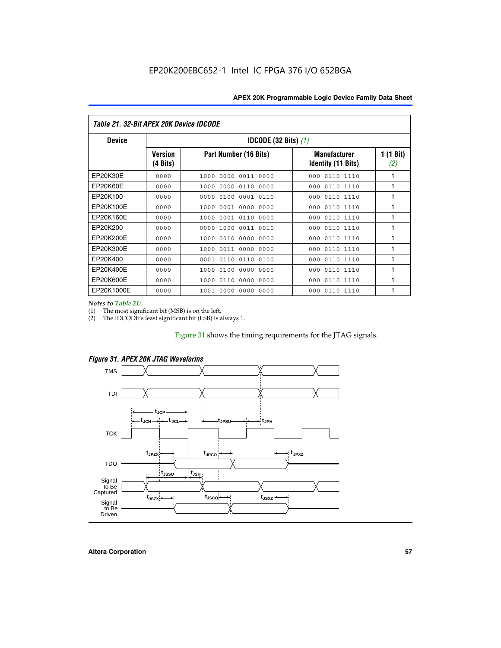| Table 21. 32-Bit APEX 20K Device IDCODE |                     |                               |                                                  |                  |  |  |
|-----------------------------------------|---------------------|-------------------------------|--------------------------------------------------|------------------|--|--|
| <b>Device</b>                           |                     | <b>IDCODE (32 Bits)</b> $(1)$ |                                                  |                  |  |  |
|                                         | Version<br>(4 Bits) | Part Number (16 Bits)         | <b>Manufacturer</b><br><b>Identity (11 Bits)</b> | 1 (1 Bit)<br>(2) |  |  |
| EP20K30E                                | 0000                | 0000<br>0011 0000<br>1000     | 0110 1110<br>000                                 | 1                |  |  |
| EP20K60E                                | 0000                | 0000 0110<br>0000<br>1000     | 0110 1110<br>000                                 | 1                |  |  |
| EP20K100                                | 0000                | 0000<br>0100<br>0001 0110     | 000<br>0110 1110                                 | 1                |  |  |
| EP20K100E                               | 0000                | 0001 0000<br>1000<br>0000     | 0110 1110<br>000                                 | 1                |  |  |
| EP20K160E                               | 0000                | 0001 0110<br>1000<br>0000     | 0110 1110<br>000                                 | 1                |  |  |
| EP20K200                                | 0000                | 0000<br>1000<br>0011 0010     | 0110 1110<br>000                                 | 1                |  |  |
| EP20K200E                               | 0000                | 0010<br>0000<br>0000<br>1000  | 0110 1110<br>000                                 | 1                |  |  |
| EP20K300E                               | 0000                | 0011 0000 0000<br>1000        | 0110 1110<br>000                                 | 1                |  |  |
| EP20K400                                | 0000                | 0001<br>0110<br>0110<br>0100  | 0110 1110<br>000                                 | 1                |  |  |
| EP20K400E                               | 0000                | 0100<br>0000<br>0000<br>1000  | 0110 1110<br>000                                 | 1                |  |  |
| EP20K600E                               | 0000                | 0110<br>0000<br>0000<br>1000  | 0110 1110<br>000                                 | 1                |  |  |
| EP20K1000E                              | 0000                | 0000<br>0000<br>0000<br>1001  | 0110 1110<br>000                                 | 1                |  |  |

*Notes to Table 21:*

The most significant bit (MSB) is on the left.

(2) The IDCODE's least significant bit (LSB) is always 1.

# Figure 31 shows the timing requirements for the JTAG signals.



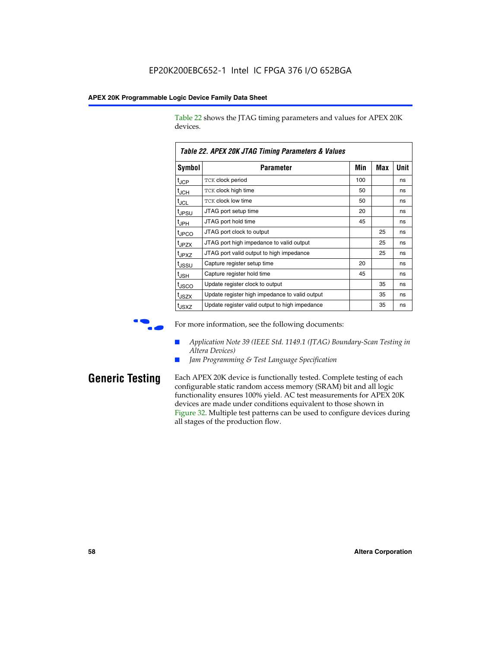Table 22 shows the JTAG timing parameters and values for APEX 20K devices.

|                   | Table ZZ. AFEX ZUN JTAU TIIIIIIY FAIAIIIEIEIS & VAIUES |     |     |      |
|-------------------|--------------------------------------------------------|-----|-----|------|
| Symbol            | Parameter                                              | Min | Max | Unit |
| $t_{\rm JCP}$     | TCK clock period                                       | 100 |     | ns   |
| $t_{JCH}$         | TCK clock high time                                    | 50  |     | ns   |
| $t_{\sf JCL}$     | TCK clock low time                                     | 50  |     | ns   |
| t <sub>JPSU</sub> | JTAG port setup time                                   | 20  |     | ns   |
| $t_{\rm JPH}$     | JTAG port hold time                                    | 45  |     | ns   |
| <sup>t</sup> JPCO | JTAG port clock to output                              |     | 25  | ns   |
| t <sub>JPZX</sub> | JTAG port high impedance to valid output               |     | 25  | ns   |
| t <sub>JPXZ</sub> | JTAG port valid output to high impedance               |     | 25  | ns   |
| tussu             | Capture register setup time                            | 20  |     | ns   |
| $t_{\sf JSH}$     | Capture register hold time                             | 45  |     | ns   |
| t <sub>JSCO</sub> | Update register clock to output                        |     | 35  | ns   |
| t <sub>JSZX</sub> | Update register high impedance to valid output         |     | 35  | ns   |
| t <sub>JSXZ</sub> | Update register valid output to high impedance         |     | 35  | ns   |

*Table 22. APEX 20K JTAG Timing Parameters & Values*

For more information, see the following documents:

- *Application Note 39 (IEEE Std. 1149.1 (JTAG) Boundary-Scan Testing in Altera Devices)*
- Jam Programming & Test Language Specification

**Generic Testing** Each APEX 20K device is functionally tested. Complete testing of each configurable static random access memory (SRAM) bit and all logic functionality ensures 100% yield. AC test measurements for APEX 20K devices are made under conditions equivalent to those shown in Figure 32. Multiple test patterns can be used to configure devices during all stages of the production flow.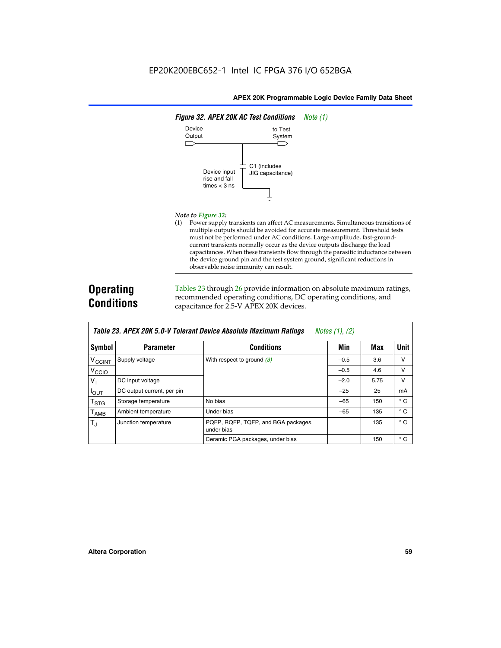

#### *Note to Figure 32:*

(1) Power supply transients can affect AC measurements. Simultaneous transitions of multiple outputs should be avoided for accurate measurement. Threshold tests must not be performed under AC conditions. Large-amplitude, fast-groundcurrent transients normally occur as the device outputs discharge the load capacitances. When these transients flow through the parasitic inductance between the device ground pin and the test system ground, significant reductions in observable noise immunity can result.

# **Operating Conditions**

Tables 23 through 26 provide information on absolute maximum ratings, recommended operating conditions, DC operating conditions, and capacitance for 2.5-V APEX 20K devices.

|                           |                            | TADIG LU. MI LA LUN J.U-V TUIGIAIN DGVILG MUSUNUG MAANNUNI HAUNUS | $100103$ (1), (2) |      |              |
|---------------------------|----------------------------|-------------------------------------------------------------------|-------------------|------|--------------|
| Symbol                    | <b>Parameter</b>           | <b>Conditions</b>                                                 | Min               | Max  | <b>Unit</b>  |
| <b>V<sub>CCINT</sub></b>  | Supply voltage             | With respect to ground $(3)$                                      | $-0.5$            | 3.6  | v            |
| V <sub>CCIO</sub>         |                            |                                                                   | $-0.5$            | 4.6  | v            |
| $V_{\parallel}$           | DC input voltage           |                                                                   | $-2.0$            | 5.75 | v            |
| $I_{\text{OUT}}$          | DC output current, per pin |                                                                   | $-25$             | 25   | mA           |
| $\mathsf{T}_{\text{STG}}$ | Storage temperature        | No bias                                                           | $-65$             | 150  | $^{\circ}$ C |
| $I_{\text{AMB}}$          | Ambient temperature        | Under bias                                                        | $-65$             | 135  | $^{\circ}$ C |
| $T_{\rm J}$               | Junction temperature       | PQFP, RQFP, TQFP, and BGA packages,<br>under bias                 |                   | 135  | $^{\circ}$ C |
|                           |                            | Ceramic PGA packages, under bias                                  |                   | 150  | $^{\circ}$ C |

| Table 23. APEX 20K 5.0-V Tolerant Device Absolute Maximum Ratings | Notes (1), (2) |  |
|-------------------------------------------------------------------|----------------|--|
|-------------------------------------------------------------------|----------------|--|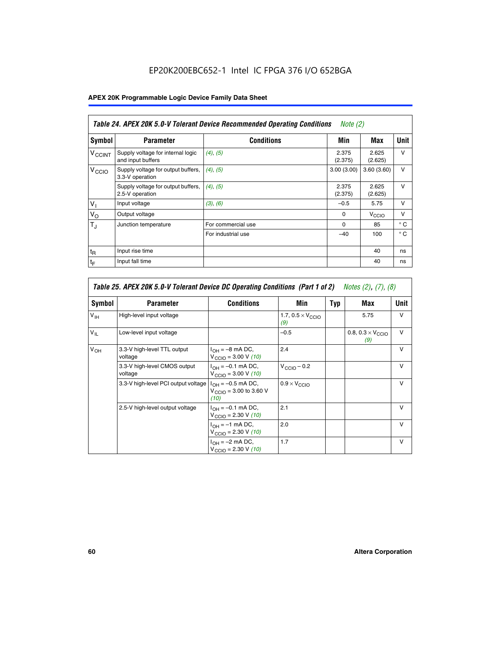# EP20K200EBC652-1 Intel IC FPGA 376 I/O 652BGA

# **APEX 20K Programmable Logic Device Family Data Sheet**

|                          | Table 24. APEX 20K 5.0-V Tolerant Device Recommended Operating Conditions<br><i>Note</i> $(2)$ |                    |                  |                   |              |  |
|--------------------------|------------------------------------------------------------------------------------------------|--------------------|------------------|-------------------|--------------|--|
| <b>Symbol</b>            | <b>Parameter</b>                                                                               | <b>Conditions</b>  | Min              | Max               | <b>Unit</b>  |  |
| <b>V<sub>CCINT</sub></b> | Supply voltage for internal logic<br>and input buffers                                         | $(4)$ , $(5)$      | 2.375<br>(2.375) | 2.625<br>(2.625)  | $\vee$       |  |
| V <sub>CCIO</sub>        | Supply voltage for output buffers,<br>3.3-V operation                                          | (4), (5)           | 3.00(3.00)       | 3.60(3.60)        | $\vee$       |  |
|                          | Supply voltage for output buffers,<br>2.5-V operation                                          | (4), (5)           | 2.375<br>(2.375) | 2.625<br>(2.625)  | $\vee$       |  |
| $V_{1}$                  | Input voltage                                                                                  | (3), (6)           | $-0.5$           | 5.75              | $\vee$       |  |
| $V_{\rm O}$              | Output voltage                                                                                 |                    | $\Omega$         | V <sub>CCIO</sub> | $\vee$       |  |
| $T_{\rm J}$              | Junction temperature                                                                           | For commercial use | $\Omega$         | 85                | $^{\circ}$ C |  |
|                          |                                                                                                | For industrial use | $-40$            | 100               | $^{\circ}$ C |  |
| $t_{R}$                  | Input rise time                                                                                |                    |                  | 40                | ns           |  |
| $t_{\mathsf{F}}$         | Input fall time                                                                                |                    |                  | 40                | ns           |  |

|                 | Table 25. APEX 20K 5.0-V Tolerant Device DC Operating Conditions (Part 1 of 2) Notes (2), (7), (8) |                                                                        |                                          |     |                                          |              |  |  |
|-----------------|----------------------------------------------------------------------------------------------------|------------------------------------------------------------------------|------------------------------------------|-----|------------------------------------------|--------------|--|--|
| Symbol          | <b>Parameter</b>                                                                                   | <b>Conditions</b>                                                      | Min                                      | Typ | Max                                      | Unit         |  |  |
| $V_{\text{IH}}$ | High-level input voltage                                                                           |                                                                        | 1.7, $0.5 \times V_{\text{CCIO}}$<br>(9) |     | 5.75                                     | $\mathsf{V}$ |  |  |
| $V_{\parallel}$ | Low-level input voltage                                                                            |                                                                        | $-0.5$                                   |     | 0.8, $0.3 \times V_{\text{CCIO}}$<br>(9) | $\mathsf{V}$ |  |  |
| $V_{OH}$        | 3.3-V high-level TTL output<br>voltage                                                             | $I_{OH} = -8$ mA DC,<br>$V_{\text{CCIO}} = 3.00 V (10)$                | 2.4                                      |     |                                          | $\mathsf{V}$ |  |  |
|                 | 3.3-V high-level CMOS output<br>voltage                                                            | $I_{OH} = -0.1$ mA DC,<br>$V_{\text{CCIO}} = 3.00 \text{ V} (10)$      | $V_{\text{CCIO}} - 0.2$                  |     |                                          | $\mathsf{v}$ |  |  |
|                 | 3.3-V high-level PCI output voltage                                                                | $I_{OH} = -0.5$ mA DC,<br>$V_{\text{GClO}} = 3.00$ to 3.60 V<br>(10)   | $0.9 \times V_{\text{CCIO}}$             |     |                                          | $\mathsf{V}$ |  |  |
|                 | 2.5-V high-level output voltage                                                                    | $I_{OH} = -0.1$ mA DC,<br>$V_{\text{CCIO}} = 2.30 \text{ V} (10)$      | 2.1                                      |     |                                          | $\mathsf{V}$ |  |  |
|                 |                                                                                                    | $I_{\text{OH}} = -1 \text{ mA DC},$<br>$V_{\text{CCIO}} = 2.30 V (10)$ | 2.0                                      |     |                                          | v            |  |  |
|                 |                                                                                                    | $I_{OH} = -2$ mA DC,<br>$V_{\text{CCIO}} = 2.30 V (10)$                | 1.7                                      |     |                                          | v            |  |  |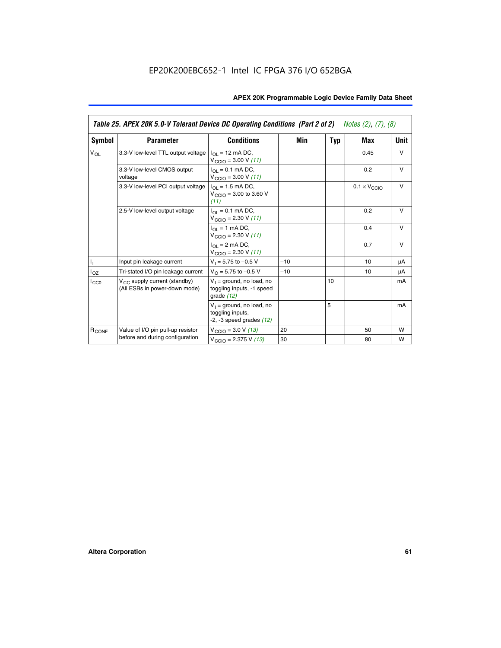|                   | Table 25. APEX 20K 5.0-V Tolerant Device DC Operating Conditions (Part 2 of 2) Notes (2), (7), (8) |                                                                                    |       |     |                              |        |  |
|-------------------|----------------------------------------------------------------------------------------------------|------------------------------------------------------------------------------------|-------|-----|------------------------------|--------|--|
| Symbol            | <b>Parameter</b>                                                                                   | <b>Conditions</b>                                                                  | Min   | Typ | Max                          | Unit   |  |
| $V_{OL}$          | 3.3-V low-level TTL output voltage                                                                 | $I_{\Omega}$ = 12 mA DC,<br>$V_{\text{CCIO}} = 3.00 V (11)$                        |       |     | 0.45                         | $\vee$ |  |
|                   | 3.3-V low-level CMOS output<br>voltage                                                             | $I_{\Omega} = 0.1$ mA DC,<br>$V_{\text{CCIO}} = 3.00 V (11)$                       |       |     | 0.2                          | $\vee$ |  |
|                   | 3.3-V low-level PCI output voltage                                                                 | $I_{\Omega}$ = 1.5 mA DC,<br>$V_{CClO}$ = 3.00 to 3.60 V<br>(11)                   |       |     | $0.1 \times V_{\text{CCIO}}$ | $\vee$ |  |
|                   | 2.5-V low-level output voltage                                                                     | $I_{\Omega} = 0.1$ mA DC,<br>$V_{\text{CCIO}} = 2.30 V (11)$                       |       |     | 0.2                          | $\vee$ |  |
|                   |                                                                                                    | $I_{\Omega}$ = 1 mA DC,<br>$V_{\text{CCIO}} = 2.30 V (11)$                         |       |     | 0.4                          | $\vee$ |  |
|                   |                                                                                                    | $I_{\Omega}$ = 2 mA DC,<br>$V_{\text{CCIO}} = 2.30 V (11)$                         |       |     | 0.7                          | $\vee$ |  |
| T,                | Input pin leakage current                                                                          | $V_1 = 5.75$ to $-0.5$ V                                                           | $-10$ |     | 10                           | μA     |  |
| $I_{OZ}$          | Tri-stated I/O pin leakage current                                                                 | $V_{\Omega}$ = 5.75 to -0.5 V                                                      | $-10$ |     | 10                           | μA     |  |
| $I_{CC0}$         | $V_{CC}$ supply current (standby)<br>(All ESBs in power-down mode)                                 | $V_1$ = ground, no load, no<br>toggling inputs, -1 speed<br>grade $(12)$           |       | 10  |                              | mA     |  |
|                   |                                                                                                    | $V_1$ = ground, no load, no<br>toggling inputs,<br>$-2$ , $-3$ speed grades $(12)$ |       | 5   |                              | mA     |  |
| R <sub>CONF</sub> | Value of I/O pin pull-up resistor                                                                  | $V_{\text{CCIO}} = 3.0 V (13)$                                                     | 20    |     | 50                           | W      |  |
|                   | before and during configuration                                                                    | $V_{\text{CCIO}} = 2.375 \text{ V} (13)$                                           | 30    |     | 80                           | W      |  |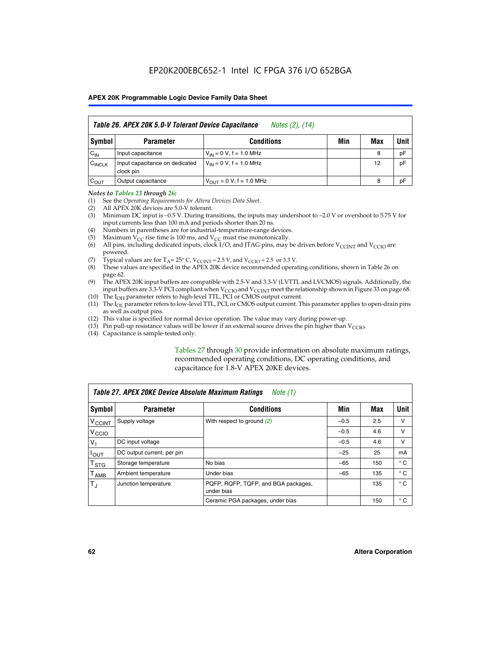| Table 26. APEX 20K 5.0-V Tolerant Device Capacitance<br>Notes (2), (14) |                                             |                                     |     |     |      |
|-------------------------------------------------------------------------|---------------------------------------------|-------------------------------------|-----|-----|------|
| Symbol                                                                  | <b>Parameter</b>                            | <b>Conditions</b>                   | Min | Max | Unit |
| $C_{IN}$                                                                | Input capacitance                           | $V_{1N} = 0 V$ , f = 1.0 MHz        |     | 8   | pF   |
| $C_{\text{INCLK}}$                                                      | Input capacitance on dedicated<br>clock pin | $V_{IN} = 0 V$ , f = 1.0 MHz        |     | 12  | pF   |
| $C_{OUT}$                                                               | Output capacitance                          | $V_{\text{OUT}} = 0 V, f = 1.0 MHz$ |     | 8   | pF   |

#### *Notes to Tables 23 through 26:*

- (1) See the *Operating Requirements for Altera Devices Data Sheet*.
- (2) All APEX 20K devices are 5.0-V tolerant.
- (3) Minimum DC input is –0.5 V. During transitions, the inputs may undershoot to –2.0 V or overshoot to 5.75 V for input currents less than 100 mA and periods shorter than 20 ns.
- (4) Numbers in parentheses are for industrial-temperature-range devices.
- (5) Maximum  $V_{CC}$  rise time is 100 ms, and  $V_{CC}$  must rise monotonically.<br>(6) All pins, including dedicated inputs, clock I/O, and JTAG pins, may b
- All pins, including dedicated inputs, clock I/O, and JTAG pins, may be driven before  $V_{\text{CCINT}}$  and  $V_{\text{CCIO}}$  are powered.
- (7) Typical values are for  $T_A = 25^\circ$  C, V<sub>CCINT</sub> = 2.5 V, and V<sub>CCIO</sub> = 2.5 or 3.3 V.<br>(8) These values are specified in the APEX 20K device recommended operat
- These values are specified in the APEX 20K device recommended operating conditions, shown in Table 26 on page 62.
- (9) The APEX 20K input buffers are compatible with 2.5-V and 3.3-V (LVTTL and LVCMOS) signals. Additionally, the input buffers are 3.3-V PCI compliant when  $V_{\text{CCIO}}$  and  $V_{\text{CCINI}}$  meet the relationship shown in Figure 33 on page 68.
- (10) The  $I<sub>OH</sub>$  parameter refers to high-level TTL, PCI or CMOS output current.
- (11) The I<sub>OL</sub> parameter refers to low-level TTL, PCI, or CMOS output current. This parameter applies to open-drain pins as well as output pins.
- (12) This value is specified for normal device operation. The value may vary during power-up.
- (13) Pin pull-up resistance values will be lower if an external source drives the pin higher than  $V_{\text{CCIO}}$ .
- (14) Capacitance is sample-tested only.

Tables 27 through 30 provide information on absolute maximum ratings, recommended operating conditions, DC operating conditions, and capacitance for 1.8-V APEX 20KE devices.

|                             | Table 27. APEX 20KE Device Absolute Maximum Ratings<br>Note (1) |                                                   |        |     |              |  |  |
|-----------------------------|-----------------------------------------------------------------|---------------------------------------------------|--------|-----|--------------|--|--|
| Symbol                      | <b>Parameter</b>                                                | <b>Conditions</b>                                 | Min    | Max | Unit         |  |  |
| $V_{\text{CCINT}}$          | Supply voltage                                                  | With respect to ground (2)                        | $-0.5$ | 2.5 | v            |  |  |
| V <sub>CCIO</sub>           |                                                                 |                                                   | $-0.5$ | 4.6 | v            |  |  |
| $V_{1}$                     | DC input voltage                                                |                                                   | $-0.5$ | 4.6 | $\vee$       |  |  |
| $I_{OUT}$                   | DC output current, per pin                                      |                                                   | $-25$  | 25  | mA           |  |  |
| $\mathsf{T}_{\texttt{STG}}$ | Storage temperature                                             | No bias                                           | $-65$  | 150 | $^{\circ}$ C |  |  |
| Т <sub>АМВ</sub>            | Ambient temperature                                             | Under bias                                        | $-65$  | 135 | $^{\circ}$ C |  |  |
| $\mathsf{T}_{\text{d}}$     | Junction temperature                                            | PQFP, RQFP, TQFP, and BGA packages,<br>under bias |        | 135 | $^{\circ}$ C |  |  |
|                             |                                                                 | Ceramic PGA packages, under bias                  |        | 150 | $^{\circ}$ C |  |  |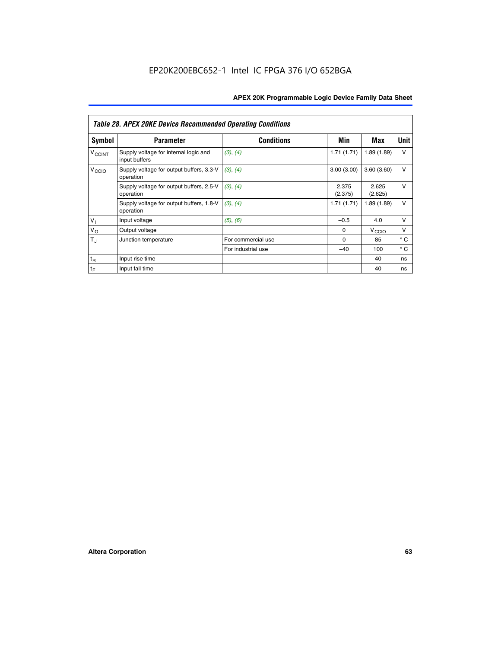|                             | <b>Table 28. APEX 20KE Device Recommended Operating Conditions</b> |                    |                  |                   |              |
|-----------------------------|--------------------------------------------------------------------|--------------------|------------------|-------------------|--------------|
| <b>Symbol</b>               | <b>Parameter</b>                                                   | <b>Conditions</b>  | Min              | Max               | <b>Unit</b>  |
| <b>V<sub>CCINT</sub></b>    | Supply voltage for internal logic and<br>input buffers             | (3), (4)           | 1.71(1.71)       | 1.89(1.89)        | $\vee$       |
| V <sub>CCIO</sub>           | Supply voltage for output buffers, 3.3-V<br>operation              | (3), (4)           | 3.00(3.00)       | 3.60(3.60)        | $\vee$       |
|                             | Supply voltage for output buffers, 2.5-V<br>operation              | (3), (4)           | 2.375<br>(2.375) | 2.625<br>(2.625)  | $\vee$       |
|                             | Supply voltage for output buffers, 1.8-V<br>operation              | (3), (4)           | 1.71(1.71)       | 1.89(1.89)        | $\vee$       |
| $V_1$                       | Input voltage                                                      | (5), (6)           | $-0.5$           | 4.0               | $\vee$       |
| $V_{\rm O}$                 | Output voltage                                                     |                    | $\Omega$         | V <sub>CCIO</sub> | v            |
| $T_{\rm J}$                 | Junction temperature                                               | For commercial use | $\Omega$         | 85                | $^{\circ}$ C |
|                             |                                                                    | For industrial use | $-40$            | 100               | $^{\circ}$ C |
| $t_{R}$                     | Input rise time                                                    |                    |                  | 40                | ns           |
| $\mathfrak{t}_{\mathsf{F}}$ | Input fall time                                                    |                    |                  | 40                | ns           |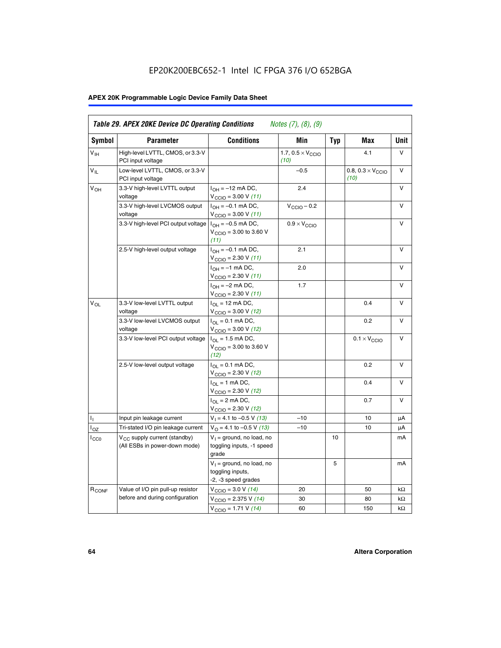# EP20K200EBC652-1 Intel IC FPGA 376 I/O 652BGA

# **APEX 20K Programmable Logic Device Family Data Sheet**

| Symbol           | <b>Parameter</b>                                                   | <b>Conditions</b>                                                                        | Min                                       | <b>Typ</b> | Max                                       | Unit      |
|------------------|--------------------------------------------------------------------|------------------------------------------------------------------------------------------|-------------------------------------------|------------|-------------------------------------------|-----------|
| $V_{\text{IH}}$  | High-level LVTTL, CMOS, or 3.3-V<br>PCI input voltage              |                                                                                          | 1.7, $0.5 \times V_{\text{CCIO}}$<br>(10) |            | 4.1                                       | V         |
| $V_{IL}$         | Low-level LVTTL, CMOS, or 3.3-V<br>PCI input voltage               |                                                                                          | $-0.5$                                    |            | 0.8, $0.3 \times V_{\text{CCIO}}$<br>(10) | $\vee$    |
| $V_{OH}$         | 3.3-V high-level LVTTL output<br>voltage                           | $I_{OH} = -12$ mA DC,<br>$V_{\text{CCIO}} = 3.00 V (11)$                                 | 2.4                                       |            |                                           | v         |
|                  | 3.3-V high-level LVCMOS output<br>voltage                          | $I_{OH} = -0.1$ mA DC,<br>$V_{\text{CCIO}} = 3.00 V (11)$                                | $V_{\text{CCIO}} - 0.2$                   |            |                                           | v         |
|                  | 3.3-V high-level PCI output voltage $ I_{OH} = -0.5$ mA DC,        | $V_{CGIO} = 3.00$ to 3.60 V<br>(11)                                                      | $0.9 \times V_{\text{CCIO}}$              |            |                                           | V         |
|                  | 2.5-V high-level output voltage                                    | $I_{OH} = -0.1$ mA DC,<br>$V_{\text{CCIO}} = 2.30 V (11)$                                | 2.1                                       |            |                                           | v         |
|                  |                                                                    | $I_{OH} = -1$ mA DC,<br>$V_{\text{CCIO}} = 2.30 V (11)$                                  | 2.0                                       |            |                                           | v         |
|                  |                                                                    | $I_{OH} = -2$ mA DC,<br>V <sub>CCIO</sub> = 2.30 V <i>(11)</i>                           | 1.7                                       |            |                                           | V         |
| $V_{OL}$         | 3.3-V low-level LVTTL output<br>voltage                            | $I_{\Omega}$ = 12 mA DC,<br>$V_{\text{CCIO}} = 3.00 \text{ V} (12)$                      |                                           |            | 0.4                                       | v         |
|                  | 3.3-V low-level LVCMOS output<br>voltage                           | $I_{\text{OL}} = 0.1 \text{ mA DC}$ ,<br>$V_{\text{CCIO}} = 3.00 V (12)$                 |                                           |            | 0.2                                       | $\vee$    |
|                  | 3.3-V low-level PCI output voltage                                 | $I_{\Omega}$ = 1.5 mA DC,<br>$V_{\text{CCIO}} = 3.00 \text{ to } 3.60 \text{ V}$<br>(12) |                                           |            | $0.1 \times V_{\text{CCIO}}$              | v         |
|                  | 2.5-V low-level output voltage                                     | $I_{\Omega I} = 0.1$ mA DC,<br>$V_{\text{CCIO}}$ = 2.30 V (12)                           |                                           |            | 0.2                                       | V         |
|                  |                                                                    | $I_{\Omega} = 1$ mA DC,<br>$V_{\text{CCIO}} = 2.30 V (12)$                               |                                           |            | 0.4                                       | v         |
|                  |                                                                    | $I_{\Omega}$ = 2 mA DC,<br>$V_{\text{CCIO}} = 2.30 V (12)$                               |                                           |            | 0.7                                       | v         |
| Τ,               | Input pin leakage current                                          | $V_1 = 4.1$ to -0.5 V (13)                                                               | $-10$                                     |            | 10                                        | μA        |
| $I_{OZ}$         | Tri-stated I/O pin leakage current                                 | $V_O = 4.1$ to -0.5 V (13)                                                               | $-10$                                     |            | 10                                        | μA        |
| $_{\rm l_{CC0}}$ | $V_{CC}$ supply current (standby)<br>(All ESBs in power-down mode) | $V_1$ = ground, no load, no<br>toggling inputs, -1 speed<br>grade                        |                                           | 10         |                                           | mA        |
|                  |                                                                    | $V_1$ = ground, no load, no<br>toggling inputs,<br>-2, -3 speed grades                   |                                           | 5          |                                           | mA        |
| $R_{CONF}$       | Value of I/O pin pull-up resistor                                  | $V_{\text{CCIO}} = 3.0 V (14)$                                                           | 20                                        |            | 50                                        | $k\Omega$ |
|                  | before and during configuration                                    | $V_{\text{CCIO}} = 2.375 V (14)$                                                         | 30                                        |            | 80                                        | kΩ        |
|                  |                                                                    | $V_{\text{CCIO}} = 1.71 V (14)$                                                          | 60                                        |            | 150                                       | $k\Omega$ |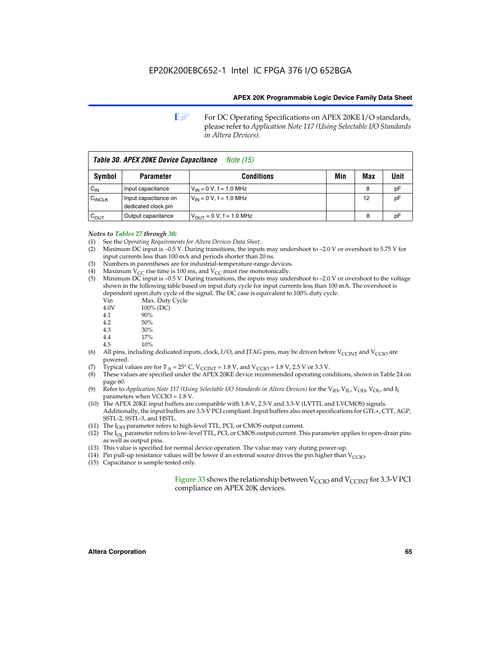**1 For DC Operating Specifications on APEX 20KE I/O standards,** please refer to *Application Note 117 (Using Selectable I/O Standards in Altera Devices).*

| Table 30. APEX 20KE Device Capacitance<br><i>Note (15)</i> |                                             |                                |     |     |      |
|------------------------------------------------------------|---------------------------------------------|--------------------------------|-----|-----|------|
| Symbol                                                     | <b>Parameter</b>                            | <b>Conditions</b>              | Min | Max | Unit |
| $C_{IN}$                                                   | Input capacitance                           | $V_{IN} = 0 V$ , f = 1.0 MHz   |     | 8   | рF   |
| $C_{\text{INCLK}}$                                         | Input capacitance on<br>dedicated clock pin | $V_{IN} = 0 V$ , f = 1.0 MHz   |     | 12  | pF   |
| $C_{OUT}$                                                  | Output capacitance                          | $V_{OUIT} = 0 V$ , f = 1.0 MHz |     | 8   | рF   |

### *Notes to Tables 27 through 30:*

- (1) See the *Operating Requirements for Altera Devices Data Sheet*.
- (2) Minimum DC input is –0.5 V. During transitions, the inputs may undershoot to –2.0 V or overshoot to 5.75 V for input currents less than 100 mA and periods shorter than 20 ns.
- (3) Numbers in parentheses are for industrial-temperature-range devices.
- (4) Maximum  $V_{CC}$  rise time is 100 ms, and  $V_{CC}$  must rise monotonically.<br>(5) Minimum DC input is -0.5 V. During transitions, the inputs may und
- Minimum DC input is  $-0.5$  V. During transitions, the inputs may undershoot to  $-2.0$  V or overshoot to the voltage shown in the following table based on input duty cycle for input currents less than 100 mA. The overshoot is dependent upon duty cycle of the signal. The DC case is equivalent to 100% duty cycle.

| Vin  | Max. Duty Cycle |
|------|-----------------|
| 4.0V | 100% (DC)       |
| 4.1  | 90%             |
| 4.2  | 50%             |
| 4.3  | 30%             |
|      |                 |

- 4.4  $17\%$ <br>4.5  $10\%$
- 10%
- (6) All pins, including dedicated inputs, clock, I/O, and JTAG pins, may be driven before  $V_{\text{CCINT}}$  and  $V_{\text{CCIO}}$  are powered.
- (7) Typical values are for  $T_A = 25^\circ$  C, V<sub>CCINT</sub> = 1.8 V, and V<sub>CCIO</sub> = 1.8 V, 2.5 V or 3.3 V.
- (8) These values are specified under the APEX 20KE device recommended operating conditions, shown in Table 24 on page 60.
- (9) Refer to *Application Note 117 (Using Selectable I/O Standards in Altera Devices)* for the V<sub>IH</sub>, V<sub>IL</sub>, V<sub>OH</sub>, V<sub>OL</sub>, and I<sub>I</sub> parameters when VCCIO = 1.8 V.
- (10) The APEX 20KE input buffers are compatible with 1.8-V, 2.5-V and 3.3-V (LVTTL and LVCMOS) signals. Additionally, the input buffers are 3.3-V PCI compliant. Input buffers also meet specifications for GTL+, CTT, AGP, SSTL-2, SSTL-3, and HSTL.
- (11) The  $I_{OH}$  parameter refers to high-level TTL, PCI, or CMOS output current.
- (12) The I<sub>OL</sub> parameter refers to low-level TTL, PCI, or CMOS output current. This parameter applies to open-drain pins as well as output pins.
- (13) This value is specified for normal device operation. The value may vary during power-up.
- (14) Pin pull-up resistance values will be lower if an external source drives the pin higher than  $V_{CCIO}$ .
- (15) Capacitance is sample-tested only.

Figure 33 shows the relationship between  $V_{\text{CCIO}}$  and  $V_{\text{CCINT}}$  for 3.3-V PCI compliance on APEX 20K devices.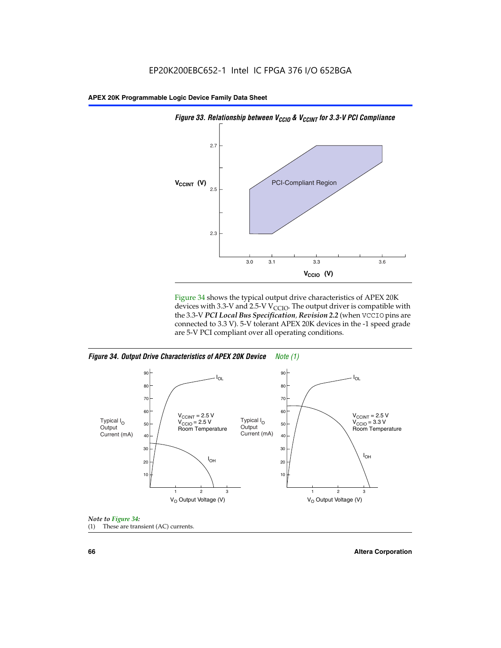

Figure 34 shows the typical output drive characteristics of APEX 20K devices with 3.3-V and 2.5-V V<sub>CCIO</sub>. The output driver is compatible with the 3.3-V *PCI Local Bus Specification, Revision 2.2* (when VCCIO pins are connected to 3.3 V). 5-V tolerant APEX 20K devices in the -1 speed grade are 5-V PCI compliant over all operating conditions.







**66 Altera Corporation**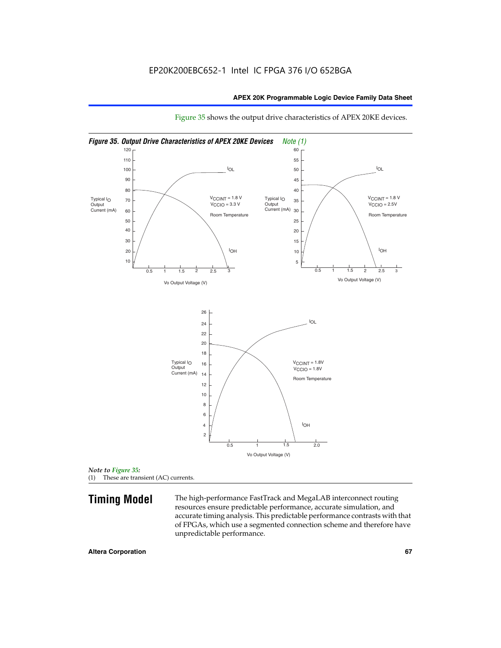

Figure 35 shows the output drive characteristics of APEX 20KE devices.

*Note to Figure 35:* (1) These are transient (AC) currents.

**Timing Model** The high-performance FastTrack and MegaLAB interconnect routing resources ensure predictable performance, accurate simulation, and accurate timing analysis. This predictable performance contrasts with that of FPGAs, which use a segmented connection scheme and therefore have unpredictable performance.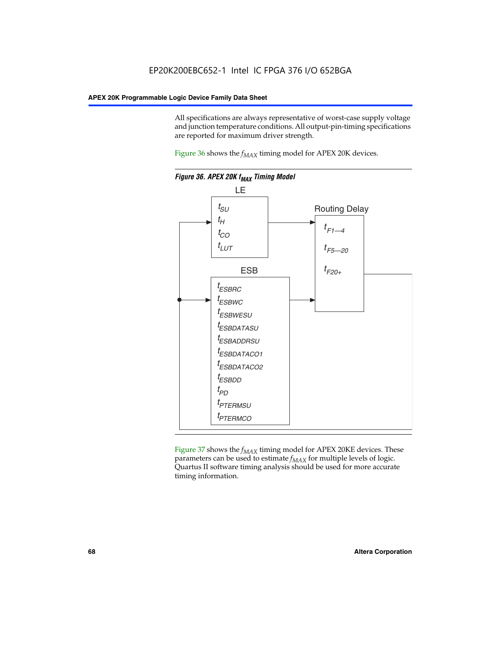All specifications are always representative of worst-case supply voltage and junction temperature conditions. All output-pin-timing specifications are reported for maximum driver strength.

Figure  $36$  shows the  $f_{MAX}$  timing model for APEX 20K devices.



Figure 37 shows the  $f_{MAX}$  timing model for APEX 20KE devices. These parameters can be used to estimate  $f_{MAX}$  for multiple levels of logic. Quartus II software timing analysis should be used for more accurate timing information.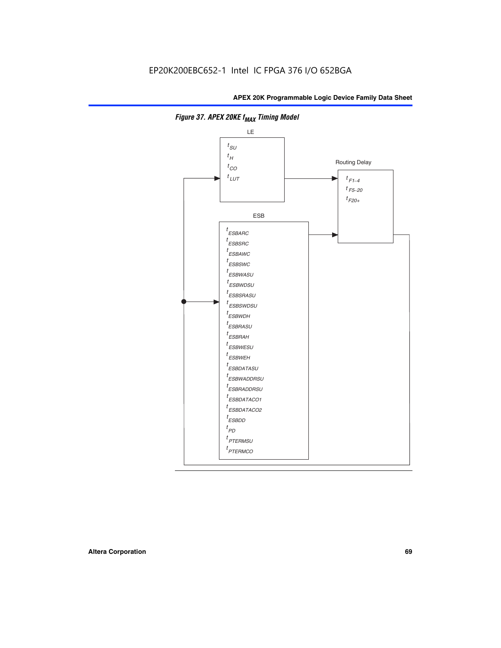

**Figure 37. APEX 20KE f<sub>MAX</sub> Timing Model**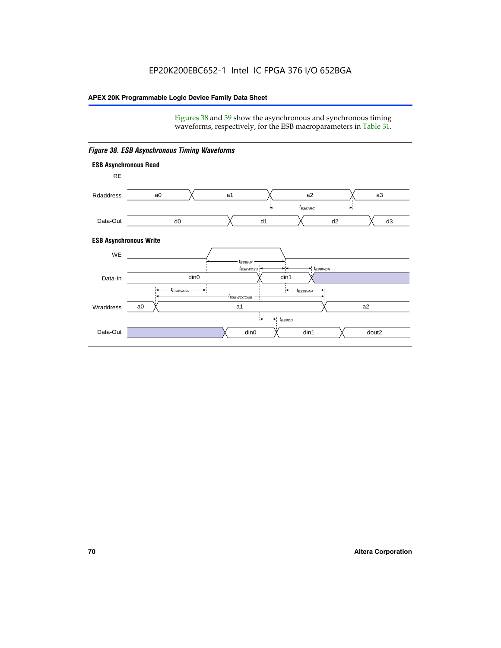Figures 38 and 39 show the asynchronous and synchronous timing waveforms, respectively, for the ESB macroparameters in Table 31.



*Figure 38. ESB Asynchronous Timing Waveforms*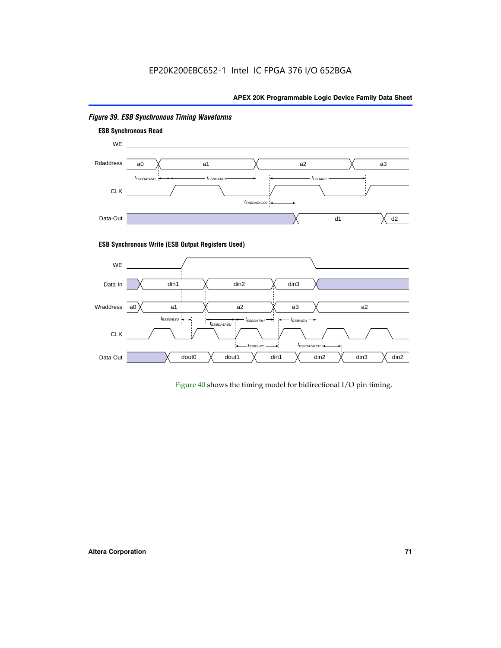

# *Figure 39. ESB Synchronous Timing Waveforms*

# **ESB Synchronous Write (ESB Output Registers Used)**



Figure 40 shows the timing model for bidirectional I/O pin timing.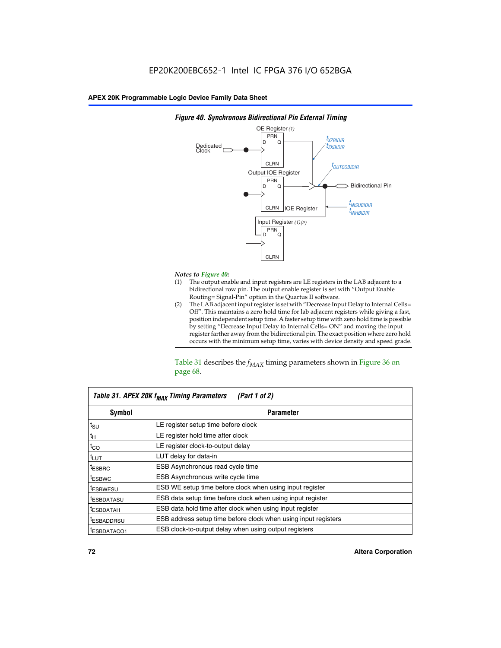

### *Figure 40. Synchronous Bidirectional Pin External Timing*

# *Notes to Figure 40:*

- The output enable and input registers are LE registers in the LAB adjacent to a bidirectional row pin. The output enable register is set with "Output Enable Routing= Signal-Pin" option in the Quartus II software.
- (2) The LAB adjacent input register is set with "Decrease Input Delay to Internal Cells= Off". This maintains a zero hold time for lab adjacent registers while giving a fast, position independent setup time. A faster setup time with zero hold time is possible by setting "Decrease Input Delay to Internal Cells= ON" and moving the input register farther away from the bidirectional pin. The exact position where zero hold occurs with the minimum setup time, varies with device density and speed grade.

Table 31 describes the  $f_{MAX}$  timing parameters shown in Figure 36 on page 68.

| Table 31. APEX 20K f <sub>MAX</sub> Timing Parameters<br>(Part 1 of 2) |                                                                |  |  |  |  |
|------------------------------------------------------------------------|----------------------------------------------------------------|--|--|--|--|
| Symbol                                                                 | <b>Parameter</b>                                               |  |  |  |  |
| $t_{\text{SU}}$                                                        | LE register setup time before clock                            |  |  |  |  |
| $t_H$                                                                  | LE register hold time after clock                              |  |  |  |  |
| $t_{CO}$                                                               | LE register clock-to-output delay                              |  |  |  |  |
| t <sub>LUT</sub>                                                       | LUT delay for data-in                                          |  |  |  |  |
| <sup>t</sup> ESBRC                                                     | ESB Asynchronous read cycle time                               |  |  |  |  |
| <sup>t</sup> ESBWC                                                     | ESB Asynchronous write cycle time                              |  |  |  |  |
| <sup>t</sup> ESBWESU                                                   | ESB WE setup time before clock when using input register       |  |  |  |  |
| <sup>t</sup> ESBDATASU                                                 | ESB data setup time before clock when using input register     |  |  |  |  |
| <sup>t</sup> ESBDATAH                                                  | ESB data hold time after clock when using input register       |  |  |  |  |
| <sup>t</sup> ESBADDRSU                                                 | ESB address setup time before clock when using input registers |  |  |  |  |
| ESBDATACO1                                                             | ESB clock-to-output delay when using output registers          |  |  |  |  |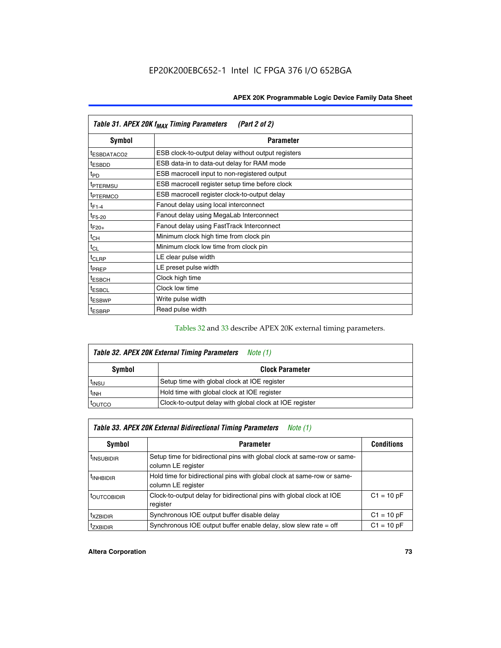| Table 31. APEX 20K f <sub>MAX</sub> Timing Parameters<br>(Part 2 of 2) |                                                    |  |  |  |  |
|------------------------------------------------------------------------|----------------------------------------------------|--|--|--|--|
| Symbol                                                                 | <b>Parameter</b>                                   |  |  |  |  |
| <sup>t</sup> ESBDATACO2                                                | ESB clock-to-output delay without output registers |  |  |  |  |
| <sup>t</sup> ESBDD                                                     | ESB data-in to data-out delay for RAM mode         |  |  |  |  |
| t <sub>PD</sub>                                                        | ESB macrocell input to non-registered output       |  |  |  |  |
| <sup>t</sup> PTERMSU                                                   | ESB macrocell register setup time before clock     |  |  |  |  |
| <sup>t</sup> PTERMCO                                                   | ESB macrocell register clock-to-output delay       |  |  |  |  |
| $t_{F1-4}$                                                             | Fanout delay using local interconnect              |  |  |  |  |
| $t_{F5-20}$                                                            | Fanout delay using MegaLab Interconnect            |  |  |  |  |
| $t_{F20+}$                                                             | Fanout delay using FastTrack Interconnect          |  |  |  |  |
| $t_{CH}$                                                               | Minimum clock high time from clock pin             |  |  |  |  |
| $t_{CL}$                                                               | Minimum clock low time from clock pin              |  |  |  |  |
| $t_{CLRP}$                                                             | LE clear pulse width                               |  |  |  |  |
| t <sub>PREP</sub>                                                      | LE preset pulse width                              |  |  |  |  |
| <sup>t</sup> ESBCH                                                     | Clock high time                                    |  |  |  |  |
| <sup>t</sup> ESBCL                                                     | Clock low time                                     |  |  |  |  |
| <sup>t</sup> ESBWP                                                     | Write pulse width                                  |  |  |  |  |
| <sup>t</sup> ESBRP                                                     | Read pulse width                                   |  |  |  |  |

## Tables 32 and 33 describe APEX 20K external timing parameters.

| Table 32. APEX 20K External Timing Parameters<br>Note (1) |                                                         |  |  |  |  |
|-----------------------------------------------------------|---------------------------------------------------------|--|--|--|--|
| Symbol                                                    | <b>Clock Parameter</b>                                  |  |  |  |  |
| <sup>t</sup> insu                                         | Setup time with global clock at IOE register            |  |  |  |  |
| $t_{\mathsf{INH}}$                                        | Hold time with global clock at IOE register             |  |  |  |  |
| toutco                                                    | Clock-to-output delay with global clock at IOE register |  |  |  |  |

| Table 33. APEX 20K External Bidirectional Timing Parameters<br>Note (1) |                                                                                                |              |  |  |  |  |
|-------------------------------------------------------------------------|------------------------------------------------------------------------------------------------|--------------|--|--|--|--|
| Symbol                                                                  | <b>Conditions</b><br><b>Parameter</b>                                                          |              |  |  |  |  |
| <sup>I</sup> INSUBIDIR                                                  | Setup time for bidirectional pins with global clock at same-row or same-<br>column LE register |              |  |  |  |  |
| <sup>t</sup> INHBIDIR                                                   | Hold time for bidirectional pins with global clock at same-row or same-<br>column LE register  |              |  |  |  |  |
| <sup>t</sup> OUTCOBIDIR                                                 | Clock-to-output delay for bidirectional pins with global clock at IOE<br>register              | $C1 = 10 pF$ |  |  |  |  |
| <sup>T</sup> XZBIDIR                                                    | Synchronous IOE output buffer disable delay                                                    | $C1 = 10 pF$ |  |  |  |  |
| <sup>I</sup> ZXBIDIR                                                    | Synchronous IOE output buffer enable delay, slow slew rate $=$ off                             | $C1 = 10 pF$ |  |  |  |  |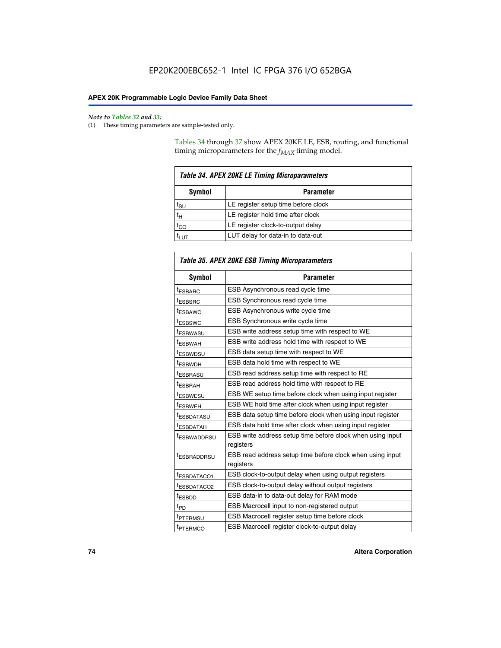$\mathbf{r}$ 

#### *Note to Tables 32 and 33:*

(1) These timing parameters are sample-tested only.

Tables 34 through 37 show APEX 20KE LE, ESB, routing, and functional timing microparameters for the  $f_{MAX}$  timing model.

| <b>Table 34. APEX 20KE LE Timing Microparameters</b> |                                     |  |  |  |  |
|------------------------------------------------------|-------------------------------------|--|--|--|--|
| Symbol<br><b>Parameter</b>                           |                                     |  |  |  |  |
| t <sub>SU</sub>                                      | LE register setup time before clock |  |  |  |  |
| $t_H$                                                | LE register hold time after clock   |  |  |  |  |
| $t_{CO}$                                             | LE register clock-to-output delay   |  |  |  |  |
|                                                      | LUT delay for data-in to data-out   |  |  |  |  |

| <b>Table 35. APEX 20KE ESB Timing Microparameters</b> |                                                            |  |  |  |
|-------------------------------------------------------|------------------------------------------------------------|--|--|--|
| Symbol                                                | <b>Parameter</b>                                           |  |  |  |
| <sup>t</sup> ESBARC                                   | ESB Asynchronous read cycle time                           |  |  |  |
| <sup>t</sup> ESBSRC                                   | ESB Synchronous read cycle time                            |  |  |  |
| <b><i>ESBAWC</i></b>                                  | ESB Asynchronous write cycle time                          |  |  |  |
| t <sub>ESBSWC</sub>                                   | ESB Synchronous write cycle time                           |  |  |  |
| t <sub>ESBWASU</sub>                                  | ESB write address setup time with respect to WE            |  |  |  |
| <sup>t</sup> ESBWAH                                   | ESB write address hold time with respect to WE             |  |  |  |
| t <sub>ESBWDSU</sub>                                  | ESB data setup time with respect to WE                     |  |  |  |
| <sup>t</sup> ESBWDH                                   | ESB data hold time with respect to WE                      |  |  |  |
| tESBRASU                                              | ESB read address setup time with respect to RE             |  |  |  |
| <sup>t</sup> ESBRAH                                   | ESB read address hold time with respect to RE              |  |  |  |
| <i><b>ESBWESU</b></i>                                 | ESB WE setup time before clock when using input register   |  |  |  |
| t <sub>ESBWEH</sub>                                   | ESB WE hold time after clock when using input register     |  |  |  |
| <i><b><i>ESBDATASU</i></b></i>                        | ESB data setup time before clock when using input register |  |  |  |
| t <sub>ESBDATAH</sub>                                 | ESB data hold time after clock when using input register   |  |  |  |
| t <sub>ESBWADDRSU</sub>                               | ESB write address setup time before clock when using input |  |  |  |
|                                                       | registers                                                  |  |  |  |
| <i><b>LESBRADDRSU</b></i>                             | ESB read address setup time before clock when using input  |  |  |  |
|                                                       | registers                                                  |  |  |  |
| t <sub>ESBDATACO1</sub>                               | ESB clock-to-output delay when using output registers      |  |  |  |
| t <sub>ESBDATACO2</sub>                               | ESB clock-to-output delay without output registers         |  |  |  |
| $t_{ESBDD}$                                           | ESB data-in to data-out delay for RAM mode                 |  |  |  |
| $t_{\mathsf{PD}}$                                     | ESB Macrocell input to non-registered output               |  |  |  |
| t <sub>PTERMSU</sub>                                  | ESB Macrocell register setup time before clock             |  |  |  |
| t <sub>PTERMCO</sub>                                  | ESB Macrocell register clock-to-output delay               |  |  |  |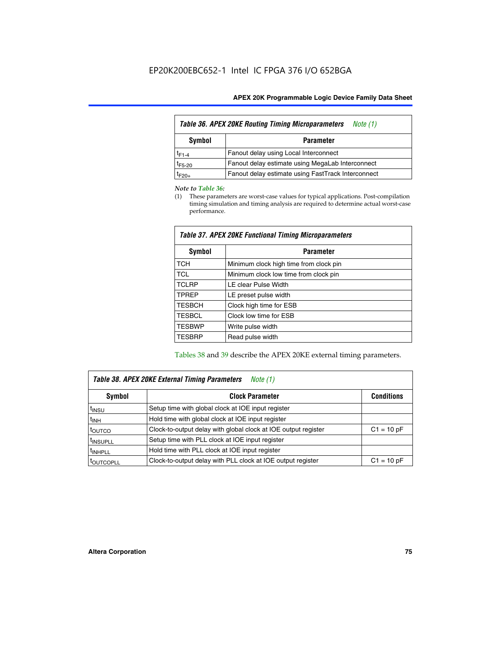| <b>Table 36. APEX 20KE Routing Timing Microparameters</b><br>Note (1) |                                                    |  |  |  |  |
|-----------------------------------------------------------------------|----------------------------------------------------|--|--|--|--|
| Symbol<br><b>Parameter</b>                                            |                                                    |  |  |  |  |
| $t_{F1-4}$                                                            | Fanout delay using Local Interconnect              |  |  |  |  |
| $t_{F5-20}$                                                           | Fanout delay estimate using MegaLab Interconnect   |  |  |  |  |
| $t_{F20+}$                                                            | Fanout delay estimate using FastTrack Interconnect |  |  |  |  |

#### *Note to Table 36:*

(1) These parameters are worst-case values for typical applications. Post-compilation timing simulation and timing analysis are required to determine actual worst-case performance.

| Symbol        | <b>Parameter</b>                       |
|---------------|----------------------------------------|
| <b>TCH</b>    | Minimum clock high time from clock pin |
| <b>TCL</b>    | Minimum clock low time from clock pin  |
| <b>TCLRP</b>  | LE clear Pulse Width                   |
| <b>TPREP</b>  | LE preset pulse width                  |
| <b>TESBCH</b> | Clock high time for ESB                |
| <b>TESBCL</b> | Clock low time for ESB                 |
| <b>TESBWP</b> | Write pulse width                      |
| <b>TESBRP</b> | Read pulse width                       |

## *Table 37. APEX 20KE Functional Timing Microparameters*

Tables 38 and 39 describe the APEX 20KE external timing parameters.

| Table 38. APEX 20KE External Timing Parameters<br><i>Note</i> $(1)$ |                                                                                |              |  |  |  |  |
|---------------------------------------------------------------------|--------------------------------------------------------------------------------|--------------|--|--|--|--|
| <b>Clock Parameter</b><br><b>Conditions</b><br>Symbol               |                                                                                |              |  |  |  |  |
| <sup>t</sup> insu                                                   | Setup time with global clock at IOE input register                             |              |  |  |  |  |
| $t_{\text{INH}}$                                                    | Hold time with global clock at IOE input register                              |              |  |  |  |  |
| t <sub>outco</sub>                                                  | Clock-to-output delay with global clock at IOE output register<br>$C1 = 10 pF$ |              |  |  |  |  |
| <sup>t</sup> INSUPLL                                                | Setup time with PLL clock at IOE input register                                |              |  |  |  |  |
| <sup>t</sup> INHPLL                                                 | Hold time with PLL clock at IOE input register                                 |              |  |  |  |  |
| <b><i>LOUTCOPLL</i></b>                                             | Clock-to-output delay with PLL clock at IOE output register                    | $C1 = 10 pF$ |  |  |  |  |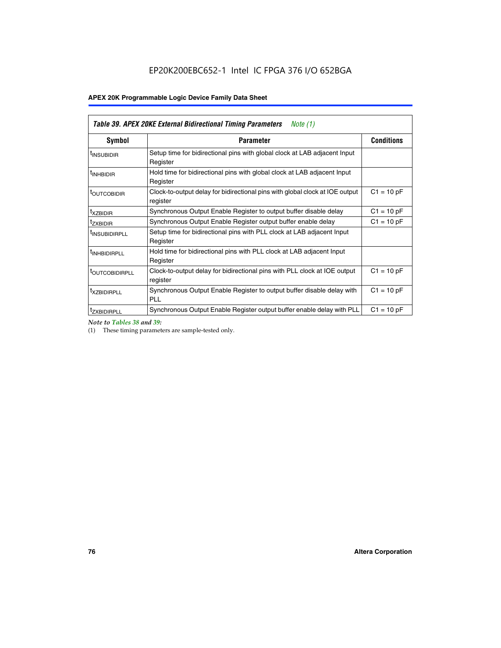| Table 39. APEX 20KE External Bidirectional Timing Parameters<br>Note $(1)$ |                                                                                                          |              |  |  |  |  |  |  |
|----------------------------------------------------------------------------|----------------------------------------------------------------------------------------------------------|--------------|--|--|--|--|--|--|
| <b>Symbol</b>                                                              | <b>Conditions</b><br><b>Parameter</b>                                                                    |              |  |  |  |  |  |  |
| <sup>t</sup> INSUBIDIR                                                     | Setup time for bidirectional pins with global clock at LAB adjacent Input<br>Register                    |              |  |  |  |  |  |  |
| <sup>t</sup> INHBIDIR                                                      | Hold time for bidirectional pins with global clock at LAB adjacent Input<br>Register                     |              |  |  |  |  |  |  |
| <b><i>LOUTCOBIDIR</i></b>                                                  | $C1 = 10 pF$<br>Clock-to-output delay for bidirectional pins with global clock at IOE output<br>register |              |  |  |  |  |  |  |
| t <sub>XZBIDIR</sub>                                                       | $C1 = 10 pF$<br>Synchronous Output Enable Register to output buffer disable delay                        |              |  |  |  |  |  |  |
| <sup>t</sup> zxbidir                                                       | Synchronous Output Enable Register output buffer enable delay                                            | $C1 = 10 pF$ |  |  |  |  |  |  |
| <sup>I</sup> INSUBIDIRPLL                                                  | Setup time for bidirectional pins with PLL clock at LAB adjacent Input<br>Register                       |              |  |  |  |  |  |  |
| <sup>t</sup> INHBIDIRPLL                                                   | Hold time for bidirectional pins with PLL clock at LAB adjacent Input<br>Register                        |              |  |  |  |  |  |  |
| <sup>t</sup> OUTCOBIDIRPLL                                                 | Clock-to-output delay for bidirectional pins with PLL clock at IOE output<br>register                    | $C1 = 10 pF$ |  |  |  |  |  |  |
| <sup>t</sup> XZBIDIRPLL                                                    | Synchronous Output Enable Register to output buffer disable delay with<br><b>PLL</b>                     | $C1 = 10 pF$ |  |  |  |  |  |  |
| <sup>I</sup> ZXBIDIRPLL                                                    | Synchronous Output Enable Register output buffer enable delay with PLL                                   | $C1 = 10 pF$ |  |  |  |  |  |  |

*Note to Tables 38 and 39:*

(1) These timing parameters are sample-tested only.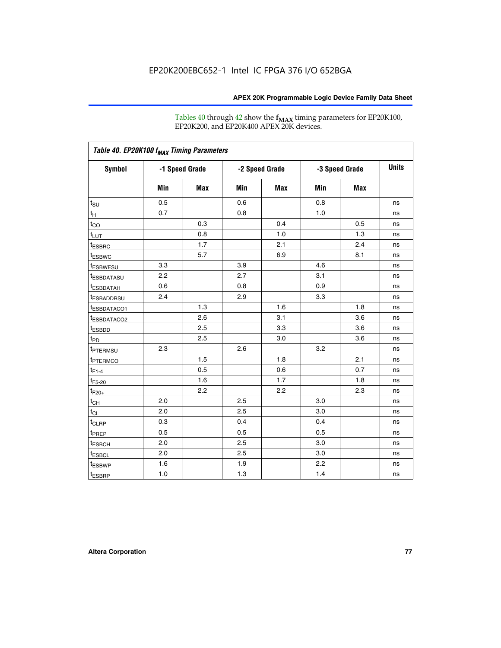Tables 40 through 42 show the **f<sub>MAX</sub>** timing parameters for EP20K100, EP20K200, and EP20K400 APEX 20K devices.

| Table 40. EP20K100 f <sub>MAX</sub> Timing Parameters |                |     |                |     |                |     |              |
|-------------------------------------------------------|----------------|-----|----------------|-----|----------------|-----|--------------|
| <b>Symbol</b>                                         | -1 Speed Grade |     | -2 Speed Grade |     | -3 Speed Grade |     | <b>Units</b> |
|                                                       | Min            | Max | Min            | Max | Min            | Max |              |
| $t_{\text{SU}}$                                       | 0.5            |     | 0.6            |     | 0.8            |     | ns           |
| $t_H$                                                 | 0.7            |     | 0.8            |     | 1.0            |     | ns           |
| $t_{CO}$                                              |                | 0.3 |                | 0.4 |                | 0.5 | ns           |
| $t_{LUT}$                                             |                | 0.8 |                | 1.0 |                | 1.3 | ns           |
| <sup>t</sup> ESBRC                                    |                | 1.7 |                | 2.1 |                | 2.4 | ns           |
| t <sub>ESBWC</sub>                                    |                | 5.7 |                | 6.9 |                | 8.1 | ns           |
| t <sub>ESBWESU</sub>                                  | 3.3            |     | 3.9            |     | 4.6            |     | ns           |
| <sup>t</sup> ESBDATASU                                | 2.2            |     | 2.7            |     | 3.1            |     | ns           |
| t <sub>ESBDATAH</sub>                                 | 0.6            |     | 0.8            |     | 0.9            |     | ns           |
| <sup>t</sup> ESBADDRSU                                | 2.4            |     | 2.9            |     | 3.3            |     | ns           |
| t <sub>ESBDATACO1</sub>                               |                | 1.3 |                | 1.6 |                | 1.8 | ns           |
| t <sub>ESBDATACO2</sub>                               |                | 2.6 |                | 3.1 |                | 3.6 | ns           |
| t <sub>ESBDD</sub>                                    |                | 2.5 |                | 3.3 |                | 3.6 | ns           |
| t <sub>PD</sub>                                       |                | 2.5 |                | 3.0 |                | 3.6 | ns           |
| <sup>t</sup> PTERMSU                                  | 2.3            |     | 2.6            |     | 3.2            |     | ns           |
| t <sub>PTERMCO</sub>                                  |                | 1.5 |                | 1.8 |                | 2.1 | ns           |
| $t_{F1-4}$                                            |                | 0.5 |                | 0.6 |                | 0.7 | ns           |
| $t_{F5-20}$                                           |                | 1.6 |                | 1.7 |                | 1.8 | ns           |
| $t_{F20+}$                                            |                | 2.2 |                | 2.2 |                | 2.3 | ns           |
| $t_{\mathsf{CH}}$                                     | 2.0            |     | 2.5            |     | 3.0            |     | ns           |
| $t_{CL}$                                              | 2.0            |     | 2.5            |     | 3.0            |     | ns           |
| t <sub>CLRP</sub>                                     | 0.3            |     | 0.4            |     | 0.4            |     | ns           |
| t <sub>PREP</sub>                                     | 0.5            |     | 0.5            |     | 0.5            |     | ns           |
| t <sub>ESBCH</sub>                                    | 2.0            |     | 2.5            |     | 3.0            |     | ns           |
| t <sub>ESBCL</sub>                                    | 2.0            |     | 2.5            |     | 3.0            |     | ns           |
| t <sub>ESBWP</sub>                                    | 1.6            |     | 1.9            |     | 2.2            |     | ns           |
| $t_{ESBRP}$                                           | 1.0            |     | 1.3            |     | 1.4            |     | ns           |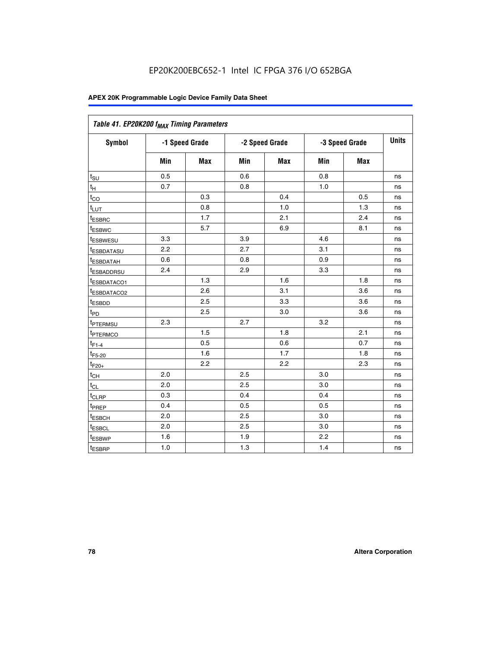| Table 41. EP20K200 f <sub>MAX</sub> Timing Parameters |                |     |     |                |     |                |    |
|-------------------------------------------------------|----------------|-----|-----|----------------|-----|----------------|----|
| Symbol                                                | -1 Speed Grade |     |     | -2 Speed Grade |     | -3 Speed Grade |    |
|                                                       | Min            | Max | Min | <b>Max</b>     | Min | Max            |    |
| $t_{\text{SU}}$                                       | 0.5            |     | 0.6 |                | 0.8 |                | ns |
| $t_H$                                                 | 0.7            |     | 0.8 |                | 1.0 |                | ns |
| $t_{CO}$                                              |                | 0.3 |     | 0.4            |     | 0.5            | ns |
| $t_{LUT}$                                             |                | 0.8 |     | 1.0            |     | 1.3            | ns |
| t <sub>ESBRC</sub>                                    |                | 1.7 |     | 2.1            |     | 2.4            | ns |
| t <sub>ESBWC</sub>                                    |                | 5.7 |     | 6.9            |     | 8.1            | ns |
| t <sub>ESBWESU</sub>                                  | 3.3            |     | 3.9 |                | 4.6 |                | ns |
| <sup>t</sup> ESBDATASU                                | 2.2            |     | 2.7 |                | 3.1 |                | ns |
| t <sub>ESBDATAH</sub>                                 | 0.6            |     | 0.8 |                | 0.9 |                | ns |
| t <sub>ESBADDRSU</sub>                                | 2.4            |     | 2.9 |                | 3.3 |                | ns |
| <u>t<sub>ESBDATACO1</sub></u>                         |                | 1.3 |     | 1.6            |     | 1.8            | ns |
| <sup>t</sup> ESBDATACO2                               |                | 2.6 |     | 3.1            |     | 3.6            | ns |
| t <sub>ESBDD</sub>                                    |                | 2.5 |     | 3.3            |     | 3.6            | ns |
| t <sub>PD</sub>                                       |                | 2.5 |     | 3.0            |     | 3.6            | ns |
| t <sub>PTERMSU</sub>                                  | 2.3            |     | 2.7 |                | 3.2 |                | ns |
| t <sub>PTERMCO</sub>                                  |                | 1.5 |     | 1.8            |     | 2.1            | ns |
| $t_{F1-4}$                                            |                | 0.5 |     | 0.6            |     | 0.7            | ns |
| $t_{F5-20}$                                           |                | 1.6 |     | 1.7            |     | 1.8            | ns |
| $t_{F20+}$                                            |                | 2.2 |     | 2.2            |     | 2.3            | ns |
| $\textnormal{t}_{\textnormal{CH}}$                    | 2.0            |     | 2.5 |                | 3.0 |                | ns |
| $t_{CL}$                                              | 2.0            |     | 2.5 |                | 3.0 |                | ns |
| t <sub>CLRP</sub>                                     | 0.3            |     | 0.4 |                | 0.4 |                | ns |
| t <sub>PREP</sub>                                     | 0.4            |     | 0.5 |                | 0.5 |                | ns |
| t <sub>ESBCH</sub>                                    | 2.0            |     | 2.5 |                | 3.0 |                | ns |
| t <sub>ESBCL</sub>                                    | 2.0            |     | 2.5 |                | 3.0 |                | ns |
| t <sub>ESBWP</sub>                                    | 1.6            |     | 1.9 |                | 2.2 |                | ns |
| t <sub>ESBRP</sub>                                    | 1.0            |     | 1.3 |                | 1.4 |                | ns |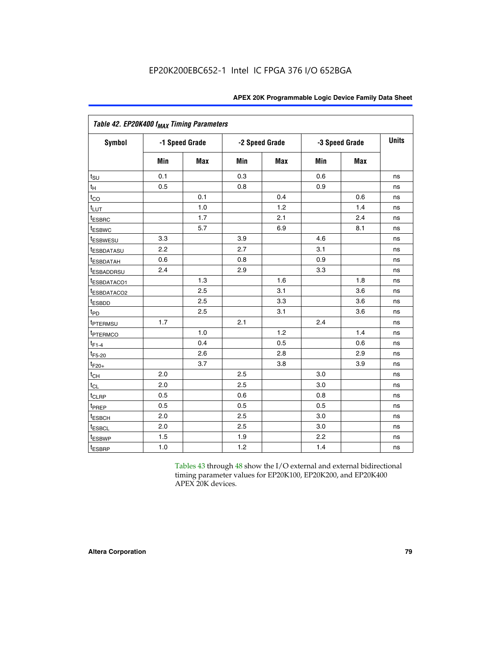|                           | Table 42. EP20K400 f <sub>MAX</sub> Timing Parameters |                |     |                |     |                |              |  |  |  |  |  |
|---------------------------|-------------------------------------------------------|----------------|-----|----------------|-----|----------------|--------------|--|--|--|--|--|
| <b>Symbol</b>             |                                                       | -1 Speed Grade |     | -2 Speed Grade |     | -3 Speed Grade | <b>Units</b> |  |  |  |  |  |
|                           | Min                                                   | Max            | Min | Max            | Min | <b>Max</b>     |              |  |  |  |  |  |
| $t_{\text{SU}}$           | 0.1                                                   |                | 0.3 |                | 0.6 |                | ns           |  |  |  |  |  |
| $t_H$                     | 0.5                                                   |                | 0.8 |                | 0.9 |                | ns           |  |  |  |  |  |
| $t_{CO}$                  |                                                       | 0.1            |     | 0.4            |     | 0.6            | ns           |  |  |  |  |  |
| $t_{LUT}$                 |                                                       | 1.0            |     | 1.2            |     | 1.4            | ns           |  |  |  |  |  |
| t <sub>ESBRC</sub>        |                                                       | 1.7            |     | 2.1            |     | 2.4            | ns           |  |  |  |  |  |
| <i>t</i> <sub>ESBWC</sub> |                                                       | 5.7            |     | 6.9            |     | 8.1            | ns           |  |  |  |  |  |
| <i>t</i> ESBWESU          | 3.3                                                   |                | 3.9 |                | 4.6 |                | ns           |  |  |  |  |  |
| <sup>t</sup> ESBDATASU    | 2.2                                                   |                | 2.7 |                | 3.1 |                | ns           |  |  |  |  |  |
| <b><i>ESBDATAH</i></b>    | 0.6                                                   |                | 0.8 |                | 0.9 |                | ns           |  |  |  |  |  |
| <sup>t</sup> ESBADDRSU    | 2.4                                                   |                | 2.9 |                | 3.3 |                | ns           |  |  |  |  |  |
| <sup>t</sup> ESBDATACO1   |                                                       | 1.3            |     | 1.6            |     | 1.8            | ns           |  |  |  |  |  |
| t <sub>ESBDATACO2</sub>   |                                                       | 2.5            |     | 3.1            |     | 3.6            | ns           |  |  |  |  |  |
| t <sub>ESBDD</sub>        |                                                       | 2.5            |     | 3.3            |     | 3.6            | ns           |  |  |  |  |  |
| t <sub>PD</sub>           |                                                       | 2.5            |     | 3.1            |     | 3.6            | ns           |  |  |  |  |  |
| t <sub>PTERMSU</sub>      | 1.7                                                   |                | 2.1 |                | 2.4 |                | ns           |  |  |  |  |  |
| <sup>t</sup> PTERMCO      |                                                       | 1.0            |     | 1.2            |     | 1.4            | ns           |  |  |  |  |  |
| $t_{F1-4}$                |                                                       | 0.4            |     | 0.5            |     | 0.6            | ns           |  |  |  |  |  |
| $t_{F5-20}$               |                                                       | 2.6            |     | 2.8            |     | 2.9            | ns           |  |  |  |  |  |
| $t_{F20+}$                |                                                       | 3.7            |     | 3.8            |     | 3.9            | ns           |  |  |  |  |  |
| $t_{CH}$                  | 2.0                                                   |                | 2.5 |                | 3.0 |                | ns           |  |  |  |  |  |
| $t_{CL}$                  | 2.0                                                   |                | 2.5 |                | 3.0 |                | ns           |  |  |  |  |  |
| t <sub>CLRP</sub>         | 0.5                                                   |                | 0.6 |                | 0.8 |                | ns           |  |  |  |  |  |
| t <sub>PREP</sub>         | 0.5                                                   |                | 0.5 |                | 0.5 |                | ns           |  |  |  |  |  |
| t <sub>ESBCH</sub>        | 2.0                                                   |                | 2.5 |                | 3.0 |                | ns           |  |  |  |  |  |
| t <sub>ESBCL</sub>        | 2.0                                                   |                | 2.5 |                | 3.0 |                | ns           |  |  |  |  |  |
| t <sub>ESBWP</sub>        | 1.5                                                   |                | 1.9 |                | 2.2 |                | ns           |  |  |  |  |  |
| t <sub>ESBRP</sub>        | 1.0                                                   |                | 1.2 |                | 1.4 |                | ns           |  |  |  |  |  |

Tables 43 through 48 show the I/O external and external bidirectional timing parameter values for EP20K100, EP20K200, and EP20K400 APEX 20K devices.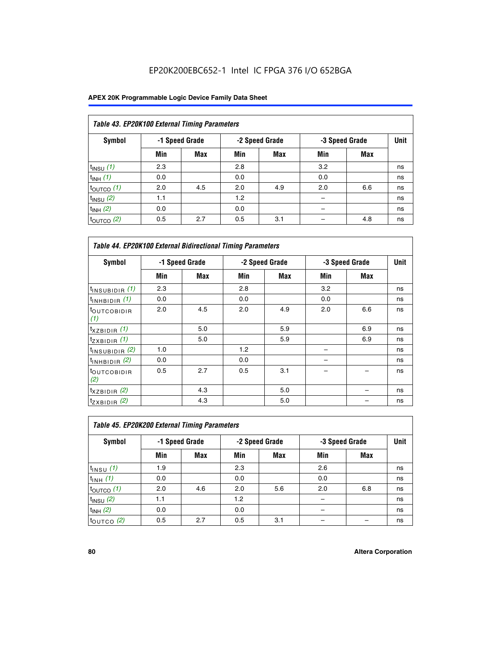## EP20K200EBC652-1 Intel IC FPGA 376 I/O 652BGA

| Table 43. EP20K100 External Timing Parameters |     |                |     |                |     |                |    |  |  |  |  |
|-----------------------------------------------|-----|----------------|-----|----------------|-----|----------------|----|--|--|--|--|
| Symbol                                        |     | -1 Speed Grade |     | -2 Speed Grade |     | -3 Speed Grade |    |  |  |  |  |
|                                               | Min | Max            | Min | <b>Max</b>     | Min | <b>Max</b>     |    |  |  |  |  |
| $t_{INSU}$ (1)                                | 2.3 |                | 2.8 |                | 3.2 |                | ns |  |  |  |  |
| $t_{INH}$ (1)                                 | 0.0 |                | 0.0 |                | 0.0 |                | ns |  |  |  |  |
| $t_{\text{OUTCO}}(1)$                         | 2.0 | 4.5            | 2.0 | 4.9            | 2.0 | 6.6            | ns |  |  |  |  |
| $t_{IN}$ su $(2)$                             | 1.1 |                | 1.2 |                |     |                | ns |  |  |  |  |
| $t_{INH}$ (2)                                 | 0.0 |                | 0.0 |                |     |                | ns |  |  |  |  |
| $t_{\text{OUTCO}}(2)$                         | 0.5 | 2.7            | 0.5 | 3.1            |     | 4.8            | ns |  |  |  |  |

| <b>Table 44. EP20K100 External Bidirectional Timing Parameters</b> |     |                |     |                |     |                |    |
|--------------------------------------------------------------------|-----|----------------|-----|----------------|-----|----------------|----|
| Symbol                                                             |     | -1 Speed Grade |     | -2 Speed Grade |     | -3 Speed Grade |    |
|                                                                    | Min | Max            | Min | Max            | Min | Max            |    |
| $t_{\text{INSUBIDIR}}(1)$                                          | 2.3 |                | 2.8 |                | 3.2 |                | ns |
| $t_{INHBIDIR}$ (1)                                                 | 0.0 |                | 0.0 |                | 0.0 |                | ns |
| <sup>t</sup> OUTCOBIDIR<br>(1)                                     | 2.0 | 4.5            | 2.0 | 4.9            | 2.0 | 6.6            | ns |
| $t_{XZBIDIR}$ (1)                                                  |     | 5.0            |     | 5.9            |     | 6.9            | ns |
| $t_{ZXBIDIR}$ (1)                                                  |     | 5.0            |     | 5.9            |     | 6.9            | ns |
| $t_{INSUBIDIR}$ (2)                                                | 1.0 |                | 1.2 |                |     |                | ns |
| $t_{INHBIDIR}$ (2)                                                 | 0.0 |                | 0.0 |                |     |                | ns |
| <sup>t</sup> OUTCOBIDIR<br>(2)                                     | 0.5 | 2.7            | 0.5 | 3.1            |     |                | ns |
| $t_{XZBIDIR}$ (2)                                                  |     | 4.3            |     | 5.0            |     |                | ns |
| $t_{ZXBIDIR}$ (2)                                                  |     | 4.3            |     | 5.0            |     |                | ns |

| Table 45. EP20K200 External Timing Parameters |     |                |     |                |     |                |             |  |  |  |  |
|-----------------------------------------------|-----|----------------|-----|----------------|-----|----------------|-------------|--|--|--|--|
| Symbol                                        |     | -1 Speed Grade |     | -2 Speed Grade |     | -3 Speed Grade | <b>Unit</b> |  |  |  |  |
|                                               | Min | <b>Max</b>     | Min | <b>Max</b>     | Min | <b>Max</b>     |             |  |  |  |  |
| $t_{INSU}$ (1)                                | 1.9 |                | 2.3 |                | 2.6 |                | ns          |  |  |  |  |
| $t_{INH}$ (1)                                 | 0.0 |                | 0.0 |                | 0.0 |                | ns          |  |  |  |  |
| $t_{\text{OUTCO}}(1)$                         | 2.0 | 4.6            | 2.0 | 5.6            | 2.0 | 6.8            | ns          |  |  |  |  |
| $t_{\text{INSU}}(2)$                          | 1.1 |                | 1.2 |                |     |                | ns          |  |  |  |  |
| $t_{INH}$ (2)                                 | 0.0 |                | 0.0 |                |     |                | ns          |  |  |  |  |
| $t_{\text{OUTCO}}$ (2)                        | 0.5 | 2.7            | 0.5 | 3.1            |     |                | ns          |  |  |  |  |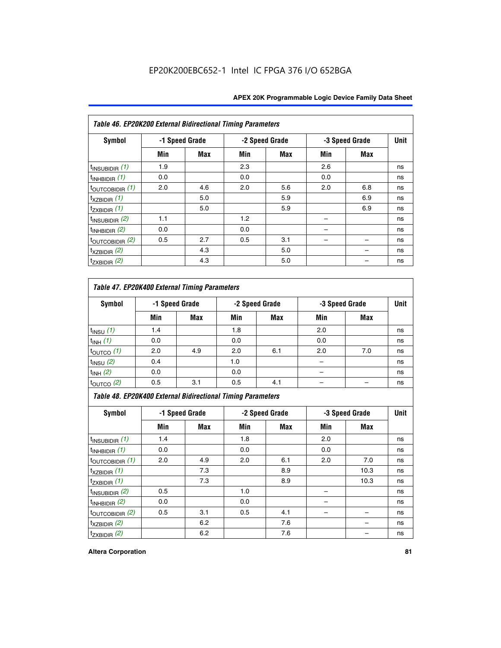| Table 46. EP20K200 External Bidirectional Timing Parameters |     |                |     |                |     |                |             |
|-------------------------------------------------------------|-----|----------------|-----|----------------|-----|----------------|-------------|
| Symbol                                                      |     | -1 Speed Grade |     | -2 Speed Grade |     | -3 Speed Grade | <b>Unit</b> |
|                                                             | Min | Max            | Min | Max            | Min | Max            |             |
| $t_{\text{INSUBIDIR}}(1)$                                   | 1.9 |                | 2.3 |                | 2.6 |                | ns          |
| $t_{INHBIDIR}$ (1)                                          | 0.0 |                | 0.0 |                | 0.0 |                | ns          |
| $t_{\text{OUTCOBIDIR}}(1)$                                  | 2.0 | 4.6            | 2.0 | 5.6            | 2.0 | 6.8            | ns          |
| $t_{XZBIDIR}$ (1)                                           |     | 5.0            |     | 5.9            |     | 6.9            | ns          |
| $t_{ZXBIDIR}$ (1)                                           |     | 5.0            |     | 5.9            |     | 6.9            | ns          |
| $t_{\text{INSUBIDIR}}(2)$                                   | 1.1 |                | 1.2 |                |     |                | ns          |
| $t_{INHBIDIR}$ (2)                                          | 0.0 |                | 0.0 |                |     |                | ns          |
| $t_{\text{OUTCOBIDIR}}$ (2)                                 | 0.5 | 2.7            | 0.5 | 3.1            |     |                | ns          |
| $t_{XZBIDIR}$ (2)                                           |     | 4.3            |     | 5.0            |     |                | ns          |
| $t_{ZXBIDIR}$ (2)                                           |     | 4.3            |     | 5.0            |     |                | ns          |

## *Table 47. EP20K400 External Timing Parameters*

| Symbol                |     | -1 Speed Grade |     | -2 Speed Grade |     | -3 Speed Grade |    |
|-----------------------|-----|----------------|-----|----------------|-----|----------------|----|
|                       | Min | <b>Max</b>     | Min | <b>Max</b>     | Min | <b>Max</b>     |    |
| $t_{INSU}$ (1)        | 1.4 |                | 1.8 |                | 2.0 |                | ns |
| $t_{INH}$ (1)         | 0.0 |                | 0.0 |                | 0.0 |                | ns |
| $t_{\text{OUTCO}}(1)$ | 2.0 | 4.9            | 2.0 | 6.1            | 2.0 | 7.0            | ns |
| $t_{INSU}$ (2)        | 0.4 |                | 1.0 |                |     |                | ns |
| $t_{INH}$ (2)         | 0.0 |                | 0.0 |                |     |                | ns |
| $t_{\text{OUTCO}}(2)$ | 0.5 | 3.1            | 0.5 | 4.1            |     |                | ns |

*Table 48. EP20K400 External Bidirectional Timing Parameters*

| Symbol                      | -1 Speed Grade |     | -2 Speed Grade |     |     | -3 Speed Grade | <b>Unit</b> |
|-----------------------------|----------------|-----|----------------|-----|-----|----------------|-------------|
|                             | Min            | Max | Min            | Max | Min | Max            |             |
| $t_{\text{INSUBIDIR}}(1)$   | 1.4            |     | 1.8            |     | 2.0 |                | ns          |
| $t_{INHBIDIR}$ (1)          | 0.0            |     | 0.0            |     | 0.0 |                | ns          |
| $t_{\text{OUTCOBIDIR}}(1)$  | 2.0            | 4.9 | 2.0            | 6.1 | 2.0 | 7.0            | ns          |
| $t_{XZBIDIR}$ (1)           |                | 7.3 |                | 8.9 |     | 10.3           | ns          |
| $t_{ZXBIDIR}$ (1)           |                | 7.3 |                | 8.9 |     | 10.3           | ns          |
| $t_{\text{INSUBIDIR}}(2)$   | 0.5            |     | 1.0            |     |     |                | ns          |
| $t_{INHBIDIR}$ (2)          | 0.0            |     | 0.0            |     |     |                | ns          |
| $t_{\text{OUTCOBIDIR}}$ (2) | 0.5            | 3.1 | 0.5            | 4.1 |     |                | ns          |
| $t_{XZBIDIR}$ (2)           |                | 6.2 |                | 7.6 |     |                | ns          |
| $t_{ZXBIDIR}$ (2)           |                | 6.2 |                | 7.6 |     |                | ns          |

#### **Altera Corporation 81**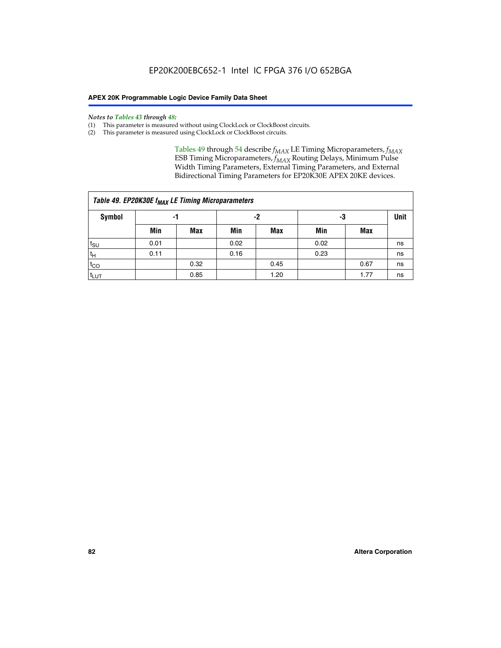#### *Notes to Tables 43 through 48:*

- (1) This parameter is measured without using ClockLock or ClockBoost circuits.
- (2) This parameter is measured using ClockLock or ClockBoost circuits.

Tables 49 through 54 describe  $f_{MAX}$  LE Timing Microparameters,  $f_{MAX}$ ESB Timing Microparameters, *f<sub>MAX</sub>* Routing Delays, Minimum Pulse Width Timing Parameters, External Timing Parameters, and External Bidirectional Timing Parameters for EP20K30E APEX 20KE devices.

| Table 49. EP20K30E f <sub>MAX</sub> LE Timing Microparameters |      |      |      |            |      |      |    |  |  |  |  |
|---------------------------------------------------------------|------|------|------|------------|------|------|----|--|--|--|--|
| <b>Symbol</b>                                                 |      | -1   |      | -2         |      | -3   |    |  |  |  |  |
|                                                               | Min  | Max  | Min  | <b>Max</b> | Min  | Max  |    |  |  |  |  |
| $t_{\text{SU}}$                                               | 0.01 |      | 0.02 |            | 0.02 |      | ns |  |  |  |  |
| $t_H$                                                         | 0.11 |      | 0.16 |            | 0.23 |      | ns |  |  |  |  |
| $t_{CO}$                                                      |      | 0.32 |      | 0.45       |      | 0.67 | ns |  |  |  |  |
| $t_{LUT}$                                                     |      | 0.85 |      | 1.20       |      | 1.77 | ns |  |  |  |  |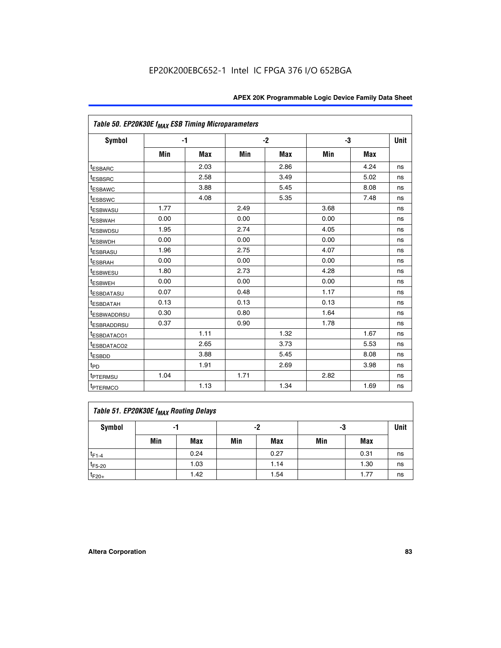| Table 50. EP20K30E f <sub>MAX</sub> ESB Timing Microparameters |      |      |      |      |      |            |             |
|----------------------------------------------------------------|------|------|------|------|------|------------|-------------|
| <b>Symbol</b>                                                  | $-1$ |      | $-2$ |      | -3   |            | <b>Unit</b> |
|                                                                | Min  | Max  | Min  | Max  | Min  | <b>Max</b> |             |
| <sup>t</sup> ESBARC                                            |      | 2.03 |      | 2.86 |      | 4.24       | ns          |
| <sup>t</sup> ESBSRC                                            |      | 2.58 |      | 3.49 |      | 5.02       | ns          |
| <sup>t</sup> ESBAWC                                            |      | 3.88 |      | 5.45 |      | 8.08       | ns          |
| t <sub>ESBSWC</sub>                                            |      | 4.08 |      | 5.35 |      | 7.48       | ns          |
| <sup>t</sup> ESBWASU                                           | 1.77 |      | 2.49 |      | 3.68 |            | ns          |
| <sup>t</sup> ESBWAH                                            | 0.00 |      | 0.00 |      | 0.00 |            | ns          |
| <sup>t</sup> ESBWDSU                                           | 1.95 |      | 2.74 |      | 4.05 |            | ns          |
| <sup>t</sup> ESBWDH                                            | 0.00 |      | 0.00 |      | 0.00 |            | ns          |
| <sup>t</sup> ESBRASU                                           | 1.96 |      | 2.75 |      | 4.07 |            | ns          |
| <sup>t</sup> ESBRAH                                            | 0.00 |      | 0.00 |      | 0.00 |            | ns          |
| <i>t</i> <sub>ESBWESU</sub>                                    | 1.80 |      | 2.73 |      | 4.28 |            | ns          |
| <sup>t</sup> ESBWEH                                            | 0.00 |      | 0.00 |      | 0.00 |            | ns          |
| t <sub>ESBDATASU</sub>                                         | 0.07 |      | 0.48 |      | 1.17 |            | ns          |
| <sup>t</sup> ESBDATAH                                          | 0.13 |      | 0.13 |      | 0.13 |            | ns          |
| <sup>I</sup> ESBWADDRSU                                        | 0.30 |      | 0.80 |      | 1.64 |            | ns          |
| t <sub>ESBRADDRSU</sub>                                        | 0.37 |      | 0.90 |      | 1.78 |            | ns          |
| ESBDATACO1                                                     |      | 1.11 |      | 1.32 |      | 1.67       | ns          |
| <sup>t</sup> ESBDATACO2                                        |      | 2.65 |      | 3.73 |      | 5.53       | ns          |
| t <sub>ESBDD</sub>                                             |      | 3.88 |      | 5.45 |      | 8.08       | ns          |
| $t_{PD}$                                                       |      | 1.91 |      | 2.69 |      | 3.98       | ns          |
| <sup>t</sup> PTERMSU                                           | 1.04 |      | 1.71 |      | 2.82 |            | ns          |
| t <sub>PTERMCO</sub>                                           |      | 1.13 |      | 1.34 |      | 1.69       | ns          |

## **Table 51. EP20K30E f<sub>MAX</sub> Routing Delays**

| Symbol      | - 1 |            | -2  |            | -3  |      | Unit |
|-------------|-----|------------|-----|------------|-----|------|------|
|             | Min | <b>Max</b> | Min | <b>Max</b> | Min | Max  |      |
| $t_{F1-4}$  |     | 0.24       |     | 0.27       |     | 0.31 | ns   |
| $t_{F5-20}$ |     | 1.03       |     | 1.14       |     | 1.30 | ns   |
| $t_{F20+}$  |     | 1.42       |     | 1.54       |     | 1.77 | ns   |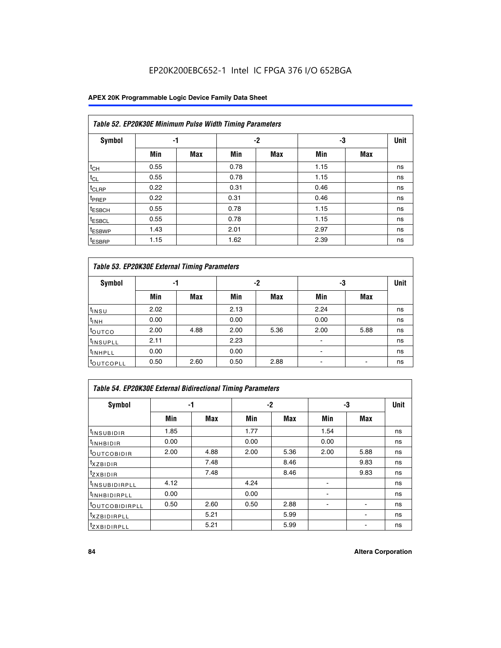## EP20K200EBC652-1 Intel IC FPGA 376 I/O 652BGA

### **APEX 20K Programmable Logic Device Family Data Sheet**

|                    | Table 52. EP20K30E Minimum Pulse Width Timing Parameters |            |      |            |      |     |             |  |  |  |  |  |
|--------------------|----------------------------------------------------------|------------|------|------------|------|-----|-------------|--|--|--|--|--|
| <b>Symbol</b>      | -1                                                       |            |      | -2         | -3   |     | <b>Unit</b> |  |  |  |  |  |
|                    | Min                                                      | <b>Max</b> | Min  | <b>Max</b> | Min  | Max |             |  |  |  |  |  |
| $t_{CH}$           | 0.55                                                     |            | 0.78 |            | 1.15 |     | ns          |  |  |  |  |  |
| $t_{CL}$           | 0.55                                                     |            | 0.78 |            | 1.15 |     | ns          |  |  |  |  |  |
| t <sub>CLRP</sub>  | 0.22                                                     |            | 0.31 |            | 0.46 |     | ns          |  |  |  |  |  |
| <sup>t</sup> PREP  | 0.22                                                     |            | 0.31 |            | 0.46 |     | ns          |  |  |  |  |  |
| <sup>t</sup> ESBCH | 0.55                                                     |            | 0.78 |            | 1.15 |     | ns          |  |  |  |  |  |
| <sup>t</sup> ESBCL | 0.55                                                     |            | 0.78 |            | 1.15 |     | ns          |  |  |  |  |  |
| <sup>t</sup> ESBWP | 1.43                                                     |            | 2.01 |            | 2.97 |     | ns          |  |  |  |  |  |
| <sup>t</sup> ESBRP | 1.15                                                     |            | 1.62 |            | 2.39 |     | ns          |  |  |  |  |  |

| Table 53. EP20K30E External Timing Parameters |          |            |      |            |                |            |    |  |  |  |  |
|-----------------------------------------------|----------|------------|------|------------|----------------|------------|----|--|--|--|--|
| <b>Symbol</b>                                 | -2<br>-1 |            | -3   |            | <b>Unit</b>    |            |    |  |  |  |  |
|                                               | Min      | <b>Max</b> | Min  | <b>Max</b> | Min            | <b>Max</b> |    |  |  |  |  |
| $t_{INSU}$                                    | 2.02     |            | 2.13 |            | 2.24           |            | ns |  |  |  |  |
| $t_{\rm INH}$                                 | 0.00     |            | 0.00 |            | 0.00           |            | ns |  |  |  |  |
| toutco                                        | 2.00     | 4.88       | 2.00 | 5.36       | 2.00           | 5.88       | ns |  |  |  |  |
| <sup>t</sup> INSUPLL                          | 2.11     |            | 2.23 |            |                |            | ns |  |  |  |  |
| <sup>t</sup> INHPLL                           | 0.00     |            | 0.00 |            | $\blacksquare$ |            | ns |  |  |  |  |
| <b>LOUTCOPLL</b>                              | 0.50     | 2.60       | 0.50 | 2.88       | -              |            | ns |  |  |  |  |

| Table 54. EP20K30E External Bidirectional Timing Parameters |      |      |      |            |      |            |             |  |  |  |  |
|-------------------------------------------------------------|------|------|------|------------|------|------------|-------------|--|--|--|--|
| Symbol                                                      |      | -1   | -2   |            |      | -3         | <b>Unit</b> |  |  |  |  |
|                                                             | Min  | Max  | Min  | <b>Max</b> | Min  | <b>Max</b> |             |  |  |  |  |
| <sup>t</sup> INSUBIDIR                                      | 1.85 |      | 1.77 |            | 1.54 |            | ns          |  |  |  |  |
| <b>INHBIDIR</b>                                             | 0.00 |      | 0.00 |            | 0.00 |            | ns          |  |  |  |  |
| <b>LOUTCOBIDIR</b>                                          | 2.00 | 4.88 | 2.00 | 5.36       | 2.00 | 5.88       | ns          |  |  |  |  |
| <sup>T</sup> XZBIDIR                                        |      | 7.48 |      | 8.46       |      | 9.83       | ns          |  |  |  |  |
| <sup>I</sup> ZXBIDIR                                        |      | 7.48 |      | 8.46       |      | 9.83       | ns          |  |  |  |  |
| <sup>I</sup> INSUBIDIRPLL                                   | 4.12 |      | 4.24 |            |      |            | ns          |  |  |  |  |
| <sup>I</sup> INHBIDIRPLL                                    | 0.00 |      | 0.00 |            |      |            | ns          |  |  |  |  |
| <b>LOUTCOBIDIRPLL</b>                                       | 0.50 | 2.60 | 0.50 | 2.88       |      |            | ns          |  |  |  |  |
| <sup>I</sup> XZBIDIRPLL                                     |      | 5.21 |      | 5.99       |      |            | ns          |  |  |  |  |
| <sup>I</sup> ZXBIDIRPLL                                     |      | 5.21 |      | 5.99       |      |            | ns          |  |  |  |  |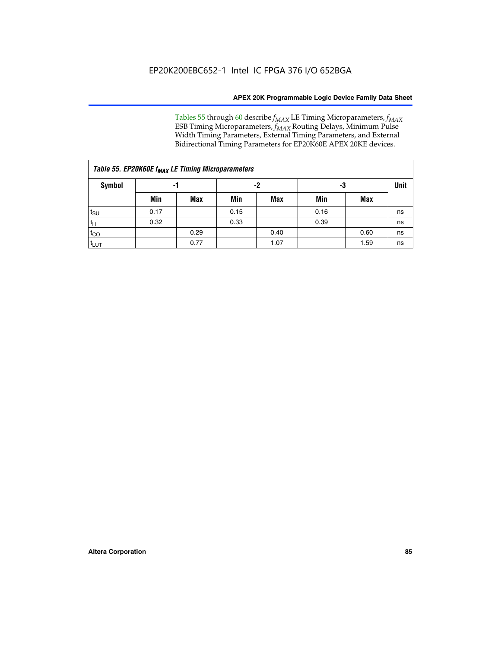Tables 55 through 60 describe *f<sub>MAX</sub>* LE Timing Microparameters, *f<sub>MAX</sub>* ESB Timing Microparameters, *f<sub>MAX</sub>* Routing Delays, Minimum Pulse Width Timing Parameters, External Timing Parameters, and External Bidirectional Timing Parameters for EP20K60E APEX 20KE devices.

| Table 55. EP20K60E f <sub>MAX</sub> LE Timing Microparameters |      |      |      |      |      |      |    |  |  |  |  |
|---------------------------------------------------------------|------|------|------|------|------|------|----|--|--|--|--|
| <b>Symbol</b>                                                 |      | -1   |      | -2   |      | -3   |    |  |  |  |  |
|                                                               | Min  | Max  | Min  | Max  | Min  | Max  |    |  |  |  |  |
| $t_{\text{SU}}$                                               | 0.17 |      | 0.15 |      | 0.16 |      | ns |  |  |  |  |
| $t_H$                                                         | 0.32 |      | 0.33 |      | 0.39 |      | ns |  |  |  |  |
| $t_{CO}$                                                      |      | 0.29 |      | 0.40 |      | 0.60 | ns |  |  |  |  |
| t <sub>lut</sub>                                              |      | 0.77 |      | 1.07 |      | 1.59 | ns |  |  |  |  |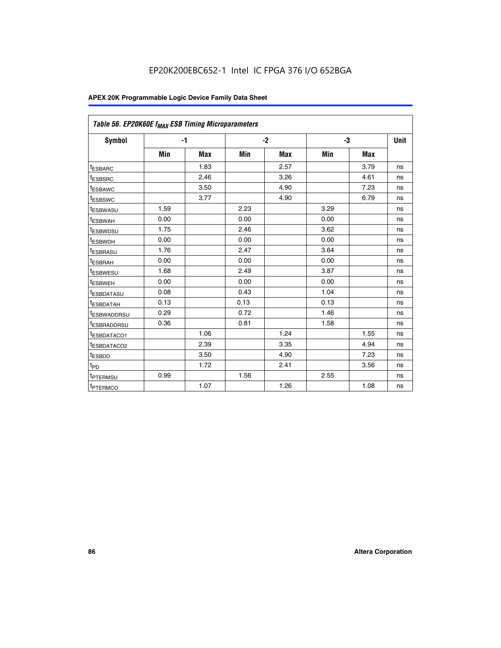## EP20K200EBC652-1 Intel IC FPGA 376 I/O 652BGA

| Table 56. EP20K60E f <sub>MAX</sub> ESB Timing Microparameters |      |      |      |      |      |            |      |
|----------------------------------------------------------------|------|------|------|------|------|------------|------|
| <b>Symbol</b>                                                  | $-1$ |      |      | $-2$ |      | -3         | Unit |
|                                                                | Min  | Max  | Min  | Max  | Min  | <b>Max</b> |      |
| <sup>t</sup> ESBARC                                            |      | 1.83 |      | 2.57 |      | 3.79       | ns   |
| t <sub>ESBSRC</sub>                                            |      | 2.46 |      | 3.26 |      | 4.61       | ns   |
| <sup>t</sup> ESBAWC                                            |      | 3.50 |      | 4.90 |      | 7.23       | ns   |
| t <sub>ESBSWC</sub>                                            |      | 3.77 |      | 4.90 |      | 6.79       | ns   |
| <sup>T</sup> ESBWASU                                           | 1.59 |      | 2.23 |      | 3.29 |            | ns   |
| <sup>t</sup> ESBWAH                                            | 0.00 |      | 0.00 |      | 0.00 |            | ns   |
| <sup>t</sup> ESBWDSU                                           | 1.75 |      | 2.46 |      | 3.62 |            | ns   |
| <sup>t</sup> ESBWDH                                            | 0.00 |      | 0.00 |      | 0.00 |            | ns   |
| <sup>t</sup> ESBRASU                                           | 1.76 |      | 2.47 |      | 3.64 |            | ns   |
| t <sub>ESBRAH</sub>                                            | 0.00 |      | 0.00 |      | 0.00 |            | ns   |
| <sup>t</sup> ESBWESU                                           | 1.68 |      | 2.49 |      | 3.87 |            | ns   |
| t <sub>ESBWEH</sub>                                            | 0.00 |      | 0.00 |      | 0.00 |            | ns   |
| <sup>t</sup> ESBDATASU                                         | 0.08 |      | 0.43 |      | 1.04 |            | ns   |
| <sup>t</sup> ESBDATAH                                          | 0.13 |      | 0.13 |      | 0.13 |            | ns   |
| <sup>t</sup> ESBWADDRSU                                        | 0.29 |      | 0.72 |      | 1.46 |            | ns   |
| <sup>t</sup> ESBRADDRSU                                        | 0.36 |      | 0.81 |      | 1.58 |            | ns   |
| <sup>I</sup> ESBDATACO1                                        |      | 1.06 |      | 1.24 |      | 1.55       | ns   |
| t <sub>ESBDATACO2</sub>                                        |      | 2.39 |      | 3.35 |      | 4.94       | ns   |
| <sup>t</sup> ESBDD                                             |      | 3.50 |      | 4.90 |      | 7.23       | ns   |
| t <sub>PD</sub>                                                |      | 1.72 |      | 2.41 |      | 3.56       | ns   |
| t <sub>PTERMSU</sub>                                           | 0.99 |      | 1.56 |      | 2.55 |            | ns   |
| t <sub>PTERMCO</sub>                                           |      | 1.07 |      | 1.26 |      | 1.08       | ns   |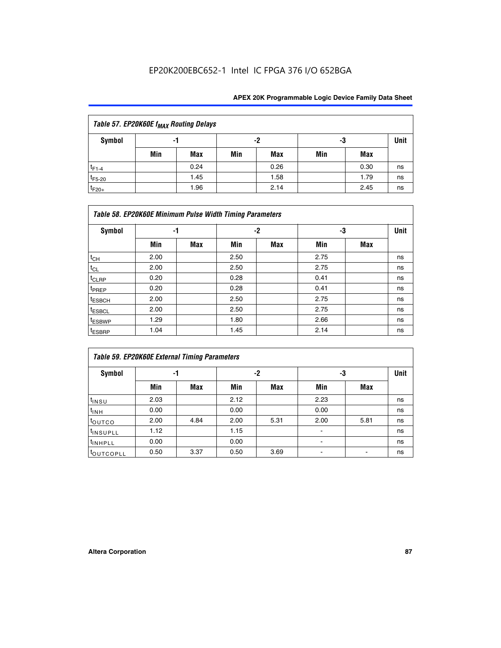## EP20K200EBC652-1 Intel IC FPGA 376 I/O 652BGA

| Table 57. EP20K60E f <sub>MAX</sub> Routing Delays |     |      |     |      |     |      |             |  |  |  |  |
|----------------------------------------------------|-----|------|-----|------|-----|------|-------------|--|--|--|--|
| Symbol                                             |     | -1   |     | -2   |     | -3   | <b>Unit</b> |  |  |  |  |
|                                                    | Min | Max  | Min | Max  | Min | Max  |             |  |  |  |  |
| $t_{F1-4}$                                         |     | 0.24 |     | 0.26 |     | 0.30 | ns          |  |  |  |  |
| $t_{F5-20}$                                        |     | 1.45 |     | 1.58 |     | 1.79 | ns          |  |  |  |  |
| $t_{F20+}$                                         |     | 1.96 |     | 2.14 |     | 2.45 | ns          |  |  |  |  |

|                    | Table 58. EP20K60E Minimum Pulse Width Timing Parameters |            |      |     |      |     |             |  |  |  |  |  |  |
|--------------------|----------------------------------------------------------|------------|------|-----|------|-----|-------------|--|--|--|--|--|--|
| Symbol             |                                                          | -1         |      | -2  |      | -3  | <b>Unit</b> |  |  |  |  |  |  |
|                    | Min                                                      | <b>Max</b> | Min  | Max | Min  | Max |             |  |  |  |  |  |  |
| $t_{CH}$           | 2.00                                                     |            | 2.50 |     | 2.75 |     | ns          |  |  |  |  |  |  |
| $t_{CL}$           | 2.00                                                     |            | 2.50 |     | 2.75 |     | ns          |  |  |  |  |  |  |
| $t_{CLRP}$         | 0.20                                                     |            | 0.28 |     | 0.41 |     | ns          |  |  |  |  |  |  |
| t <sub>PREP</sub>  | 0.20                                                     |            | 0.28 |     | 0.41 |     | ns          |  |  |  |  |  |  |
| <sup>t</sup> ESBCH | 2.00                                                     |            | 2.50 |     | 2.75 |     | ns          |  |  |  |  |  |  |
| <sup>t</sup> ESBCL | 2.00                                                     |            | 2.50 |     | 2.75 |     | ns          |  |  |  |  |  |  |
| <sup>t</sup> ESBWP | 1.29                                                     |            | 1.80 |     | 2.66 |     | ns          |  |  |  |  |  |  |
| <sup>t</sup> ESBRP | 1.04                                                     |            | 1.45 |     | 2.14 |     | ns          |  |  |  |  |  |  |

| <b>Table 59. EP20K60E External Timing Parameters</b> |      |      |      |      |      |      |      |  |  |  |  |
|------------------------------------------------------|------|------|------|------|------|------|------|--|--|--|--|
| Symbol                                               | -1   |      |      | -2   | -3   |      | Unit |  |  |  |  |
|                                                      | Min  | Max  | Min  | Max  | Min  | Max  |      |  |  |  |  |
| $t_{INSU}$                                           | 2.03 |      | 2.12 |      | 2.23 |      | ns   |  |  |  |  |
| $t_{INH}$                                            | 0.00 |      | 0.00 |      | 0.00 |      | ns   |  |  |  |  |
| toutco                                               | 2.00 | 4.84 | 2.00 | 5.31 | 2.00 | 5.81 | ns   |  |  |  |  |
| <sup>t</sup> INSUPLL                                 | 1.12 |      | 1.15 |      | ٠    |      | ns   |  |  |  |  |
| <sup>t</sup> INHPLL                                  | 0.00 |      | 0.00 |      | ۰    |      | ns   |  |  |  |  |
| toutcopll                                            | 0.50 | 3.37 | 0.50 | 3.69 |      |      | ns   |  |  |  |  |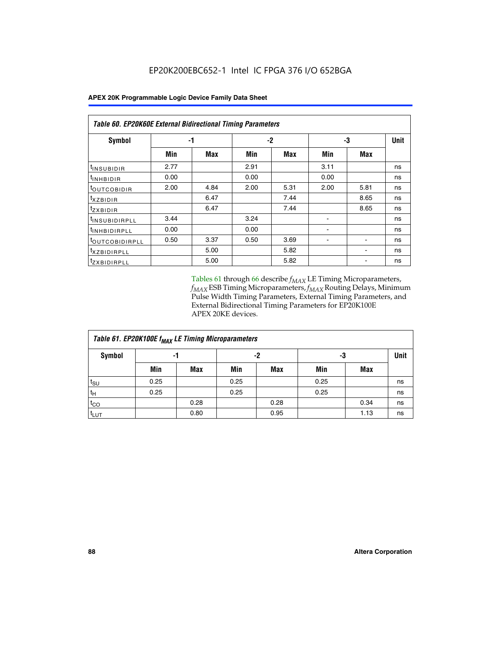| Table 60. EP20K60E External Bidirectional Timing Parameters |      |      |      |      |      |            |             |  |  |  |  |
|-------------------------------------------------------------|------|------|------|------|------|------------|-------------|--|--|--|--|
| Symbol                                                      |      | -1   |      | $-2$ |      | -3         | <b>Unit</b> |  |  |  |  |
|                                                             | Min  | Max  | Min  | Max  | Min  | <b>Max</b> |             |  |  |  |  |
| <sup>t</sup> INSUBIDIR                                      | 2.77 |      | 2.91 |      | 3.11 |            | ns          |  |  |  |  |
| $t_{\rm INHBIDIR}$                                          | 0.00 |      | 0.00 |      | 0.00 |            | ns          |  |  |  |  |
| <sup>t</sup> OUTCOBIDIR                                     | 2.00 | 4.84 | 2.00 | 5.31 | 2.00 | 5.81       | ns          |  |  |  |  |
| txzBIDIR                                                    |      | 6.47 |      | 7.44 |      | 8.65       | ns          |  |  |  |  |
| <sup>t</sup> zxbidir                                        |      | 6.47 |      | 7.44 |      | 8.65       | ns          |  |  |  |  |
| <sup>t</sup> INSUBIDIRPLL                                   | 3.44 |      | 3.24 |      |      |            | ns          |  |  |  |  |
| <sup>t</sup> INHBIDIRPLL                                    | 0.00 |      | 0.00 |      |      |            | ns          |  |  |  |  |
| <b><i>LOUTCOBIDIRPLL</i></b>                                | 0.50 | 3.37 | 0.50 | 3.69 |      |            | ns          |  |  |  |  |
| <sup>t</sup> xzbidirpll                                     |      | 5.00 |      | 5.82 |      |            | ns          |  |  |  |  |
| <sup>t</sup> ZXBIDIRPLL                                     |      | 5.00 |      | 5.82 |      |            | ns          |  |  |  |  |

Tables 61 through 66 describe  $f_{MAX}$  LE Timing Microparameters, *fMAX* ESB Timing Microparameters, *fMAX* Routing Delays, Minimum Pulse Width Timing Parameters, External Timing Parameters, and External Bidirectional Timing Parameters for EP20K100E APEX 20KE devices.

| Table 61. EP20K100E f <sub>MAX</sub> LE Timing Microparameters |      |      |      |      |      |      |             |  |  |  |  |
|----------------------------------------------------------------|------|------|------|------|------|------|-------------|--|--|--|--|
| <b>Symbol</b>                                                  |      | -1   |      | -2   |      | -3   | <b>Unit</b> |  |  |  |  |
|                                                                | Min  | Max  | Min  | Max  | Min  | Max  |             |  |  |  |  |
| t <sub>SU</sub>                                                | 0.25 |      | 0.25 |      | 0.25 |      | ns          |  |  |  |  |
| tμ                                                             | 0.25 |      | 0.25 |      | 0.25 |      | ns          |  |  |  |  |
| $t_{CO}$                                                       |      | 0.28 |      | 0.28 |      | 0.34 | ns          |  |  |  |  |
| t <sub>LUT</sub>                                               |      | 0.80 |      | 0.95 |      | 1.13 | ns          |  |  |  |  |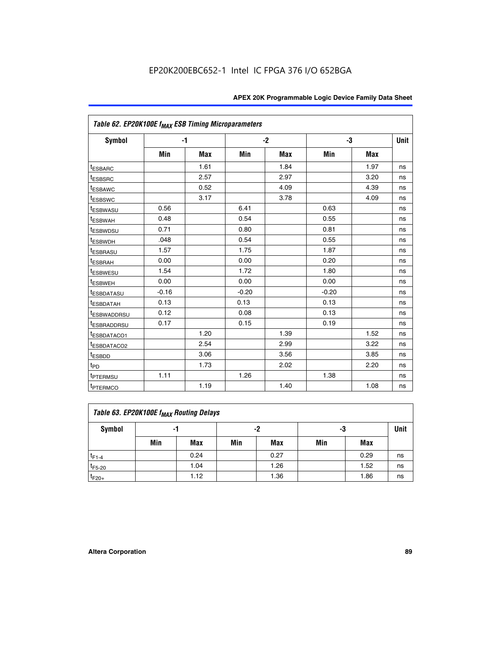| Table 62. EP20K100E f <sub>MAX</sub> ESB Timing Microparameters |         |      |         |            |         |            |             |
|-----------------------------------------------------------------|---------|------|---------|------------|---------|------------|-------------|
| Symbol                                                          |         | $-1$ |         | $-2$       |         | -3         | <b>Unit</b> |
|                                                                 | Min     | Max  | Min     | <b>Max</b> | Min     | <b>Max</b> |             |
| <sup>t</sup> ESBARC                                             |         | 1.61 |         | 1.84       |         | 1.97       | ns          |
| <sup>t</sup> ESBSRC                                             |         | 2.57 |         | 2.97       |         | 3.20       | ns          |
| <sup>t</sup> ESBAWC                                             |         | 0.52 |         | 4.09       |         | 4.39       | ns          |
| <sup>t</sup> ESBSWC                                             |         | 3.17 |         | 3.78       |         | 4.09       | ns          |
| <sup>t</sup> ESBWASU                                            | 0.56    |      | 6.41    |            | 0.63    |            | ns          |
| <sup>t</sup> ESBWAH                                             | 0.48    |      | 0.54    |            | 0.55    |            | ns          |
| <sup>t</sup> ESBWDSU                                            | 0.71    |      | 0.80    |            | 0.81    |            | ns          |
| <sup>t</sup> ESBWDH                                             | .048    |      | 0.54    |            | 0.55    |            | ns          |
| <sup>t</sup> ESBRASU                                            | 1.57    |      | 1.75    |            | 1.87    |            | ns          |
| <sup>t</sup> ESBRAH                                             | 0.00    |      | 0.00    |            | 0.20    |            | ns          |
| <sup>t</sup> ESBWESU                                            | 1.54    |      | 1.72    |            | 1.80    |            | ns          |
| <sup>t</sup> ESBWEH                                             | 0.00    |      | 0.00    |            | 0.00    |            | ns          |
| t <sub>ESBDATASU</sub>                                          | $-0.16$ |      | $-0.20$ |            | $-0.20$ |            | ns          |
| <sup>I</sup> ESBDATAH                                           | 0.13    |      | 0.13    |            | 0.13    |            | ns          |
| <sup>I</sup> ESBWADDRSU                                         | 0.12    |      | 0.08    |            | 0.13    |            | ns          |
| <sup>I</sup> ESBRADDRSU                                         | 0.17    |      | 0.15    |            | 0.19    |            | ns          |
| <sup>I</sup> ESBDATACO1                                         |         | 1.20 |         | 1.39       |         | 1.52       | ns          |
| <sup>t</sup> ESBDATACO2                                         |         | 2.54 |         | 2.99       |         | 3.22       | ns          |
| <sup>t</sup> ESBDD                                              |         | 3.06 |         | 3.56       |         | 3.85       | ns          |
| t <sub>PD</sub>                                                 |         | 1.73 |         | 2.02       |         | 2.20       | ns          |
| <sup>t</sup> PTERMSU                                            | 1.11    |      | 1.26    |            | 1.38    |            | ns          |
| t <sub>PTERMCO</sub>                                            |         | 1.19 |         | 1.40       |         | 1.08       | ns          |

| Table 63. EP20K100E f <sub>MAX</sub> Routing Delays |                |      |     |      |     |      |    |  |  |  |
|-----------------------------------------------------|----------------|------|-----|------|-----|------|----|--|--|--|
| Symbol                                              | -2<br>-3<br>-1 |      |     |      |     |      |    |  |  |  |
|                                                     | Min            | Max  | Min | Max  | Min | Max  |    |  |  |  |
| $t_{F1-4}$                                          |                | 0.24 |     | 0.27 |     | 0.29 | ns |  |  |  |
| $t_{F5-20}$                                         |                | 1.04 |     | 1.26 |     | 1.52 | ns |  |  |  |
| $t_{F20+}$                                          |                | 1.12 |     | 1.36 |     | 1.86 | ns |  |  |  |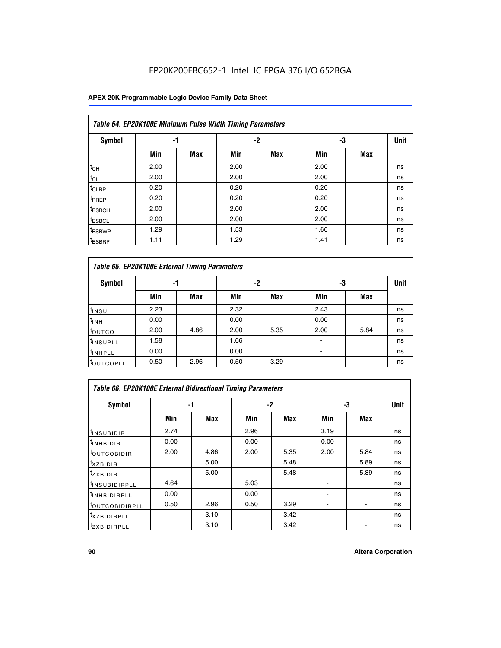## EP20K200EBC652-1 Intel IC FPGA 376 I/O 652BGA

|                    | Table 64. EP20K100E Minimum Pulse Width Timing Parameters |            |      |            |      |            |             |  |  |  |  |  |  |
|--------------------|-----------------------------------------------------------|------------|------|------------|------|------------|-------------|--|--|--|--|--|--|
| <b>Symbol</b>      | -1                                                        |            |      | $-2$       | -3   |            | <b>Unit</b> |  |  |  |  |  |  |
|                    | Min                                                       | <b>Max</b> | Min  | <b>Max</b> | Min  | <b>Max</b> |             |  |  |  |  |  |  |
| $t_{CH}$           | 2.00                                                      |            | 2.00 |            | 2.00 |            | ns          |  |  |  |  |  |  |
| $t_{CL}$           | 2.00                                                      |            | 2.00 |            | 2.00 |            | ns          |  |  |  |  |  |  |
| t <sub>CLRP</sub>  | 0.20                                                      |            | 0.20 |            | 0.20 |            | ns          |  |  |  |  |  |  |
| <sup>t</sup> PREP  | 0.20                                                      |            | 0.20 |            | 0.20 |            | ns          |  |  |  |  |  |  |
| <sup>t</sup> ESBCH | 2.00                                                      |            | 2.00 |            | 2.00 |            | ns          |  |  |  |  |  |  |
| <sup>t</sup> ESBCL | 2.00                                                      |            | 2.00 |            | 2.00 |            | ns          |  |  |  |  |  |  |
| <sup>t</sup> ESBWP | 1.29                                                      |            | 1.53 |            | 1.66 |            | ns          |  |  |  |  |  |  |
| <sup>t</sup> ESBRP | 1.11                                                      |            | 1.29 |            | 1.41 |            | ns          |  |  |  |  |  |  |

|                      | Table 65. EP20K100E External Timing Parameters |            |      |            |                |            |    |  |  |  |  |  |  |
|----------------------|------------------------------------------------|------------|------|------------|----------------|------------|----|--|--|--|--|--|--|
| <b>Symbol</b>        | -1                                             |            |      | -2         |                | -3         |    |  |  |  |  |  |  |
|                      | Min                                            | <b>Max</b> | Min  | <b>Max</b> | Min            | <b>Max</b> |    |  |  |  |  |  |  |
| $t_{INSU}$           | 2.23                                           |            | 2.32 |            | 2.43           |            | ns |  |  |  |  |  |  |
| $t_{\rm INH}$        | 0.00                                           |            | 0.00 |            | 0.00           |            | ns |  |  |  |  |  |  |
| toutco               | 2.00                                           | 4.86       | 2.00 | 5.35       | 2.00           | 5.84       | ns |  |  |  |  |  |  |
| <sup>t</sup> INSUPLL | 1.58                                           |            | 1.66 |            |                |            | ns |  |  |  |  |  |  |
| <sup>t</sup> INHPLL  | 0.00                                           |            | 0.00 |            | $\blacksquare$ |            | ns |  |  |  |  |  |  |
| <b>LOUTCOPLL</b>     | 0.50                                           | 2.96       | 0.50 | 3.29       | -              |            | ns |  |  |  |  |  |  |

| <b>Table 66. EP20K100E External Bidirectional Timing Parameters</b> |      |      |      |      |      |                          |             |  |  |  |  |
|---------------------------------------------------------------------|------|------|------|------|------|--------------------------|-------------|--|--|--|--|
| Symbol                                                              | -1   |      | -2   |      | -3   |                          | <b>Unit</b> |  |  |  |  |
|                                                                     | Min  | Max  | Min  | Max  | Min  | Max                      |             |  |  |  |  |
| <sup>t</sup> INSUBIDIR                                              | 2.74 |      | 2.96 |      | 3.19 |                          | ns          |  |  |  |  |
| <sup>t</sup> INHBIDIR                                               | 0.00 |      | 0.00 |      | 0.00 |                          | ns          |  |  |  |  |
| <b>LOUTCOBIDIR</b>                                                  | 2.00 | 4.86 | 2.00 | 5.35 | 2.00 | 5.84                     | ns          |  |  |  |  |
| txzBIDIR                                                            |      | 5.00 |      | 5.48 |      | 5.89                     | ns          |  |  |  |  |
| <sup>t</sup> zxbidir                                                |      | 5.00 |      | 5.48 |      | 5.89                     | ns          |  |  |  |  |
| <sup>t</sup> INSUBIDIRPLL                                           | 4.64 |      | 5.03 |      |      |                          | ns          |  |  |  |  |
| <sup>t</sup> INHBIDIRPLL                                            | 0.00 |      | 0.00 |      |      |                          | ns          |  |  |  |  |
| <b><i>LOUTCOBIDIRPLL</i></b>                                        | 0.50 | 2.96 | 0.50 | 3.29 |      | $\overline{\phantom{a}}$ | ns          |  |  |  |  |
| <sup>t</sup> XZBIDIRPLL                                             |      | 3.10 |      | 3.42 |      |                          | ns          |  |  |  |  |
| <sup>I</sup> ZXBIDIRPLL                                             |      | 3.10 |      | 3.42 |      |                          | ns          |  |  |  |  |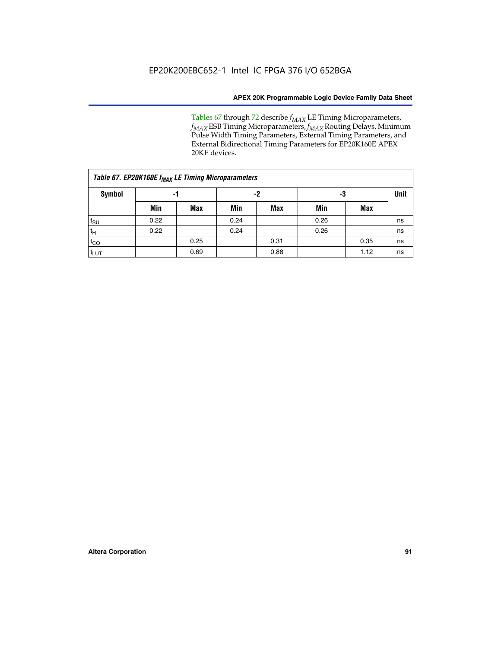Tables 67 through 72 describe *f<sub>MAX</sub>* LE Timing Microparameters, *f<sub>MAX</sub>* ESB Timing Microparameters, *f<sub>MAX</sub>* Routing Delays, Minimum Pulse Width Timing Parameters, External Timing Parameters, and External Bidirectional Timing Parameters for EP20K160E APEX 20KE devices.

|                  | Table 67. EP20K160E f <sub>MAX</sub> LE Timing Microparameters |            |      |            |      |      |    |  |  |  |  |  |
|------------------|----------------------------------------------------------------|------------|------|------------|------|------|----|--|--|--|--|--|
| <b>Symbol</b>    | -1                                                             |            |      | -2         |      | -3   |    |  |  |  |  |  |
|                  | Min                                                            | <b>Max</b> | Min  | <b>Max</b> | Min  | Max  |    |  |  |  |  |  |
| $t_{\text{SU}}$  | 0.22                                                           |            | 0.24 |            | 0.26 |      | ns |  |  |  |  |  |
| $t_H$            | 0.22                                                           |            | 0.24 |            | 0.26 |      | ns |  |  |  |  |  |
| $t_{CO}$         |                                                                | 0.25       |      | 0.31       |      | 0.35 | ns |  |  |  |  |  |
| t <sub>LUT</sub> |                                                                | 0.69       |      | 0.88       |      | 1.12 | ns |  |  |  |  |  |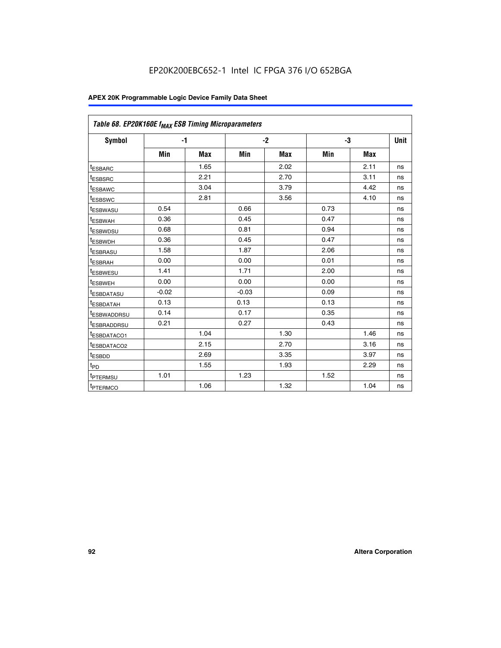| Table 68. EP20K160E f <sub>MAX</sub> ESB Timing Microparameters |         |            |         |            |      |      |      |
|-----------------------------------------------------------------|---------|------------|---------|------------|------|------|------|
| <b>Symbol</b>                                                   |         | $-1$       |         | $-2$       |      | -3   | Unit |
|                                                                 | Min     | <b>Max</b> | Min     | <b>Max</b> | Min  | Max  |      |
| <sup>t</sup> ESBARC                                             |         | 1.65       |         | 2.02       |      | 2.11 | ns   |
| t <sub>ESBSRC</sub>                                             |         | 2.21       |         | 2.70       |      | 3.11 | ns   |
| <sup>t</sup> ESBAWC                                             |         | 3.04       |         | 3.79       |      | 4.42 | ns   |
| t <sub>ESBSWC</sub>                                             |         | 2.81       |         | 3.56       |      | 4.10 | ns   |
| <sup>t</sup> ESBWASU                                            | 0.54    |            | 0.66    |            | 0.73 |      | ns   |
| <sup>t</sup> ESBWAH                                             | 0.36    |            | 0.45    |            | 0.47 |      | ns   |
| t <sub>ESBWDSU</sub>                                            | 0.68    |            | 0.81    |            | 0.94 |      | ns   |
| <sup>t</sup> ESBWDH                                             | 0.36    |            | 0.45    |            | 0.47 |      | ns   |
| t <sub>ESBRASU</sub>                                            | 1.58    |            | 1.87    |            | 2.06 |      | ns   |
| <sup>t</sup> ESBRAH                                             | 0.00    |            | 0.00    |            | 0.01 |      | ns   |
| <sup>t</sup> ESBWESU                                            | 1.41    |            | 1.71    |            | 2.00 |      | ns   |
| t <sub>ESBWEH</sub>                                             | 0.00    |            | 0.00    |            | 0.00 |      | ns   |
| t <sub>ESBDATASU</sub>                                          | $-0.02$ |            | $-0.03$ |            | 0.09 |      | ns   |
| t <sub>ESBDATAH</sub>                                           | 0.13    |            | 0.13    |            | 0.13 |      | ns   |
| t <sub>ESBWADDRSU</sub>                                         | 0.14    |            | 0.17    |            | 0.35 |      | ns   |
| <sup>t</sup> ESBRADDRSU                                         | 0.21    |            | 0.27    |            | 0.43 |      | ns   |
| <sup>I</sup> ESBDATACO1                                         |         | 1.04       |         | 1.30       |      | 1.46 | ns   |
| t <sub>ESBDATACO2</sub>                                         |         | 2.15       |         | 2.70       |      | 3.16 | ns   |
| <sup>t</sup> ESBDD                                              |         | 2.69       |         | 3.35       |      | 3.97 | ns   |
| $t_{\mathsf{PD}}$                                               |         | 1.55       |         | 1.93       |      | 2.29 | ns   |
| t <sub>PTERMSU</sub>                                            | 1.01    |            | 1.23    |            | 1.52 |      | ns   |
| t <sub>PTERMCO</sub>                                            |         | 1.06       |         | 1.32       |      | 1.04 | ns   |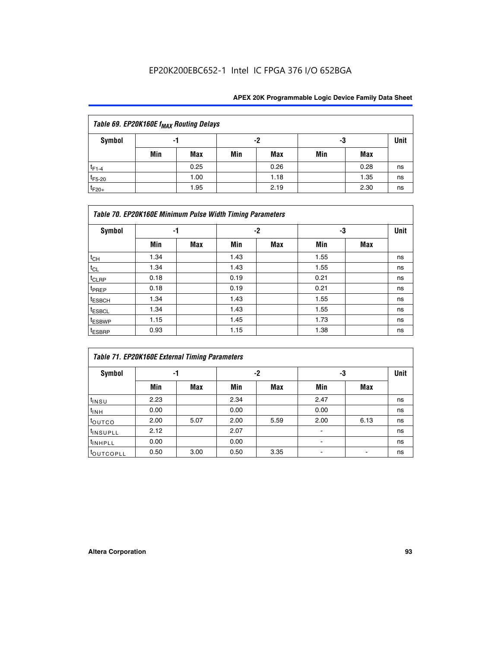| Table 69. EP20K160E f <sub>MAX</sub> Routing Delays |     |                |     |            |      |      |    |  |  |  |  |
|-----------------------------------------------------|-----|----------------|-----|------------|------|------|----|--|--|--|--|
| Symbol                                              |     | -2<br>-3<br>-1 |     |            | Unit |      |    |  |  |  |  |
|                                                     | Min | Max            | Min | <b>Max</b> | Min  | Max  |    |  |  |  |  |
| $t_{F1-4}$                                          |     | 0.25           |     | 0.26       |      | 0.28 | ns |  |  |  |  |
| $t_{F5-20}$                                         |     | 1.00           |     | 1.18       |      | 1.35 | ns |  |  |  |  |
| $t_{F20+}$                                          |     | 1.95           |     | 2.19       |      | 2.30 | ns |  |  |  |  |

|                    | Table 70. EP20K160E Minimum Pulse Width Timing Parameters |     |      |      |      |     |             |  |  |  |  |  |
|--------------------|-----------------------------------------------------------|-----|------|------|------|-----|-------------|--|--|--|--|--|
| <b>Symbol</b>      |                                                           | -1  |      | $-2$ |      | -3  | <b>Unit</b> |  |  |  |  |  |
|                    | Min                                                       | Max | Min  | Max  | Min  | Max |             |  |  |  |  |  |
| $t_{CH}$           | 1.34                                                      |     | 1.43 |      | 1.55 |     | ns          |  |  |  |  |  |
| $t_{CL}$           | 1.34                                                      |     | 1.43 |      | 1.55 |     | ns          |  |  |  |  |  |
| t <sub>CLRP</sub>  | 0.18                                                      |     | 0.19 |      | 0.21 |     | ns          |  |  |  |  |  |
| t <sub>PREP</sub>  | 0.18                                                      |     | 0.19 |      | 0.21 |     | ns          |  |  |  |  |  |
| <sup>t</sup> ESBCH | 1.34                                                      |     | 1.43 |      | 1.55 |     | ns          |  |  |  |  |  |
| <sup>t</sup> ESBCL | 1.34                                                      |     | 1.43 |      | 1.55 |     | ns          |  |  |  |  |  |
| <sup>t</sup> ESBWP | 1.15                                                      |     | 1.45 |      | 1.73 |     | ns          |  |  |  |  |  |
| <sup>t</sup> ESBRP | 0.93                                                      |     | 1.15 |      | 1.38 |     | ns          |  |  |  |  |  |

|                      | Table 71. EP20K160E External Timing Parameters |      |      |      |                |      |    |  |  |  |  |  |
|----------------------|------------------------------------------------|------|------|------|----------------|------|----|--|--|--|--|--|
| Symbol               | -1                                             |      |      | -2   | -3             | Unit |    |  |  |  |  |  |
|                      | Min                                            | Max  | Min  | Max  | Min            | Max  |    |  |  |  |  |  |
| $t_{INSU}$           | 2.23                                           |      | 2.34 |      | 2.47           |      | ns |  |  |  |  |  |
| $t_{INH}$            | 0.00                                           |      | 0.00 |      | 0.00           |      | ns |  |  |  |  |  |
| toutco               | 2.00                                           | 5.07 | 2.00 | 5.59 | 2.00           | 6.13 | ns |  |  |  |  |  |
| <sup>t</sup> INSUPLL | 2.12                                           |      | 2.07 |      | $\blacksquare$ |      | ns |  |  |  |  |  |
| <sup>t</sup> INHPLL  | 0.00                                           |      | 0.00 |      | ۰              |      | ns |  |  |  |  |  |
| toutcopll            | 0.50                                           | 3.00 | 0.50 | 3.35 |                |      | ns |  |  |  |  |  |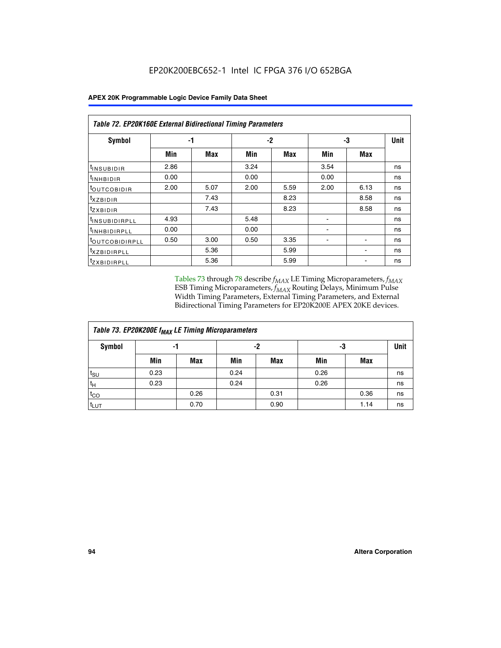|                                | Table 72. EP20K160E External Bidirectional Timing Parameters |      |      |            |                          |                          |             |  |  |  |  |
|--------------------------------|--------------------------------------------------------------|------|------|------------|--------------------------|--------------------------|-------------|--|--|--|--|
| Symbol                         |                                                              | -1   |      | $-2$       |                          | -3                       | <b>Unit</b> |  |  |  |  |
|                                | Min                                                          | Max  | Min  | <b>Max</b> | Min                      | Max                      |             |  |  |  |  |
| <sup>t</sup> INSUB <u>IDIR</u> | 2.86                                                         |      | 3.24 |            | 3.54                     |                          | ns          |  |  |  |  |
| <b>UNHBIDIR</b>                | 0.00                                                         |      | 0.00 |            | 0.00                     |                          | ns          |  |  |  |  |
| <b>LOUTCOBIDIR</b>             | 2.00                                                         | 5.07 | 2.00 | 5.59       | 2.00                     | 6.13                     | ns          |  |  |  |  |
| KZBIDIR                        |                                                              | 7.43 |      | 8.23       |                          | 8.58                     | ns          |  |  |  |  |
| <sup>t</sup> zxbidir           |                                                              | 7.43 |      | 8.23       |                          | 8.58                     | ns          |  |  |  |  |
| <sup>t</sup> INSUBIDIRPLL      | 4.93                                                         |      | 5.48 |            |                          |                          | ns          |  |  |  |  |
| <sup>t</sup> INHBIDIRPLL       | 0.00                                                         |      | 0.00 |            | ۰                        |                          | ns          |  |  |  |  |
| <b><i>LOUTCOBIDIRPLL</i></b>   | 0.50                                                         | 3.00 | 0.50 | 3.35       | $\overline{\phantom{0}}$ | $\overline{\phantom{0}}$ | ns          |  |  |  |  |
| <sup>T</sup> XZBIDIRPLL        |                                                              | 5.36 |      | 5.99       |                          |                          | ns          |  |  |  |  |
| <sup>I</sup> ZXBIDIRPLL        |                                                              | 5.36 |      | 5.99       |                          |                          | ns          |  |  |  |  |

Tables 73 through 78 describe  $f_{MAX}$  LE Timing Microparameters,  $f_{MAX}$ ESB Timing Microparameters, *f<sub>MAX</sub>* Routing Delays, Minimum Pulse Width Timing Parameters, External Timing Parameters, and External Bidirectional Timing Parameters for EP20K200E APEX 20KE devices.

| Table 73. EP20K200E f <sub>MAX</sub> LE Timing Microparameters |      |      |      |            |      |      |             |  |  |  |  |
|----------------------------------------------------------------|------|------|------|------------|------|------|-------------|--|--|--|--|
| <b>Symbol</b>                                                  | -1   |      | -2   |            | -3   |      | <b>Unit</b> |  |  |  |  |
|                                                                | Min  | Max  | Min  | <b>Max</b> | Min  | Max  |             |  |  |  |  |
| $t_{\text{SU}}$                                                | 0.23 |      | 0.24 |            | 0.26 |      | ns          |  |  |  |  |
| $t_H$                                                          | 0.23 |      | 0.24 |            | 0.26 |      | ns          |  |  |  |  |
| $t_{CO}$                                                       |      | 0.26 |      | 0.31       |      | 0.36 | ns          |  |  |  |  |
| t <sub>LUT</sub>                                               |      | 0.70 |      | 0.90       |      | 1.14 | ns          |  |  |  |  |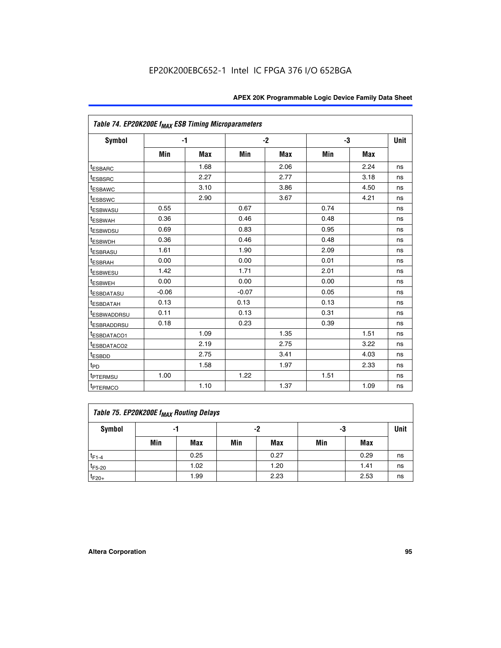|                             | Table 74. EP20K200E f <sub>MAX</sub> ESB Timing Microparameters |      |         |            |      |            |             |  |  |  |  |
|-----------------------------|-----------------------------------------------------------------|------|---------|------------|------|------------|-------------|--|--|--|--|
| Symbol                      |                                                                 | $-1$ |         | $-2$       | -3   |            | <b>Unit</b> |  |  |  |  |
|                             | Min                                                             | Max  | Min     | <b>Max</b> | Min  | <b>Max</b> |             |  |  |  |  |
| <sup>t</sup> ESBARC         |                                                                 | 1.68 |         | 2.06       |      | 2.24       | ns          |  |  |  |  |
| t <sub>ESBSRC</sub>         |                                                                 | 2.27 |         | 2.77       |      | 3.18       | ns          |  |  |  |  |
| <sup>t</sup> ESBAWC         |                                                                 | 3.10 |         | 3.86       |      | 4.50       | ns          |  |  |  |  |
| <sup>t</sup> ESBSWC         |                                                                 | 2.90 |         | 3.67       |      | 4.21       | ns          |  |  |  |  |
| <sup>t</sup> ESBWASU        | 0.55                                                            |      | 0.67    |            | 0.74 |            | ns          |  |  |  |  |
| <b><i>ESBWAH</i></b>        | 0.36                                                            |      | 0.46    |            | 0.48 |            | ns          |  |  |  |  |
| <sup>t</sup> ESBWDSU        | 0.69                                                            |      | 0.83    |            | 0.95 |            | ns          |  |  |  |  |
| <sup>t</sup> ESBWDH         | 0.36                                                            |      | 0.46    |            | 0.48 |            | ns          |  |  |  |  |
| <sup>t</sup> ESBRASU        | 1.61                                                            |      | 1.90    |            | 2.09 |            | ns          |  |  |  |  |
| <sup>t</sup> ESBRAH         | 0.00                                                            |      | 0.00    |            | 0.01 |            | ns          |  |  |  |  |
| <i>t</i> <sub>ESBWESU</sub> | 1.42                                                            |      | 1.71    |            | 2.01 |            | ns          |  |  |  |  |
| <sup>I</sup> ESBWEH         | 0.00                                                            |      | 0.00    |            | 0.00 |            | ns          |  |  |  |  |
| t <sub>ESBDATASU</sub>      | $-0.06$                                                         |      | $-0.07$ |            | 0.05 |            | ns          |  |  |  |  |
| <sup>t</sup> ESBDATAH       | 0.13                                                            |      | 0.13    |            | 0.13 |            | ns          |  |  |  |  |
| <sup>t</sup> ESBWADDRSU     | 0.11                                                            |      | 0.13    |            | 0.31 |            | ns          |  |  |  |  |
| <sup>t</sup> ESBRADDRSU     | 0.18                                                            |      | 0.23    |            | 0.39 |            | ns          |  |  |  |  |
| ESBDATACO1                  |                                                                 | 1.09 |         | 1.35       |      | 1.51       | ns          |  |  |  |  |
| <sup>t</sup> ESBDATACO2     |                                                                 | 2.19 |         | 2.75       |      | 3.22       | ns          |  |  |  |  |
| t <sub>ESBDD</sub>          |                                                                 | 2.75 |         | 3.41       |      | 4.03       | ns          |  |  |  |  |
| t <sub>PD</sub>             |                                                                 | 1.58 |         | 1.97       |      | 2.33       | ns          |  |  |  |  |
| t <sub>PTERMSU</sub>        | 1.00                                                            |      | 1.22    |            | 1.51 |            | ns          |  |  |  |  |
| t <sub>PTERMCO</sub>        |                                                                 | 1.10 |         | 1.37       |      | 1.09       | ns          |  |  |  |  |

| Table 75. EP20K200E f <sub>MAX</sub> Routing Delays |     |      |     |            |     |      |             |  |  |  |
|-----------------------------------------------------|-----|------|-----|------------|-----|------|-------------|--|--|--|
| Symbol                                              |     | -1   |     | -2         | -3  |      | <b>Unit</b> |  |  |  |
|                                                     | Min | Max  | Min | <b>Max</b> | Min | Max  |             |  |  |  |
| $t_{F1-4}$                                          |     | 0.25 |     | 0.27       |     | 0.29 | ns          |  |  |  |
| $t_{F5-20}$                                         |     | 1.02 |     | 1.20       |     | 1.41 | ns          |  |  |  |
| $t_{F20+}$                                          |     | 1.99 |     | 2.23       |     | 2.53 | ns          |  |  |  |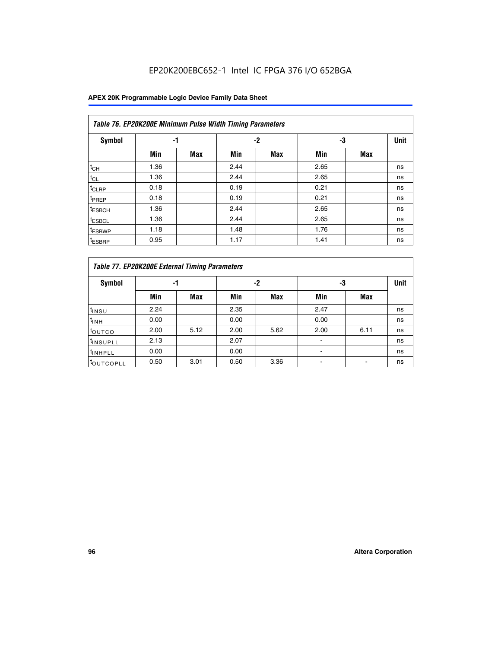## EP20K200EBC652-1 Intel IC FPGA 376 I/O 652BGA

|                    | Table 76. EP20K200E Minimum Pulse Width Timing Parameters |            |      |            |      |            |             |  |  |  |  |  |
|--------------------|-----------------------------------------------------------|------------|------|------------|------|------------|-------------|--|--|--|--|--|
| <b>Symbol</b>      | -1                                                        |            |      | $-2$       | -3   |            | <b>Unit</b> |  |  |  |  |  |
|                    | Min                                                       | <b>Max</b> | Min  | <b>Max</b> | Min  | <b>Max</b> |             |  |  |  |  |  |
| $t_{CH}$           | 1.36                                                      |            | 2.44 |            | 2.65 |            | ns          |  |  |  |  |  |
| $t_{CL}$           | 1.36                                                      |            | 2.44 |            | 2.65 |            | ns          |  |  |  |  |  |
| $t_{CLRP}$         | 0.18                                                      |            | 0.19 |            | 0.21 |            | ns          |  |  |  |  |  |
| t <sub>PREP</sub>  | 0.18                                                      |            | 0.19 |            | 0.21 |            | ns          |  |  |  |  |  |
| <sup>t</sup> ESBCH | 1.36                                                      |            | 2.44 |            | 2.65 |            | ns          |  |  |  |  |  |
| <sup>t</sup> ESBCL | 1.36                                                      |            | 2.44 |            | 2.65 |            | ns          |  |  |  |  |  |
| <sup>t</sup> ESBWP | 1.18                                                      |            | 1.48 |            | 1.76 |            | ns          |  |  |  |  |  |
| <sup>t</sup> ESBRP | 0.95                                                      |            | 1.17 |            | 1.41 |            | ns          |  |  |  |  |  |

|                       | Table 77. EP20K200E External Timing Parameters |            |      |            |      |      |    |  |  |  |  |  |
|-----------------------|------------------------------------------------|------------|------|------------|------|------|----|--|--|--|--|--|
| <b>Symbol</b>         |                                                | -1         |      | -2         |      | -3   |    |  |  |  |  |  |
|                       | Min                                            | <b>Max</b> | Min  | <b>Max</b> | Min  | Max  |    |  |  |  |  |  |
| t <sub>INSU</sub>     | 2.24                                           |            | 2.35 |            | 2.47 |      | ns |  |  |  |  |  |
| $t_{\text{INH}}$      | 0.00                                           |            | 0.00 |            | 0.00 |      | ns |  |  |  |  |  |
| toutco                | 2.00                                           | 5.12       | 2.00 | 5.62       | 2.00 | 6.11 | ns |  |  |  |  |  |
| <sup>t</sup> INSUPLL  | 2.13                                           |            | 2.07 |            |      |      | ns |  |  |  |  |  |
| <sup>t</sup> INHPLL   | 0.00                                           |            | 0.00 |            | -    |      | ns |  |  |  |  |  |
| <sup>I</sup> OUTCOPLL | 0.50                                           | 3.01       | 0.50 | 3.36       |      |      | ns |  |  |  |  |  |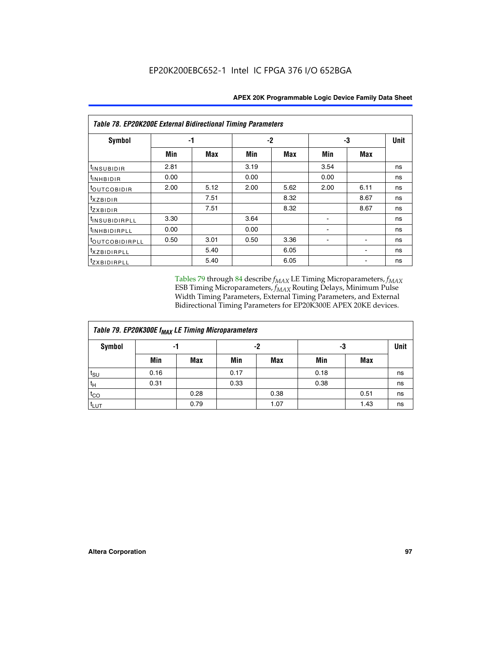|                           | <b>Table 78. EP20K200E External Bidirectional Timing Parameters</b> |      |      |      |      |             |    |  |  |  |  |  |
|---------------------------|---------------------------------------------------------------------|------|------|------|------|-------------|----|--|--|--|--|--|
| Symbol                    | -1                                                                  |      | $-2$ |      | -3   | <b>Unit</b> |    |  |  |  |  |  |
|                           | Min                                                                 | Max  | Min  | Max  | Min  | <b>Max</b>  |    |  |  |  |  |  |
| $t_{INSUBIDIR}$           | 2.81                                                                |      | 3.19 |      | 3.54 |             | ns |  |  |  |  |  |
| t <sub>INHBIDIR</sub>     | 0.00                                                                |      | 0.00 |      | 0.00 |             | ns |  |  |  |  |  |
| t <sub>outcobidir</sub>   | 2.00                                                                | 5.12 | 2.00 | 5.62 | 2.00 | 6.11        | ns |  |  |  |  |  |
| <i>txzbidir</i>           |                                                                     | 7.51 |      | 8.32 |      | 8.67        | ns |  |  |  |  |  |
| tzxbidir                  |                                                                     | 7.51 |      | 8.32 |      | 8.67        | ns |  |  |  |  |  |
| t <sub>INSUBIDIRPLL</sub> | 3.30                                                                |      | 3.64 |      |      |             | ns |  |  |  |  |  |
| <sup>t</sup> INHBIDIRPLL  | 0.00                                                                |      | 0.00 |      |      |             | ns |  |  |  |  |  |
| tout COBIDIRPLL           | 0.50                                                                | 3.01 | 0.50 | 3.36 |      |             | ns |  |  |  |  |  |
| <i>txzBIDIRPLL</i>        |                                                                     | 5.40 |      | 6.05 |      |             | ns |  |  |  |  |  |
| tzxBIDIRPLL               |                                                                     | 5.40 |      | 6.05 |      |             | ns |  |  |  |  |  |

Tables 79 through 84 describe  $f_{MAX}$  LE Timing Microparameters,  $f_{MAX}$ ESB Timing Microparameters, *f<sub>MAX</sub>* Routing Delays, Minimum Pulse Width Timing Parameters, External Timing Parameters, and External Bidirectional Timing Parameters for EP20K300E APEX 20KE devices.

| Table 79. EP20K300E f <sub>MAX</sub> LE Timing Microparameters |      |            |      |            |      |      |      |  |  |  |  |
|----------------------------------------------------------------|------|------------|------|------------|------|------|------|--|--|--|--|
| <b>Symbol</b>                                                  |      | -1         | -2   |            |      | -3   | Unit |  |  |  |  |
|                                                                | Min  | <b>Max</b> | Min  | <b>Max</b> | Min  | Max  |      |  |  |  |  |
| $t_{\text{SU}}$                                                | 0.16 |            | 0.17 |            | 0.18 |      | ns   |  |  |  |  |
| $t_H$                                                          | 0.31 |            | 0.33 |            | 0.38 |      | ns   |  |  |  |  |
| $t_{CO}$                                                       |      | 0.28       |      | 0.38       |      | 0.51 | ns   |  |  |  |  |
| $t_{LUT}$                                                      |      | 0.79       |      | 1.07       |      | 1.43 | ns   |  |  |  |  |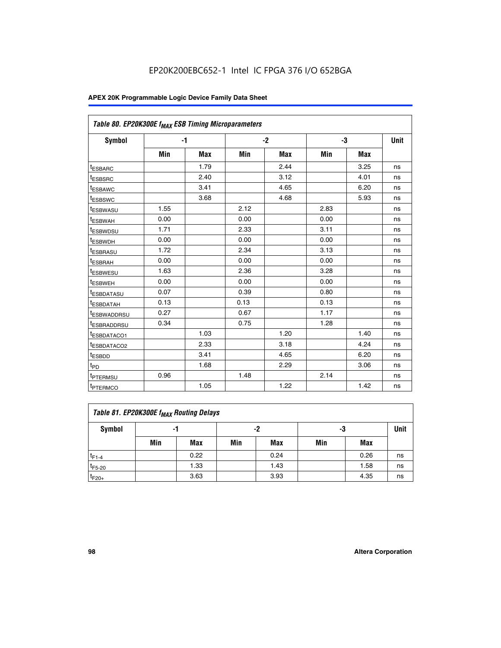| Table 80. EP20K300E f <sub>MAX</sub> ESB Timing Microparameters |      |      |      |      |      |            |             |
|-----------------------------------------------------------------|------|------|------|------|------|------------|-------------|
| <b>Symbol</b>                                                   |      | $-1$ |      | $-2$ |      | -3         | <b>Unit</b> |
|                                                                 | Min  | Max  | Min  | Max  | Min  | <b>Max</b> |             |
| t <sub>ESBARC</sub>                                             |      | 1.79 |      | 2.44 |      | 3.25       | ns          |
| t <sub>ESBSRC</sub>                                             |      | 2.40 |      | 3.12 |      | 4.01       | ns          |
| <sup>t</sup> ESBAWC                                             |      | 3.41 |      | 4.65 |      | 6.20       | ns          |
| t <sub>ESBSWC</sub>                                             |      | 3.68 |      | 4.68 |      | 5.93       | ns          |
| <sup>t</sup> ESBWASU                                            | 1.55 |      | 2.12 |      | 2.83 |            | ns          |
| <sup>t</sup> ESBWAH                                             | 0.00 |      | 0.00 |      | 0.00 |            | ns          |
| <sup>t</sup> ESBWDSU                                            | 1.71 |      | 2.33 |      | 3.11 |            | ns          |
| <sup>t</sup> ESBWDH                                             | 0.00 |      | 0.00 |      | 0.00 |            | ns          |
| <sup>t</sup> ESBRASU                                            | 1.72 |      | 2.34 |      | 3.13 |            | ns          |
| t <sub>ESBRAH</sub>                                             | 0.00 |      | 0.00 |      | 0.00 |            | ns          |
| <sup>t</sup> ESBWESU                                            | 1.63 |      | 2.36 |      | 3.28 |            | ns          |
| <sup>t</sup> ESBWEH                                             | 0.00 |      | 0.00 |      | 0.00 |            | ns          |
| t <sub>ESBDATASU</sub>                                          | 0.07 |      | 0.39 |      | 0.80 |            | ns          |
| <sup>t</sup> ESBDATAH                                           | 0.13 |      | 0.13 |      | 0.13 |            | ns          |
| <sup>t</sup> ESBWADDRSU                                         | 0.27 |      | 0.67 |      | 1.17 |            | ns          |
| <sup>t</sup> ESBRADDRSU                                         | 0.34 |      | 0.75 |      | 1.28 |            | ns          |
| <sup>I</sup> ESBDATACO1                                         |      | 1.03 |      | 1.20 |      | 1.40       | ns          |
| <sup>t</sup> ESBDATACO2                                         |      | 2.33 |      | 3.18 |      | 4.24       | ns          |
| <sup>t</sup> ESBDD                                              |      | 3.41 |      | 4.65 |      | 6.20       | ns          |
| t <sub>PD</sub>                                                 |      | 1.68 |      | 2.29 |      | 3.06       | ns          |
| <sup>t</sup> PTERMSU                                            | 0.96 |      | 1.48 |      | 2.14 |            | ns          |
| t <sub>PTERMCO</sub>                                            |      | 1.05 |      | 1.22 |      | 1.42       | ns          |

| Table 81. EP20K300E f <sub>MAX</sub> Routing Delays |                |      |     |      |     |      |             |  |  |  |
|-----------------------------------------------------|----------------|------|-----|------|-----|------|-------------|--|--|--|
| Symbol                                              | -2<br>-3<br>-1 |      |     |      |     |      | <b>Unit</b> |  |  |  |
|                                                     | Min            | Max  | Min | Max  | Min | Max  |             |  |  |  |
| $t_{F1-4}$                                          |                | 0.22 |     | 0.24 |     | 0.26 | ns          |  |  |  |
| $t_{F5-20}$                                         |                | 1.33 |     | 1.43 |     | 1.58 | ns          |  |  |  |
| $t_{F20+}$                                          |                | 3.63 |     | 3.93 |     | 4.35 | ns          |  |  |  |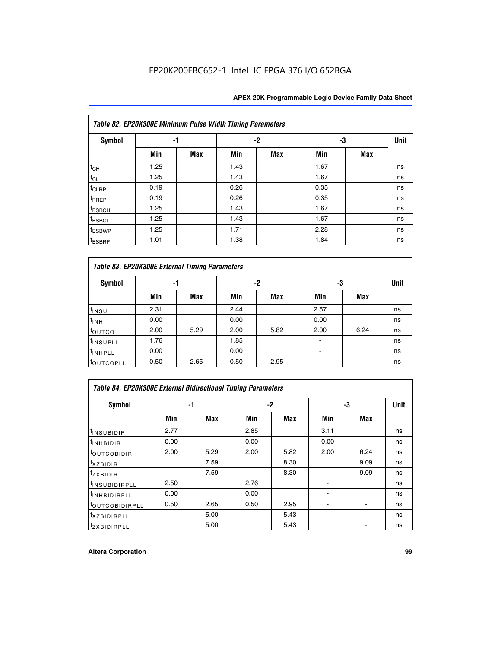|                    | Table 82. EP20K300E Minimum Pulse Width Timing Parameters |            |      |     |      |     |      |  |  |  |  |  |
|--------------------|-----------------------------------------------------------|------------|------|-----|------|-----|------|--|--|--|--|--|
| <b>Symbol</b>      | -1                                                        |            |      | -2  |      | -3  | Unit |  |  |  |  |  |
|                    | Min                                                       | <b>Max</b> | Min  | Max | Min  | Max |      |  |  |  |  |  |
| $t_{CH}$           | 1.25                                                      |            | 1.43 |     | 1.67 |     | ns   |  |  |  |  |  |
| $t_{CL}$           | 1.25                                                      |            | 1.43 |     | 1.67 |     | ns   |  |  |  |  |  |
| t <sub>CLRP</sub>  | 0.19                                                      |            | 0.26 |     | 0.35 |     | ns   |  |  |  |  |  |
| t <sub>PREP</sub>  | 0.19                                                      |            | 0.26 |     | 0.35 |     | ns   |  |  |  |  |  |
| t <sub>ESBCH</sub> | 1.25                                                      |            | 1.43 |     | 1.67 |     | ns   |  |  |  |  |  |
| <sup>t</sup> ESBCL | 1.25                                                      |            | 1.43 |     | 1.67 |     | ns   |  |  |  |  |  |
| <sup>t</sup> ESBWP | 1.25                                                      |            | 1.71 |     | 2.28 |     | ns   |  |  |  |  |  |
| <sup>t</sup> ESBRP | 1.01                                                      |            | 1.38 |     | 1.84 |     | ns   |  |  |  |  |  |

|                       | Table 83. EP20K300E External Timing Parameters |      |      |      |      |            |             |  |  |  |  |  |
|-----------------------|------------------------------------------------|------|------|------|------|------------|-------------|--|--|--|--|--|
| Symbol                |                                                | -1   |      | -2   |      | -3         | <b>Unit</b> |  |  |  |  |  |
|                       | Min                                            | Max  | Min  | Max  | Min  | <b>Max</b> |             |  |  |  |  |  |
| t <sub>INSU</sub>     | 2.31                                           |      | 2.44 |      | 2.57 |            | ns          |  |  |  |  |  |
| $t_{INH}$             | 0.00                                           |      | 0.00 |      | 0.00 |            | ns          |  |  |  |  |  |
| toutco                | 2.00                                           | 5.29 | 2.00 | 5.82 | 2.00 | 6.24       | ns          |  |  |  |  |  |
| <sup>t</sup> INSUPLL  | 1.76                                           |      | 1.85 |      |      |            | ns          |  |  |  |  |  |
| <sup>t</sup> INHPLL   | 0.00                                           |      | 0.00 |      | -    |            | ns          |  |  |  |  |  |
| <sup>t</sup> OUTCOPLL | 0.50                                           | 2.65 | 0.50 | 2.95 |      |            | ns          |  |  |  |  |  |

| Table 84. EP20K300E External Bidirectional Timing Parameters |      |      |      |      |      |             |    |  |  |  |  |
|--------------------------------------------------------------|------|------|------|------|------|-------------|----|--|--|--|--|
| Symbol                                                       |      | -1   | -2   |      | -3   | <b>Unit</b> |    |  |  |  |  |
|                                                              | Min  | Max  | Min  | Max  | Min  | Max         |    |  |  |  |  |
| <sup>t</sup> INSUBIDIR                                       | 2.77 |      | 2.85 |      | 3.11 |             | ns |  |  |  |  |
| <b>TINHBIDIR</b>                                             | 0.00 |      | 0.00 |      | 0.00 |             | ns |  |  |  |  |
| <sup>t</sup> OUTCOBIDIR                                      | 2.00 | 5.29 | 2.00 | 5.82 | 2.00 | 6.24        | ns |  |  |  |  |
| KZBIDIR                                                      |      | 7.59 |      | 8.30 |      | 9.09        | ns |  |  |  |  |
| $t_{Z}$ <i>x</i> BIDIR                                       |      | 7.59 |      | 8.30 |      | 9.09        | ns |  |  |  |  |
| <sup>I</sup> INSUBIDIRPLL                                    | 2.50 |      | 2.76 |      |      |             | ns |  |  |  |  |
| <sup>t</sup> INHBIDIRPLL                                     | 0.00 |      | 0.00 |      |      |             | ns |  |  |  |  |
| <b><i>LOUTCOBIDIRPLL</i></b>                                 | 0.50 | 2.65 | 0.50 | 2.95 |      |             | ns |  |  |  |  |
| <sup>T</sup> XZBIDIRPLL                                      |      | 5.00 |      | 5.43 |      |             | ns |  |  |  |  |
| <sup>t</sup> ZXBIDIRPLL                                      |      | 5.00 |      | 5.43 |      |             | ns |  |  |  |  |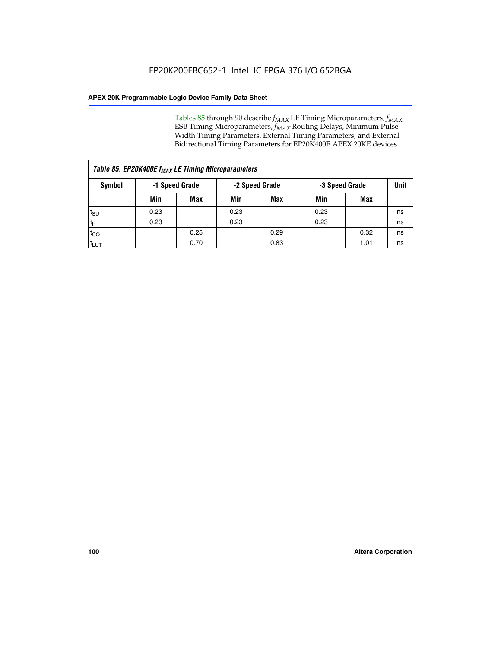Tables 85 through 90 describe  $f_{MAX}$  LE Timing Microparameters,  $f_{MAX}$ ESB Timing Microparameters, *f<sub>MAX</sub>* Routing Delays, Minimum Pulse Width Timing Parameters, External Timing Parameters, and External Bidirectional Timing Parameters for EP20K400E APEX 20KE devices.

|                    | Table 85. EP20K400E f <sub>MAX</sub> LE Timing Microparameters |            |                |            |                |      |             |  |  |  |  |
|--------------------|----------------------------------------------------------------|------------|----------------|------------|----------------|------|-------------|--|--|--|--|
| Symbol             | -1 Speed Grade                                                 |            | -2 Speed Grade |            | -3 Speed Grade |      | <b>Unit</b> |  |  |  |  |
|                    | Min                                                            | <b>Max</b> | Min            | <b>Max</b> | Min            | Max  |             |  |  |  |  |
| $t_{\text{SU}}$    | 0.23                                                           |            | 0.23           |            | 0.23           |      | ns          |  |  |  |  |
| $t_H$              | 0.23                                                           |            | 0.23           |            | 0.23           |      | ns          |  |  |  |  |
| $t_{CO}$           |                                                                | 0.25       |                | 0.29       |                | 0.32 | ns          |  |  |  |  |
| ι <sup>t</sup> ιυτ |                                                                | 0.70       |                | 0.83       |                | 1.01 | ns          |  |  |  |  |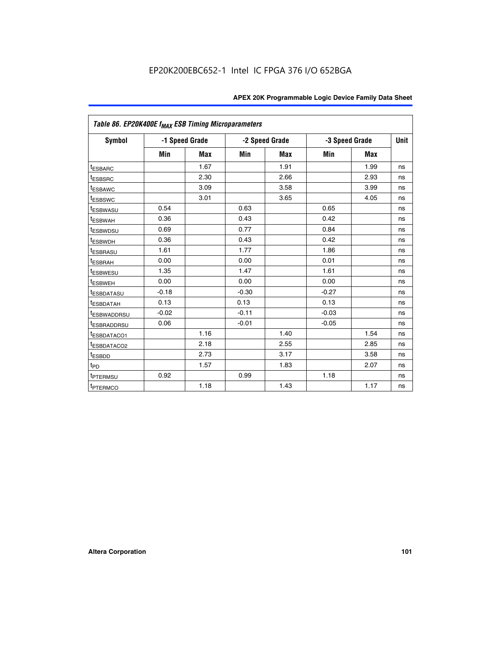| Table 86. EP20K400E f <sub>MAX</sub> ESB Timing Microparameters |         |                |         |                |         |                |             |
|-----------------------------------------------------------------|---------|----------------|---------|----------------|---------|----------------|-------------|
| Symbol                                                          |         | -1 Speed Grade |         | -2 Speed Grade |         | -3 Speed Grade | <b>Unit</b> |
|                                                                 | Min     | <b>Max</b>     | Min     | <b>Max</b>     | Min     | <b>Max</b>     |             |
| <sup>t</sup> ESBARC                                             |         | 1.67           |         | 1.91           |         | 1.99           | ns          |
| <sup>t</sup> ESBSRC                                             |         | 2.30           |         | 2.66           |         | 2.93           | ns          |
| <sup>t</sup> ESBAWC                                             |         | 3.09           |         | 3.58           |         | 3.99           | ns          |
| <sup>t</sup> ESBSWC                                             |         | 3.01           |         | 3.65           |         | 4.05           | ns          |
| <sup>t</sup> ESBWASU                                            | 0.54    |                | 0.63    |                | 0.65    |                | ns          |
| t <sub>ESBWAH</sub>                                             | 0.36    |                | 0.43    |                | 0.42    |                | ns          |
| <sup>t</sup> ESBWDSU                                            | 0.69    |                | 0.77    |                | 0.84    |                | ns          |
| <sup>t</sup> ESBWDH                                             | 0.36    |                | 0.43    |                | 0.42    |                | ns          |
| <sup>t</sup> ESBRASU                                            | 1.61    |                | 1.77    |                | 1.86    |                | ns          |
| <sup>t</sup> ESBRAH                                             | 0.00    |                | 0.00    |                | 0.01    |                | ns          |
| t <sub>ESBWESU</sub>                                            | 1.35    |                | 1.47    |                | 1.61    |                | ns          |
| t <sub>ESBWEH</sub>                                             | 0.00    |                | 0.00    |                | 0.00    |                | ns          |
| <sup>I</sup> ESBDATASU                                          | $-0.18$ |                | $-0.30$ |                | $-0.27$ |                | ns          |
| <b>ESBDATAH</b>                                                 | 0.13    |                | 0.13    |                | 0.13    |                | ns          |
| <sup>t</sup> ESBWADDRSU                                         | $-0.02$ |                | $-0.11$ |                | $-0.03$ |                | ns          |
| t <sub>ESBRADDRSU</sub>                                         | 0.06    |                | $-0.01$ |                | $-0.05$ |                | ns          |
| <sup>t</sup> ESBDATACO1                                         |         | 1.16           |         | 1.40           |         | 1.54           | ns          |
| <sup>I</sup> ESBDATACO2                                         |         | 2.18           |         | 2.55           |         | 2.85           | ns          |
| <sup>t</sup> ESBDD                                              |         | 2.73           |         | 3.17           |         | 3.58           | ns          |
| $t_{\mathsf{PD}}$                                               |         | 1.57           |         | 1.83           |         | 2.07           | ns          |
| t <sub>PTERMSU</sub>                                            | 0.92    |                | 0.99    |                | 1.18    |                | ns          |
| <sup>t</sup> PTERMCO                                            |         | 1.18           |         | 1.43           |         | 1.17           | ns          |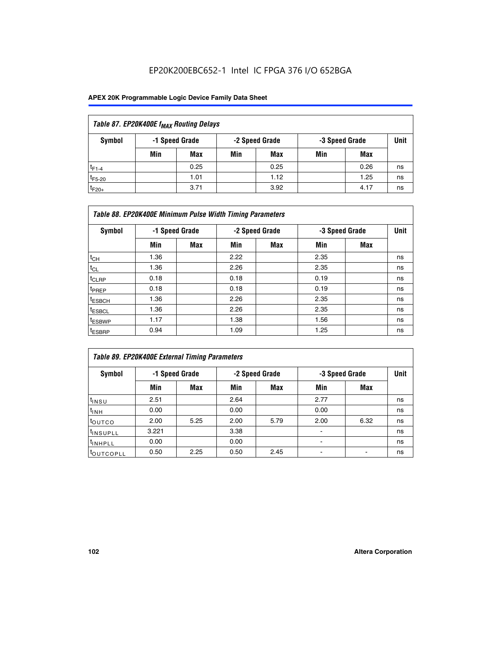## EP20K200EBC652-1 Intel IC FPGA 376 I/O 652BGA

| Table 87. EP20K400E f <sub>MAX</sub> Routing Delays |     |            |     |      |                |      |    |  |  |  |
|-----------------------------------------------------|-----|------------|-----|------|----------------|------|----|--|--|--|
| Symbol<br>-2 Speed Grade<br>-1 Speed Grade          |     |            |     |      | -3 Speed Grade |      |    |  |  |  |
|                                                     | Min | <b>Max</b> | Min | Max  | Min            | Max  |    |  |  |  |
| $t_{F1-4}$                                          |     | 0.25       |     | 0.25 |                | 0.26 | ns |  |  |  |
| $t_{F5-20}$                                         |     | 1.01       |     | 1.12 |                | 1.25 | ns |  |  |  |
| $t_{F20+}$                                          |     | 3.71       |     | 3.92 |                | 4.17 | ns |  |  |  |

| Table 88. EP20K400E Minimum Pulse Width Timing Parameters |      |                |      |                |      |                |      |  |  |  |
|-----------------------------------------------------------|------|----------------|------|----------------|------|----------------|------|--|--|--|
| Symbol                                                    |      | -1 Speed Grade |      | -2 Speed Grade |      | -3 Speed Grade | Unit |  |  |  |
|                                                           | Min  | <b>Max</b>     | Min  | <b>Max</b>     | Min  | Max            |      |  |  |  |
| $t_{CH}$                                                  | 1.36 |                | 2.22 |                | 2.35 |                | ns   |  |  |  |
| $t_{\rm CL}$                                              | 1.36 |                | 2.26 |                | 2.35 |                | ns   |  |  |  |
| $t_{CLRP}$                                                | 0.18 |                | 0.18 |                | 0.19 |                | ns   |  |  |  |
| <sup>t</sup> PREP                                         | 0.18 |                | 0.18 |                | 0.19 |                | ns   |  |  |  |
| t <sub>ESBCH</sub>                                        | 1.36 |                | 2.26 |                | 2.35 |                | ns   |  |  |  |
| <sup>t</sup> ESBCL                                        | 1.36 |                | 2.26 |                | 2.35 |                | ns   |  |  |  |
| <sup>t</sup> ESBWP                                        | 1.17 |                | 1.38 |                | 1.56 |                | ns   |  |  |  |
| <sup>t</sup> ESBRP                                        | 0.94 |                | 1.09 |                | 1.25 |                | ns   |  |  |  |

| Table 89. EP20K400E External Timing Parameters |                |            |      |                |                |      |    |  |  |  |
|------------------------------------------------|----------------|------------|------|----------------|----------------|------|----|--|--|--|
| Symbol                                         | -1 Speed Grade |            |      | -2 Speed Grade | -3 Speed Grade | Unit |    |  |  |  |
|                                                | Min            | <b>Max</b> | Min  | <b>Max</b>     | Min            | Max  |    |  |  |  |
| $t_{INSU}$                                     | 2.51           |            | 2.64 |                | 2.77           |      | ns |  |  |  |
| $t_{INH}$                                      | 0.00           |            | 0.00 |                | 0.00           |      | ns |  |  |  |
| t <sub>outco</sub>                             | 2.00           | 5.25       | 2.00 | 5.79           | 2.00           | 6.32 | ns |  |  |  |
| <sup>t</sup> INSUPLL                           | 3.221          |            | 3.38 |                |                |      | ns |  |  |  |
| <sup>t</sup> INHPLL                            | 0.00           |            | 0.00 |                | -              |      | ns |  |  |  |
| toutcopll                                      | 0.50           | 2.25       | 0.50 | 2.45           |                |      | ns |  |  |  |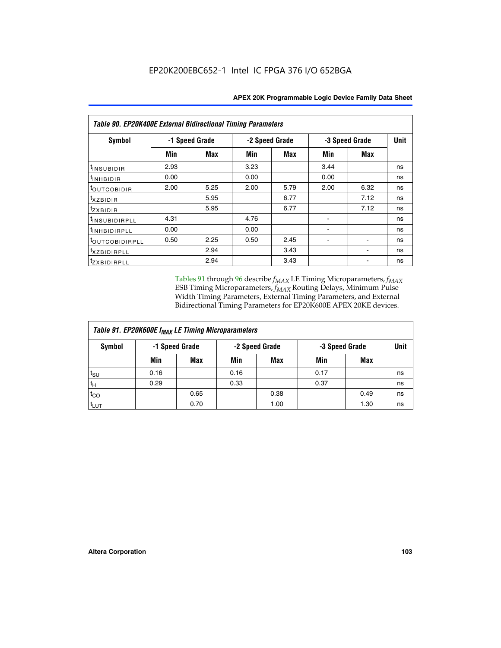| <b>Table 90. EP20K400E External Bidirectional Timing Parameters</b> |      |                |                |      |                |             |    |  |  |
|---------------------------------------------------------------------|------|----------------|----------------|------|----------------|-------------|----|--|--|
| Symbol                                                              |      | -1 Speed Grade | -2 Speed Grade |      | -3 Speed Grade | <b>Unit</b> |    |  |  |
|                                                                     | Min  | <b>Max</b>     | Min            | Max  | Min            | Max         |    |  |  |
| tINSUBIDIR                                                          | 2.93 |                | 3.23           |      | 3.44           |             | ns |  |  |
| t <sub>INHBIDIR</sub>                                               | 0.00 |                | 0.00           |      | 0.00           |             | ns |  |  |
| t <sub>outcobidir</sub>                                             | 2.00 | 5.25           | 2.00           | 5.79 | 2.00           | 6.32        | ns |  |  |
| <i>txzbidir</i>                                                     |      | 5.95           |                | 6.77 |                | 7.12        | ns |  |  |
| tzxbidir                                                            |      | 5.95           |                | 6.77 |                | 7.12        | ns |  |  |
| <sup>t</sup> INSUBIDIRPLL                                           | 4.31 |                | 4.76           |      |                |             | ns |  |  |
| t <sub>INHBIDIRPLL</sub>                                            | 0.00 |                | 0.00           |      |                |             | ns |  |  |
| <sup>t</sup> OUTCOBIDIRPLL                                          | 0.50 | 2.25           | 0.50           | 2.45 |                |             | ns |  |  |
| <i>txzBIDIRPLL</i>                                                  |      | 2.94           |                | 3.43 |                |             | ns |  |  |
| tzxBIDIRPLL                                                         |      | 2.94           |                | 3.43 |                |             | ns |  |  |

Tables 91 through 96 describe  $f_{MAX}$  LE Timing Microparameters,  $f_{MAX}$ ESB Timing Microparameters, *f<sub>MAX</sub>* Routing Delays, Minimum Pulse Width Timing Parameters, External Timing Parameters, and External Bidirectional Timing Parameters for EP20K600E APEX 20KE devices.

| Table 91. EP20K600E f <sub>MAX</sub> LE Timing Microparameters |                |            |                |            |                |      |             |  |  |
|----------------------------------------------------------------|----------------|------------|----------------|------------|----------------|------|-------------|--|--|
| Symbol                                                         | -1 Speed Grade |            | -2 Speed Grade |            | -3 Speed Grade |      | <b>Unit</b> |  |  |
|                                                                | Min            | <b>Max</b> | Min            | <b>Max</b> | Min            | Max  |             |  |  |
| $t_{\sf SU}$                                                   | 0.16           |            | 0.16           |            | 0.17           |      | ns          |  |  |
| $t_H$                                                          | 0.29           |            | 0.33           |            | 0.37           |      | ns          |  |  |
| $t_{CO}$                                                       |                | 0.65       |                | 0.38       |                | 0.49 | ns          |  |  |
| <sup>t</sup> LUT                                               |                | 0.70       |                | 1.00       |                | 1.30 | ns          |  |  |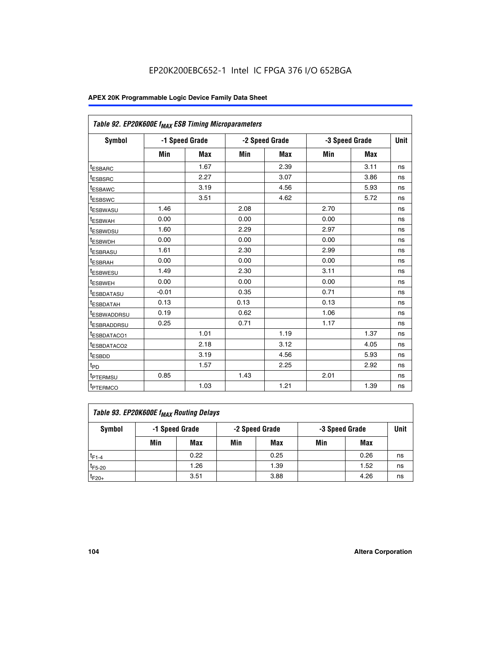| Table 92. EP20K600E f <sub>MAX</sub> ESB Timing Microparameters |         |                |      |                |                |             |    |
|-----------------------------------------------------------------|---------|----------------|------|----------------|----------------|-------------|----|
| <b>Symbol</b>                                                   |         | -1 Speed Grade |      | -2 Speed Grade | -3 Speed Grade | <b>Unit</b> |    |
|                                                                 | Min     | <b>Max</b>     | Min  | <b>Max</b>     | Min            | <b>Max</b>  |    |
| t <sub>ESBARC</sub>                                             |         | 1.67           |      | 2.39           |                | 3.11        | ns |
| t <sub>ESBSRC</sub>                                             |         | 2.27           |      | 3.07           |                | 3.86        | ns |
| <sup>t</sup> ESBAWC                                             |         | 3.19           |      | 4.56           |                | 5.93        | ns |
| t <sub>ESBSWC</sub>                                             |         | 3.51           |      | 4.62           |                | 5.72        | ns |
| <sup>t</sup> ESBWASU                                            | 1.46    |                | 2.08 |                | 2.70           |             | ns |
| t <sub>ESBWAH</sub>                                             | 0.00    |                | 0.00 |                | 0.00           |             | ns |
| t <sub>ESBWDSU</sub>                                            | 1.60    |                | 2.29 |                | 2.97           |             | ns |
| <sup>t</sup> ESBWDH                                             | 0.00    |                | 0.00 |                | 0.00           |             | ns |
| <sup>t</sup> ESBRASU                                            | 1.61    |                | 2.30 |                | 2.99           |             | ns |
| t <sub>ESBRAH</sub>                                             | 0.00    |                | 0.00 |                | 0.00           |             | ns |
| t <sub>ESBWESU</sub>                                            | 1.49    |                | 2.30 |                | 3.11           |             | ns |
| <sup>t</sup> ESBWEH                                             | 0.00    |                | 0.00 |                | 0.00           |             | ns |
| <sup>t</sup> ESBDATASU                                          | $-0.01$ |                | 0.35 |                | 0.71           |             | ns |
| <sup>t</sup> ESBDATAH                                           | 0.13    |                | 0.13 |                | 0.13           |             | ns |
| <sup>t</sup> ESBWADDRSU                                         | 0.19    |                | 0.62 |                | 1.06           |             | ns |
| <sup>t</sup> ESBRADDRSU                                         | 0.25    |                | 0.71 |                | 1.17           |             | ns |
| <sup>I</sup> ESBDATACO1                                         |         | 1.01           |      | 1.19           |                | 1.37        | ns |
| <sup>t</sup> ESBDATACO2                                         |         | 2.18           |      | 3.12           |                | 4.05        | ns |
| <sup>t</sup> ESBDD                                              |         | 3.19           |      | 4.56           |                | 5.93        | ns |
| t <sub>PD</sub>                                                 |         | 1.57           |      | 2.25           |                | 2.92        | ns |
| t <sub>PTERMSU</sub>                                            | 0.85    |                | 1.43 |                | 2.01           |             | ns |
| t <sub>PTERMCO</sub>                                            |         | 1.03           |      | 1.21           |                | 1.39        | ns |

| Table 93. EP20K600E f <sub>MAX</sub> Routing Delays |                |      |     |                |     |                |    |  |  |  |
|-----------------------------------------------------|----------------|------|-----|----------------|-----|----------------|----|--|--|--|
| Symbol                                              | -1 Speed Grade |      |     | -2 Speed Grade |     | -3 Speed Grade |    |  |  |  |
|                                                     | Min            | Max  | Min | Max            | Min | Max            |    |  |  |  |
| $t_{F1-4}$                                          |                | 0.22 |     | 0.25           |     | 0.26           | ns |  |  |  |
| $t_{F5-20}$                                         |                | 1.26 |     | 1.39           |     | 1.52           | ns |  |  |  |
| $t_{F20+}$                                          |                | 3.51 |     | 3.88           |     | 4.26           | ns |  |  |  |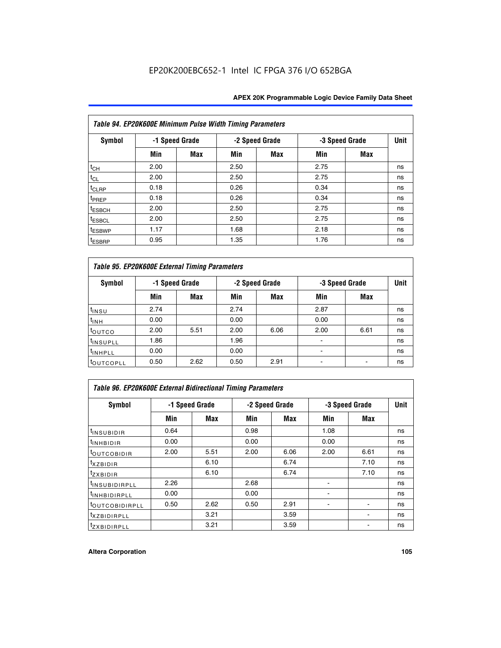| Table 94. EP20K600E Minimum Pulse Width Timing Parameters |      |                |      |                |                |            |             |  |  |
|-----------------------------------------------------------|------|----------------|------|----------------|----------------|------------|-------------|--|--|
| <b>Symbol</b>                                             |      | -1 Speed Grade |      | -2 Speed Grade | -3 Speed Grade |            | <b>Unit</b> |  |  |
|                                                           | Min  | Max            | Min  | Max            | Min            | <b>Max</b> |             |  |  |
| $t_{CH}$                                                  | 2.00 |                | 2.50 |                | 2.75           |            | ns          |  |  |
| $t_{CL}$                                                  | 2.00 |                | 2.50 |                | 2.75           |            | ns          |  |  |
| $t_{CLRP}$                                                | 0.18 |                | 0.26 |                | 0.34           |            | ns          |  |  |
| t <sub>PREP</sub>                                         | 0.18 |                | 0.26 |                | 0.34           |            | ns          |  |  |
| <sup>t</sup> ESBCH                                        | 2.00 |                | 2.50 |                | 2.75           |            | ns          |  |  |
| <sup>t</sup> ESBCL                                        | 2.00 |                | 2.50 |                | 2.75           |            | ns          |  |  |
| <sup>t</sup> ESBWP                                        | 1.17 |                | 1.68 |                | 2.18           |            | ns          |  |  |
| <sup>t</sup> ESBRP                                        | 0.95 |                | 1.35 |                | 1.76           |            | ns          |  |  |

| Table 95. EP20K600E External Timing Parameters |                |      |      |                |                          |                        |    |  |  |
|------------------------------------------------|----------------|------|------|----------------|--------------------------|------------------------|----|--|--|
| Symbol                                         | -1 Speed Grade |      |      | -2 Speed Grade |                          | Unit<br>-3 Speed Grade |    |  |  |
|                                                | Min            | Max  | Min  | Max            | Min                      | Max                    |    |  |  |
| t <sub>insu</sub>                              | 2.74           |      | 2.74 |                | 2.87                     |                        | ns |  |  |
| $t_{INH}$                                      | 0.00           |      | 0.00 |                | 0.00                     |                        | ns |  |  |
| toutco                                         | 2.00           | 5.51 | 2.00 | 6.06           | 2.00                     | 6.61                   | ns |  |  |
| <sup>t</sup> INSUPLL                           | 1.86           |      | 1.96 |                |                          |                        | ns |  |  |
| <sup>t</sup> INHPLL                            | 0.00           |      | 0.00 |                | $\overline{\phantom{a}}$ |                        | ns |  |  |
| <b>LOUTCOPLL</b>                               | 0.50           | 2.62 | 0.50 | 2.91           |                          |                        | ns |  |  |

| Table 96. EP20K600E External Bidirectional Timing Parameters |                |      |      |                |      |                |             |  |  |
|--------------------------------------------------------------|----------------|------|------|----------------|------|----------------|-------------|--|--|
| Symbol                                                       | -1 Speed Grade |      |      | -2 Speed Grade |      | -3 Speed Grade | <b>Unit</b> |  |  |
|                                                              | Min            | Max  | Min  | Max            | Min  | <b>Max</b>     |             |  |  |
| <sup>t</sup> INSUBIDIR                                       | 0.64           |      | 0.98 |                | 1.08 |                | ns          |  |  |
| $t_{\text{INHBIDIR}}$                                        | 0.00           |      | 0.00 |                | 0.00 |                | ns          |  |  |
| <sup>t</sup> OUTCOBIDIR                                      | 2.00           | 5.51 | 2.00 | 6.06           | 2.00 | 6.61           | ns          |  |  |
| $t_{XZBIDIR}$                                                |                | 6.10 |      | 6.74           |      | 7.10           | ns          |  |  |
| $t_{ZXBIDIR}$                                                |                | 6.10 |      | 6.74           |      | 7.10           | ns          |  |  |
| <sup>t</sup> INSUBIDIRPLL                                    | 2.26           |      | 2.68 |                |      |                | ns          |  |  |
| <sup>t</sup> INHBIDIRPLL                                     | 0.00           |      | 0.00 |                |      |                | ns          |  |  |
| <b><i>LOUTCOBIDIRPLL</i></b>                                 | 0.50           | 2.62 | 0.50 | 2.91           |      |                | ns          |  |  |
| <sup>t</sup> xzbidirpll                                      |                | 3.21 |      | 3.59           |      |                | ns          |  |  |
| <i>t</i> zxBIDIRPLL                                          |                | 3.21 |      | 3.59           |      | ٠              | ns          |  |  |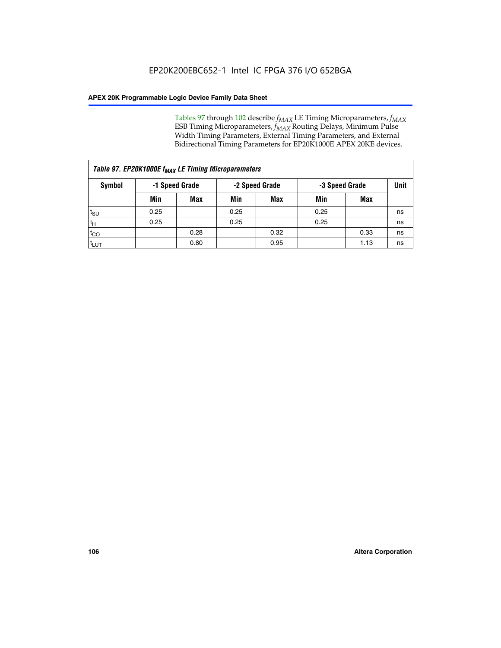Tables 97 through 102 describe  $f_{MAX}$  LE Timing Microparameters,  $f_{MAX}$ ESB Timing Microparameters, *f<sub>MAX</sub>* Routing Delays, Minimum Pulse Width Timing Parameters, External Timing Parameters, and External Bidirectional Timing Parameters for EP20K1000E APEX 20KE devices.

| Table 97. EP20K1000E f <sub>MAX</sub> LE Timing Microparameters |      |                |      |                |                |      |      |  |  |
|-----------------------------------------------------------------|------|----------------|------|----------------|----------------|------|------|--|--|
| Symbol                                                          |      | -1 Speed Grade |      | -2 Speed Grade | -3 Speed Grade |      | Unit |  |  |
|                                                                 | Min  | <b>Max</b>     | Min  | <b>Max</b>     | Min            | Max  |      |  |  |
| $t_{\text{SU}}$                                                 | 0.25 |                | 0.25 |                | 0.25           |      | ns   |  |  |
| $t_H$                                                           | 0.25 |                | 0.25 |                | 0.25           |      | ns   |  |  |
| $t_{CO}$                                                        |      | 0.28           |      | 0.32           |                | 0.33 | ns   |  |  |
| t <sub>LUT</sub>                                                |      | 0.80           |      | 0.95           |                | 1.13 | ns   |  |  |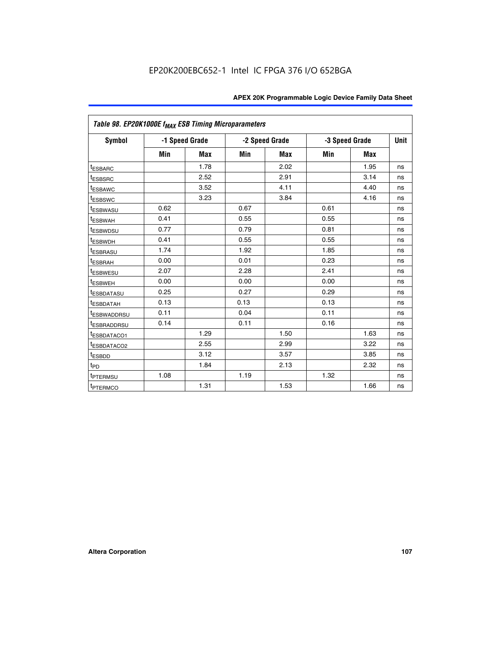| Table 98. EP20K1000E f <sub>MAX</sub> ESB Timing Microparameters |      |                |      |                |                |             |    |
|------------------------------------------------------------------|------|----------------|------|----------------|----------------|-------------|----|
| Symbol                                                           |      | -1 Speed Grade |      | -2 Speed Grade | -3 Speed Grade | <b>Unit</b> |    |
|                                                                  | Min  | <b>Max</b>     | Min  | <b>Max</b>     | Min            | <b>Max</b>  |    |
| <sup>t</sup> ESBARC                                              |      | 1.78           |      | 2.02           |                | 1.95        | ns |
| <sup>t</sup> ESBSRC                                              |      | 2.52           |      | 2.91           |                | 3.14        | ns |
| <sup>t</sup> ESBAWC                                              |      | 3.52           |      | 4.11           |                | 4.40        | ns |
| <sup>t</sup> ESBSWC                                              |      | 3.23           |      | 3.84           |                | 4.16        | ns |
| t <sub>ESBWASU</sub>                                             | 0.62 |                | 0.67 |                | 0.61           |             | ns |
| <sup>t</sup> ESBWAH                                              | 0.41 |                | 0.55 |                | 0.55           |             | ns |
| <sup>t</sup> ESBWDSU                                             | 0.77 |                | 0.79 |                | 0.81           |             | ns |
| <sup>t</sup> ESBWDH                                              | 0.41 |                | 0.55 |                | 0.55           |             | ns |
| <sup>t</sup> ESBRASU                                             | 1.74 |                | 1.92 |                | 1.85           |             | ns |
| <sup>t</sup> ESBRAH                                              | 0.00 |                | 0.01 |                | 0.23           |             | ns |
| <sup>t</sup> ESBWESU                                             | 2.07 |                | 2.28 |                | 2.41           |             | ns |
| t <sub>ESBWEH</sub>                                              | 0.00 |                | 0.00 |                | 0.00           |             | ns |
| <sup>t</sup> ESBDATASU                                           | 0.25 |                | 0.27 |                | 0.29           |             | ns |
| <sup>t</sup> ESBDATAH                                            | 0.13 |                | 0.13 |                | 0.13           |             | ns |
| <sup>t</sup> ESBWADDRSU                                          | 0.11 |                | 0.04 |                | 0.11           |             | ns |
| <sup>t</sup> ESBRADDRSU                                          | 0.14 |                | 0.11 |                | 0.16           |             | ns |
| <sup>t</sup> ESBDATACO1                                          |      | 1.29           |      | 1.50           |                | 1.63        | ns |
| <sup>I</sup> ESBDATACO2                                          |      | 2.55           |      | 2.99           |                | 3.22        | ns |
| <sup>t</sup> ESBDD                                               |      | 3.12           |      | 3.57           |                | 3.85        | ns |
| $t_{\mathsf{PD}}$                                                |      | 1.84           |      | 2.13           |                | 2.32        | ns |
| t <sub>PTERMSU</sub>                                             | 1.08 |                | 1.19 |                | 1.32           |             | ns |
| <sup>t</sup> PTERMCO                                             |      | 1.31           |      | 1.53           |                | 1.66        | ns |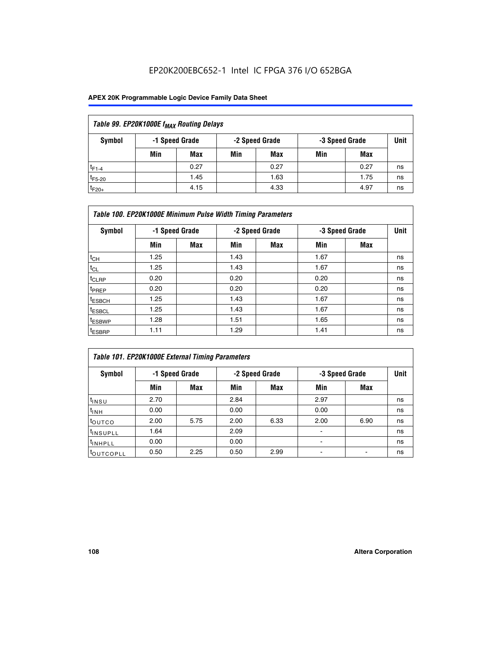# EP20K200EBC652-1 Intel IC FPGA 376 I/O 652BGA

## **APEX 20K Programmable Logic Device Family Data Sheet**

| Table 99. EP20K1000E f <sub>MAX</sub> Routing Delays |     |                |     |                |     |                |      |  |  |  |  |
|------------------------------------------------------|-----|----------------|-----|----------------|-----|----------------|------|--|--|--|--|
| Symbol                                               |     | -1 Speed Grade |     | -2 Speed Grade |     | -3 Speed Grade | Unit |  |  |  |  |
|                                                      | Min | <b>Max</b>     | Min | Max            | Min | Max            |      |  |  |  |  |
| $t_{F1-4}$                                           |     | 0.27           |     | 0.27           |     | 0.27           | ns   |  |  |  |  |
| $t_{F5-20}$                                          |     | 1.45           |     | 1.63           |     | 1.75           | ns   |  |  |  |  |
| $t_{F20+}$                                           |     | 4.15           |     | 4.33           |     | 4.97           | ns   |  |  |  |  |

|                    | Table 100. EP20K1000E Minimum Pulse Width Timing Parameters |                |      |                |      |                |             |  |  |  |  |  |
|--------------------|-------------------------------------------------------------|----------------|------|----------------|------|----------------|-------------|--|--|--|--|--|
| Symbol             |                                                             | -1 Speed Grade |      | -2 Speed Grade |      | -3 Speed Grade | <b>Unit</b> |  |  |  |  |  |
|                    | Min                                                         | <b>Max</b>     | Min  | Max            | Min  | Max            |             |  |  |  |  |  |
| $t_{CH}$           | 1.25                                                        |                | 1.43 |                | 1.67 |                | ns          |  |  |  |  |  |
| $t_{CL}$           | 1.25                                                        |                | 1.43 |                | 1.67 |                | ns          |  |  |  |  |  |
| t <sub>CLRP</sub>  | 0.20                                                        |                | 0.20 |                | 0.20 |                | ns          |  |  |  |  |  |
| <sup>t</sup> PREP  | 0.20                                                        |                | 0.20 |                | 0.20 |                | ns          |  |  |  |  |  |
| <sup>t</sup> ESBCH | 1.25                                                        |                | 1.43 |                | 1.67 |                | ns          |  |  |  |  |  |
| <sup>t</sup> ESBCL | 1.25                                                        |                | 1.43 |                | 1.67 |                | ns          |  |  |  |  |  |
| <sup>t</sup> ESBWP | 1.28                                                        |                | 1.51 |                | 1.65 |                | ns          |  |  |  |  |  |
| <sup>t</sup> ESBRP | 1.11                                                        |                | 1.29 |                | 1.41 |                | ns          |  |  |  |  |  |

| Table 101. EP20K1000E External Timing Parameters |      |                |      |                |                          |                |             |  |  |  |  |  |
|--------------------------------------------------|------|----------------|------|----------------|--------------------------|----------------|-------------|--|--|--|--|--|
| Symbol                                           |      | -1 Speed Grade |      | -2 Speed Grade |                          | -3 Speed Grade | <b>Unit</b> |  |  |  |  |  |
|                                                  | Min  | Max            | Min  | <b>Max</b>     | Min                      | Max            |             |  |  |  |  |  |
| t <sub>INSU</sub>                                | 2.70 |                | 2.84 |                | 2.97                     |                | ns          |  |  |  |  |  |
| $t_{INH}$                                        | 0.00 |                | 0.00 |                | 0.00                     |                | ns          |  |  |  |  |  |
| toutco                                           | 2.00 | 5.75           | 2.00 | 6.33           | 2.00                     | 6.90           | ns          |  |  |  |  |  |
| <sup>t</sup> INSUPLL                             | 1.64 |                | 2.09 |                | ۰                        |                | ns          |  |  |  |  |  |
| I <sup>t</sup> INHPLL                            | 0.00 |                | 0.00 |                | $\overline{\phantom{a}}$ |                | ns          |  |  |  |  |  |
| toutcopll                                        | 0.50 | 2.25           | 0.50 | 2.99           | -                        |                | ns          |  |  |  |  |  |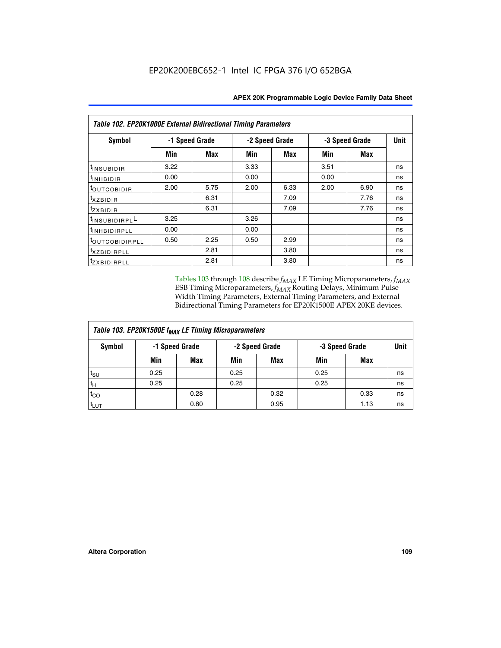| Table 102. EP20K1000E External Bidirectional Timing Parameters |                |            |                |      |                |             |    |  |  |  |
|----------------------------------------------------------------|----------------|------------|----------------|------|----------------|-------------|----|--|--|--|
| Symbol                                                         | -1 Speed Grade |            | -2 Speed Grade |      | -3 Speed Grade | <b>Unit</b> |    |  |  |  |
|                                                                | Min            | <b>Max</b> | Min            | Max  | Min            | <b>Max</b>  |    |  |  |  |
| t <sub>INSUBIDIR</sub>                                         | 3.22           |            | 3.33           |      | 3.51           |             | ns |  |  |  |
| t <sub>INHBIDIR</sub>                                          | 0.00           |            | 0.00           |      | 0.00           |             | ns |  |  |  |
| t <sub>outcobidir</sub>                                        | 2.00           | 5.75       | 2.00           | 6.33 | 2.00           | 6.90        | ns |  |  |  |
| <i>txzbidir</i>                                                |                | 6.31       |                | 7.09 |                | 7.76        | ns |  |  |  |
| tzxbidir                                                       |                | 6.31       |                | 7.09 |                | 7.76        | ns |  |  |  |
| t <sub>INSUBIDIRPL</sub> L                                     | 3.25           |            | 3.26           |      |                |             | ns |  |  |  |
| tINHBIDIRPLL                                                   | 0.00           |            | 0.00           |      |                |             | ns |  |  |  |
| tout COBIDIRPLL                                                | 0.50           | 2.25       | 0.50           | 2.99 |                |             | ns |  |  |  |
| <i>txzBIDIRPLL</i>                                             |                | 2.81       |                | 3.80 |                |             | ns |  |  |  |
| tzxBIDIRPLL                                                    |                | 2.81       |                | 3.80 |                |             | ns |  |  |  |

Tables 103 through 108 describe  $f_{MAX}$  LE Timing Microparameters,  $f_{MAX}$ ESB Timing Microparameters, *f<sub>MAX</sub>* Routing Delays, Minimum Pulse Width Timing Parameters, External Timing Parameters, and External Bidirectional Timing Parameters for EP20K1500E APEX 20KE devices.

| Table 103. EP20K1500E f <sub>MAX</sub> LE Timing Microparameters |      |                |      |                |                |      |             |  |  |  |  |
|------------------------------------------------------------------|------|----------------|------|----------------|----------------|------|-------------|--|--|--|--|
| Symbol                                                           |      | -1 Speed Grade |      | -2 Speed Grade | -3 Speed Grade |      | <b>Unit</b> |  |  |  |  |
|                                                                  | Min  | <b>Max</b>     | Min  | <b>Max</b>     | Min            | Max  |             |  |  |  |  |
| $t_{\sf SU}$                                                     | 0.25 |                | 0.25 |                | 0.25           |      | ns          |  |  |  |  |
| $t_H$                                                            | 0.25 |                | 0.25 |                | 0.25           |      | ns          |  |  |  |  |
| $t_{CO}$                                                         |      | 0.28           |      | 0.32           |                | 0.33 | ns          |  |  |  |  |
| t <sub>lut</sub>                                                 |      | 0.80           |      | 0.95           |                | 1.13 | ns          |  |  |  |  |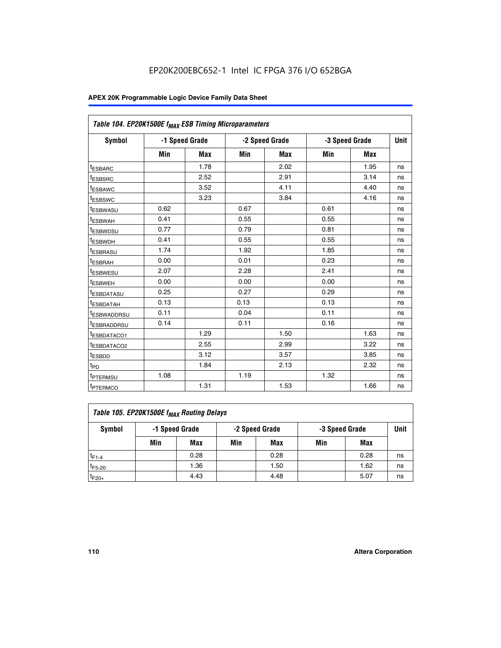|                         | Table 104. EP20K1500E f <sub>MAX</sub> ESB Timing Microparameters |                |            |                |      |                |             |  |  |  |  |
|-------------------------|-------------------------------------------------------------------|----------------|------------|----------------|------|----------------|-------------|--|--|--|--|
| <b>Symbol</b>           |                                                                   | -1 Speed Grade |            | -2 Speed Grade |      | -3 Speed Grade | <b>Unit</b> |  |  |  |  |
|                         | Min                                                               | <b>Max</b>     | <b>Min</b> | Max            | Min  | Max            |             |  |  |  |  |
| <sup>t</sup> ESBARC     |                                                                   | 1.78           |            | 2.02           |      | 1.95           | ns          |  |  |  |  |
| t <sub>ESBSRC</sub>     |                                                                   | 2.52           |            | 2.91           |      | 3.14           | ns          |  |  |  |  |
| <sup>t</sup> ESBAWC     |                                                                   | 3.52           |            | 4.11           |      | 4.40           | ns          |  |  |  |  |
| t <sub>ESBSWC</sub>     |                                                                   | 3.23           |            | 3.84           |      | 4.16           | ns          |  |  |  |  |
| t <sub>ESBWASU</sub>    | 0.62                                                              |                | 0.67       |                | 0.61 |                | ns          |  |  |  |  |
| t <sub>ESBWAH</sub>     | 0.41                                                              |                | 0.55       |                | 0.55 |                | ns          |  |  |  |  |
| <sup>t</sup> ESBWDSU    | 0.77                                                              |                | 0.79       |                | 0.81 |                | ns          |  |  |  |  |
| t <sub>ESBWDH</sub>     | 0.41                                                              |                | 0.55       |                | 0.55 |                | ns          |  |  |  |  |
| <sup>t</sup> ESBRASU    | 1.74                                                              |                | 1.92       |                | 1.85 |                | ns          |  |  |  |  |
| <sup>t</sup> ESBRAH     | 0.00                                                              |                | 0.01       |                | 0.23 |                | ns          |  |  |  |  |
| <sup>t</sup> ESBWESU    | 2.07                                                              |                | 2.28       |                | 2.41 |                | ns          |  |  |  |  |
| <sup>t</sup> ESBWEH     | 0.00                                                              |                | 0.00       |                | 0.00 |                | ns          |  |  |  |  |
| <sup>t</sup> ESBDATASU  | 0.25                                                              |                | 0.27       |                | 0.29 |                | ns          |  |  |  |  |
| <sup>t</sup> ESBDATAH   | 0.13                                                              |                | 0.13       |                | 0.13 |                | ns          |  |  |  |  |
| <sup>t</sup> ESBWADDRSU | 0.11                                                              |                | 0.04       |                | 0.11 |                | ns          |  |  |  |  |
| t <sub>ESBRADDRSU</sub> | 0.14                                                              |                | 0.11       |                | 0.16 |                | ns          |  |  |  |  |
| <sup>I</sup> ESBDATACO1 |                                                                   | 1.29           |            | 1.50           |      | 1.63           | ns          |  |  |  |  |
| <sup>t</sup> ESBDATACO2 |                                                                   | 2.55           |            | 2.99           |      | 3.22           | ns          |  |  |  |  |
| <sup>t</sup> ESBDD      |                                                                   | 3.12           |            | 3.57           |      | 3.85           | ns          |  |  |  |  |
| t <sub>PD</sub>         |                                                                   | 1.84           |            | 2.13           |      | 2.32           | ns          |  |  |  |  |
| t <sub>PTERMSU</sub>    | 1.08                                                              |                | 1.19       |                | 1.32 |                | ns          |  |  |  |  |
| t <sub>PTERMCO</sub>    |                                                                   | 1.31           |            | 1.53           |      | 1.66           | ns          |  |  |  |  |

| Table 105. EP20K1500E f <sub>MAX</sub> Routing Delays |                                                    |      |     |      |     |      |    |  |  |  |
|-------------------------------------------------------|----------------------------------------------------|------|-----|------|-----|------|----|--|--|--|
| Symbol                                                | -1 Speed Grade<br>-2 Speed Grade<br>-3 Speed Grade |      |     |      |     |      |    |  |  |  |
|                                                       | Min                                                | Max  | Min | Max  | Min | Max  |    |  |  |  |
| $t_{F1-4}$                                            |                                                    | 0.28 |     | 0.28 |     | 0.28 | ns |  |  |  |
| $t_{F5-20}$                                           |                                                    | 1.36 |     | 1.50 |     | 1.62 | ns |  |  |  |
| $t_{F20+}$                                            |                                                    | 4.43 |     | 4.48 |     | 5.07 | ns |  |  |  |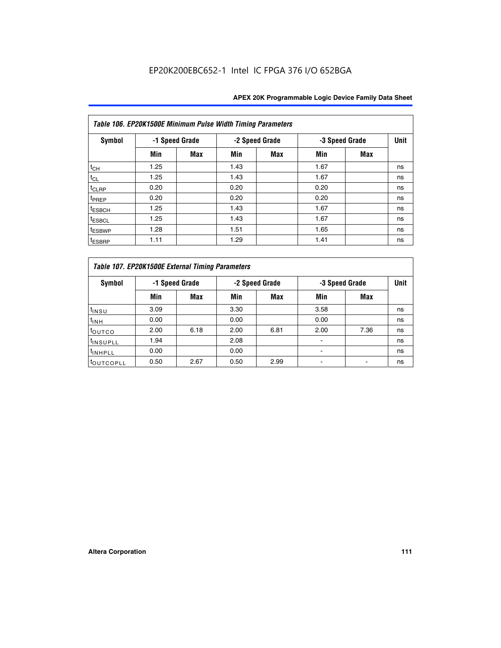|                    | Table 106. EP20K1500E Minimum Pulse Width Timing Parameters |                |      |                |      |                |             |  |  |  |  |  |
|--------------------|-------------------------------------------------------------|----------------|------|----------------|------|----------------|-------------|--|--|--|--|--|
| <b>Symbol</b>      |                                                             | -1 Speed Grade |      | -2 Speed Grade |      | -3 Speed Grade | <b>Unit</b> |  |  |  |  |  |
|                    | Min                                                         | <b>Max</b>     | Min  | Max            | Min  | <b>Max</b>     |             |  |  |  |  |  |
| $t_{CH}$           | 1.25                                                        |                | 1.43 |                | 1.67 |                | ns          |  |  |  |  |  |
| $t_{CL}$           | 1.25                                                        |                | 1.43 |                | 1.67 |                | ns          |  |  |  |  |  |
| $t_{CLRP}$         | 0.20                                                        |                | 0.20 |                | 0.20 |                | ns          |  |  |  |  |  |
| t <sub>PREP</sub>  | 0.20                                                        |                | 0.20 |                | 0.20 |                | ns          |  |  |  |  |  |
| <sup>t</sup> ESBCH | 1.25                                                        |                | 1.43 |                | 1.67 |                | ns          |  |  |  |  |  |
| <sup>t</sup> ESBCL | 1.25                                                        |                | 1.43 |                | 1.67 |                | ns          |  |  |  |  |  |
| <sup>t</sup> ESBWP | 1.28                                                        |                | 1.51 |                | 1.65 |                | ns          |  |  |  |  |  |
| <sup>t</sup> ESBRP | 1.11                                                        |                | 1.29 |                | 1.41 |                | ns          |  |  |  |  |  |

| Table 107. EP20K1500E External Timing Parameters |                |      |      |                |                          |                |             |  |  |  |  |  |
|--------------------------------------------------|----------------|------|------|----------------|--------------------------|----------------|-------------|--|--|--|--|--|
| Symbol                                           | -1 Speed Grade |      |      | -2 Speed Grade |                          | -3 Speed Grade | <b>Unit</b> |  |  |  |  |  |
|                                                  | Min            | Max  | Min  | <b>Max</b>     | Min                      | Max            |             |  |  |  |  |  |
| t <sub>insu</sub>                                | 3.09           |      | 3.30 |                | 3.58                     |                | ns          |  |  |  |  |  |
| $t_{INH}$                                        | 0.00           |      | 0.00 |                | 0.00                     |                | ns          |  |  |  |  |  |
| toutco                                           | 2.00           | 6.18 | 2.00 | 6.81           | 2.00                     | 7.36           | ns          |  |  |  |  |  |
| <sup>t</sup> INSUPLL                             | 1.94           |      | 2.08 |                |                          |                | ns          |  |  |  |  |  |
| <sup>t</sup> INHPLL                              | 0.00           |      | 0.00 |                | $\overline{\phantom{0}}$ |                | ns          |  |  |  |  |  |
| <b>LOUTCOPLL</b>                                 | 0.50           | 2.67 | 0.50 | 2.99           |                          |                | ns          |  |  |  |  |  |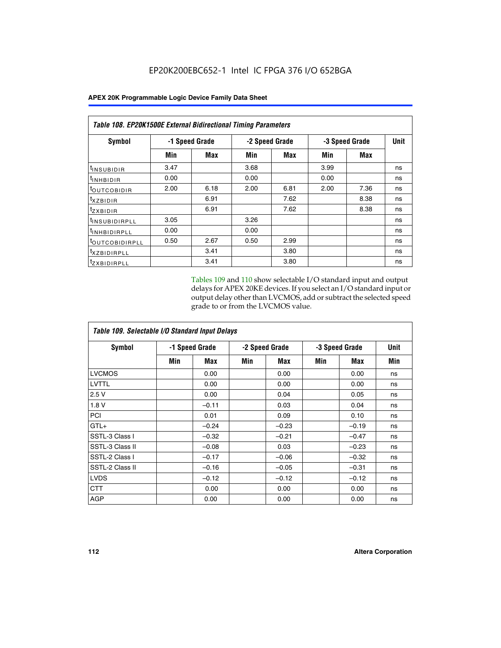|                            | <b>Table 108. EP20K1500E External Bidirectional Timing Parameters</b> |      |      |                |                |             |    |  |  |  |  |
|----------------------------|-----------------------------------------------------------------------|------|------|----------------|----------------|-------------|----|--|--|--|--|
| Symbol                     | -1 Speed Grade                                                        |      |      | -2 Speed Grade | -3 Speed Grade | <b>Unit</b> |    |  |  |  |  |
|                            | Min                                                                   | Max  | Min  | Max            | Min            | Max         |    |  |  |  |  |
| <sup>t</sup> INSUBIDIR     | 3.47                                                                  |      | 3.68 |                | 3.99           |             | ns |  |  |  |  |
| <sup>t</sup> INHBIDIR      | 0.00                                                                  |      | 0.00 |                | 0.00           |             | ns |  |  |  |  |
| <sup>t</sup> OUTCOBIDIR    | 2.00                                                                  | 6.18 | 2.00 | 6.81           | 2.00           | 7.36        | ns |  |  |  |  |
| txzBIDIR                   |                                                                       | 6.91 |      | 7.62           |                | 8.38        | ns |  |  |  |  |
| <sup>t</sup> zxbidir       |                                                                       | 6.91 |      | 7.62           |                | 8.38        | ns |  |  |  |  |
| <sup>t</sup> INSUBIDIRPLL  | 3.05                                                                  |      | 3.26 |                |                |             | ns |  |  |  |  |
| <sup>t</sup> INHBIDIRPLL   | 0.00                                                                  |      | 0.00 |                |                |             | ns |  |  |  |  |
| <sup>t</sup> OUTCOBIDIRPLL | 0.50                                                                  | 2.67 | 0.50 | 2.99           |                |             | ns |  |  |  |  |
| <sup>t</sup> XZBIDIRPLL    |                                                                       | 3.41 |      | 3.80           |                |             | ns |  |  |  |  |
| <sup>t</sup> zxbidirpll    |                                                                       | 3.41 |      | 3.80           |                |             | ns |  |  |  |  |

Tables 109 and 110 show selectable I/O standard input and output delays for APEX 20KE devices. If you select an I/O standard input or output delay other than LVCMOS, add or subtract the selected speed grade to or from the LVCMOS value.

| Table 109. Selectable I/O Standard Input Delays |                |         |     |                |     |                |     |  |  |  |
|-------------------------------------------------|----------------|---------|-----|----------------|-----|----------------|-----|--|--|--|
| <b>Symbol</b>                                   | -1 Speed Grade |         |     | -2 Speed Grade |     | -3 Speed Grade |     |  |  |  |
|                                                 | Min            | Max     | Min | Max            | Min | Max            | Min |  |  |  |
| <b>LVCMOS</b>                                   |                | 0.00    |     | 0.00           |     | 0.00           | ns  |  |  |  |
| <b>LVTTL</b>                                    |                | 0.00    |     | 0.00           |     | 0.00           | ns  |  |  |  |
| 2.5V                                            |                | 0.00    |     | 0.04           |     | 0.05           | ns  |  |  |  |
| 1.8V                                            |                | $-0.11$ |     | 0.03           |     | 0.04           | ns  |  |  |  |
| PCI                                             |                | 0.01    |     | 0.09           |     | 0.10           | ns  |  |  |  |
| $GTL+$                                          |                | $-0.24$ |     | $-0.23$        |     | $-0.19$        | ns  |  |  |  |
| SSTL-3 Class I                                  |                | $-0.32$ |     | $-0.21$        |     | $-0.47$        | ns  |  |  |  |
| SSTL-3 Class II                                 |                | $-0.08$ |     | 0.03           |     | $-0.23$        | ns  |  |  |  |
| SSTL-2 Class I                                  |                | $-0.17$ |     | $-0.06$        |     | $-0.32$        | ns  |  |  |  |
| SSTL-2 Class II                                 |                | $-0.16$ |     | $-0.05$        |     | $-0.31$        | ns  |  |  |  |
| <b>LVDS</b>                                     |                | $-0.12$ |     | $-0.12$        |     | $-0.12$        | ns  |  |  |  |
| <b>CTT</b>                                      |                | 0.00    |     | 0.00           |     | 0.00           | ns  |  |  |  |
| <b>AGP</b>                                      |                | 0.00    |     | 0.00           |     | 0.00           | ns  |  |  |  |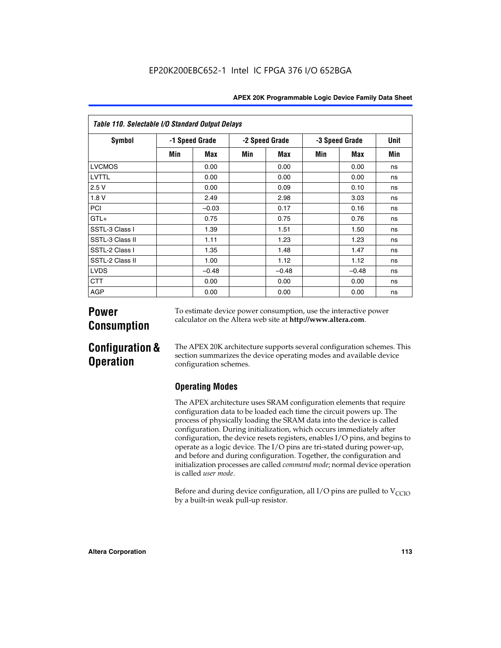| Table 110. Selectable I/O Standard Output Delays |                |         |                |         |                |         |      |  |  |  |  |
|--------------------------------------------------|----------------|---------|----------------|---------|----------------|---------|------|--|--|--|--|
| <b>Symbol</b>                                    | -1 Speed Grade |         | -2 Speed Grade |         | -3 Speed Grade |         | Unit |  |  |  |  |
|                                                  | Min            | Max     | Min            | Max     | Min            | Max     | Min  |  |  |  |  |
| LVCMOS                                           |                | 0.00    |                | 0.00    |                | 0.00    | ns   |  |  |  |  |
| LVTTL                                            |                | 0.00    |                | 0.00    |                | 0.00    | ns   |  |  |  |  |
| 2.5V                                             |                | 0.00    |                | 0.09    |                | 0.10    | ns   |  |  |  |  |
| 1.8V                                             |                | 2.49    |                | 2.98    |                | 3.03    | ns   |  |  |  |  |
| PCI                                              |                | $-0.03$ |                | 0.17    |                | 0.16    | ns   |  |  |  |  |
| $GTL+$                                           |                | 0.75    |                | 0.75    |                | 0.76    | ns   |  |  |  |  |
| SSTL-3 Class I                                   |                | 1.39    |                | 1.51    |                | 1.50    | ns   |  |  |  |  |
| SSTL-3 Class II                                  |                | 1.11    |                | 1.23    |                | 1.23    | ns   |  |  |  |  |
| SSTL-2 Class I                                   |                | 1.35    |                | 1.48    |                | 1.47    | ns   |  |  |  |  |
| SSTL-2 Class II                                  |                | 1.00    |                | 1.12    |                | 1.12    | ns   |  |  |  |  |
| <b>LVDS</b>                                      |                | $-0.48$ |                | $-0.48$ |                | $-0.48$ | ns   |  |  |  |  |
| <b>CTT</b>                                       |                | 0.00    |                | 0.00    |                | 0.00    | ns   |  |  |  |  |
| AGP                                              |                | 0.00    |                | 0.00    |                | 0.00    | ns   |  |  |  |  |

# **Power Consumption**

To estimate device power consumption, use the interactive power calculator on the Altera web site at **http://www.altera.com**.

# **Configuration & Operation**

The APEX 20K architecture supports several configuration schemes. This section summarizes the device operating modes and available device configuration schemes.

# **Operating Modes**

The APEX architecture uses SRAM configuration elements that require configuration data to be loaded each time the circuit powers up. The process of physically loading the SRAM data into the device is called configuration. During initialization, which occurs immediately after configuration, the device resets registers, enables I/O pins, and begins to operate as a logic device. The I/O pins are tri-stated during power-up, and before and during configuration. Together, the configuration and initialization processes are called *command mode*; normal device operation is called *user mode*.

Before and during device configuration, all I/O pins are pulled to  $V_{\text{CCIO}}$ by a built-in weak pull-up resistor.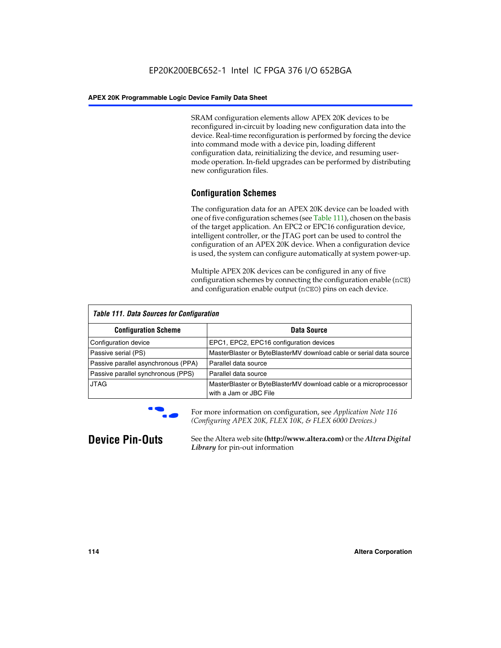SRAM configuration elements allow APEX 20K devices to be reconfigured in-circuit by loading new configuration data into the device. Real-time reconfiguration is performed by forcing the device into command mode with a device pin, loading different configuration data, reinitializing the device, and resuming usermode operation. In-field upgrades can be performed by distributing new configuration files.

# **Configuration Schemes**

The configuration data for an APEX 20K device can be loaded with one of five configuration schemes (see Table 111), chosen on the basis of the target application. An EPC2 or EPC16 configuration device, intelligent controller, or the JTAG port can be used to control the configuration of an APEX 20K device. When a configuration device is used, the system can configure automatically at system power-up.

Multiple APEX 20K devices can be configured in any of five configuration schemes by connecting the configuration enable (nCE) and configuration enable output (nCEO) pins on each device.

| <b>Table 111. Data Sources for Configuration</b> |                                                                                             |
|--------------------------------------------------|---------------------------------------------------------------------------------------------|
| <b>Configuration Scheme</b>                      | Data Source                                                                                 |
| Configuration device                             | EPC1, EPC2, EPC16 configuration devices                                                     |
| Passive serial (PS)                              | MasterBlaster or ByteBlasterMV download cable or serial data source                         |
| Passive parallel asynchronous (PPA)              | Parallel data source                                                                        |
| Passive parallel synchronous (PPS)               | Parallel data source                                                                        |
| <b>JTAG</b>                                      | MasterBlaster or ByteBlasterMV download cable or a microprocessor<br>with a Jam or JBC File |



**For more information on configuration, see Application Note 116** *(Configuring APEX 20K, FLEX 10K, & FLEX 6000 Devices.)*

**Device Pin-Outs** See the Altera web site **(http://www.altera.com)** or the *Altera Digital Library* for pin-out information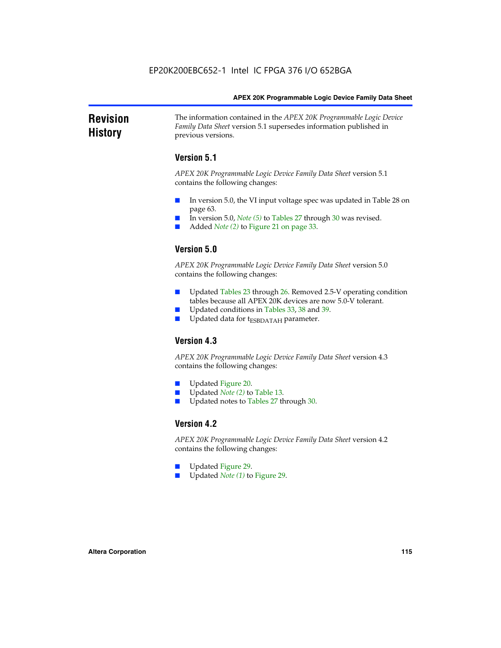### **Revision History** The information contained in the *APEX 20K Programmable Logic Device Family Data Sheet* version 5.1 supersedes information published in previous versions.

## **Version 5.1**

*APEX 20K Programmable Logic Device Family Data Sheet* version 5.1 contains the following changes:

- In version 5.0, the VI input voltage spec was updated in Table 28 on page 63.
- In version 5.0, *Note* (5) to Tables 27 through 30 was revised.
- Added *Note* (2) to Figure 21 on page 33.

# **Version 5.0**

*APEX 20K Programmable Logic Device Family Data Sheet* version 5.0 contains the following changes:

- Updated Tables 23 through 26. Removed 2.5-V operating condition tables because all APEX 20K devices are now 5.0-V tolerant.
- Updated conditions in Tables 33, 38 and 39.
- Updated data for t<sub>ESBDATAH</sub> parameter.

# **Version 4.3**

*APEX 20K Programmable Logic Device Family Data Sheet* version 4.3 contains the following changes:

- Updated Figure 20.
- Updated *Note (2)* to Table 13.
- Updated notes to Tables 27 through 30.

## **Version 4.2**

*APEX 20K Programmable Logic Device Family Data Sheet* version 4.2 contains the following changes:

- Updated Figure 29.
- Updated *Note (1)* to Figure 29.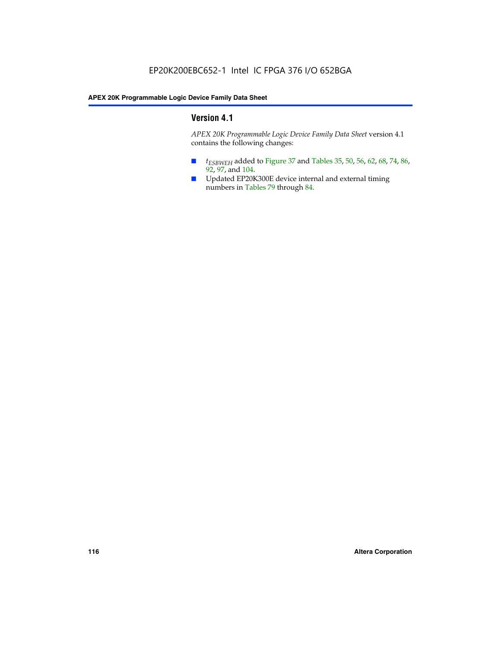# **Version 4.1**

*APEX 20K Programmable Logic Device Family Data Sheet* version 4.1 contains the following changes:

- *t<sub>ESBWEH</sub>* added to Figure 37 and Tables 35, 50, 56, 62, 68, 74, 86, 92, 97, and 104.
- Updated EP20K300E device internal and external timing numbers in Tables 79 through 84.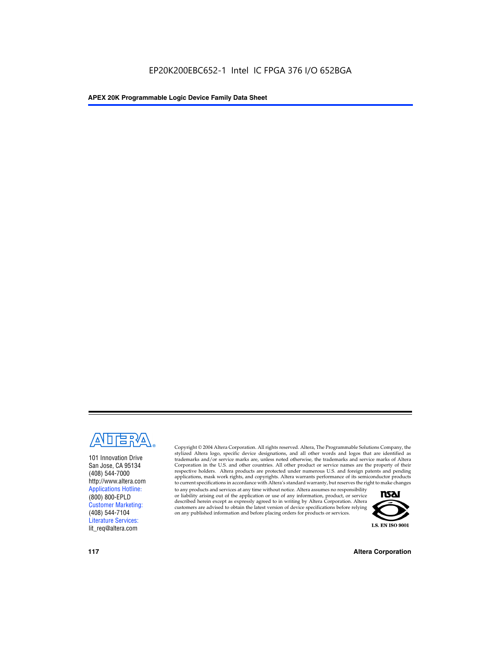

101 Innovation Drive San Jose, CA 95134 (408) 544-7000 http://www.altera.com Applications Hotline: (800) 800-EPLD Customer Marketing: (408) 544-7104 Literature Services: lit\_req@altera.com

Copyright © 2004 Altera Corporation. All rights reserved. Altera, The Programmable Solutions Company, the stylized Altera logo, specific device designations, and all other words and logos that are identified as trademarks and/or service marks are, unless noted otherwise, the trademarks and service marks of Altera Corporation in the U.S. and other countries. All other product or service names are the property of their respective holders. Altera products are protected under numerous U.S. and foreign patents and pending applications, mask work rights, and copyrights. Altera warrants performance of its semiconductor products to current specifications in accordance with Altera's standard warranty, but reserves the right to make changes

to any products and services at any time without notice. Altera assumes no responsibility or liability arising out of the application or use of any information, product, or service described herein except as expressly agreed to in writing by Altera Corporation. Altera customers are advised to obtain the latest version of device specifications before relying on any published information and before placing orders for products or services.



**117 Altera Corporation**